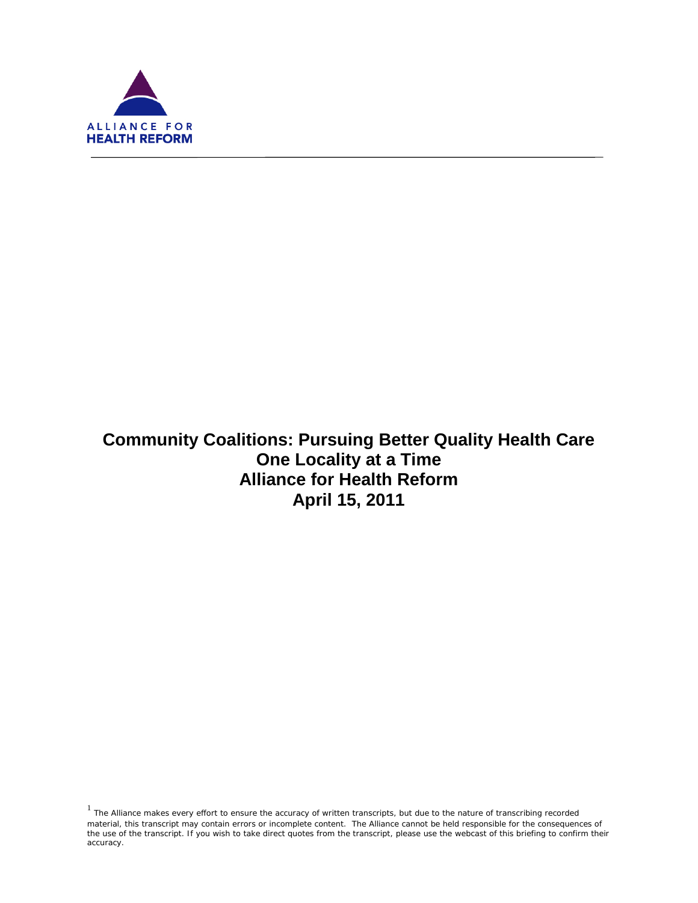

ī

# **Community Coalitions: Pursuing Better Quality Health Care One Locality at a Time Alliance for Health Reform April 15, 2011**

 $1$  The Alliance makes every effort to ensure the accuracy of written transcripts, but due to the nature of transcribing recorded material, this transcript may contain errors or incomplete content. The Alliance cannot be held responsible for the consequences of the use of the transcript. If you wish to take direct quotes from the transcript, please use the webcast of this briefing to confirm their accuracy.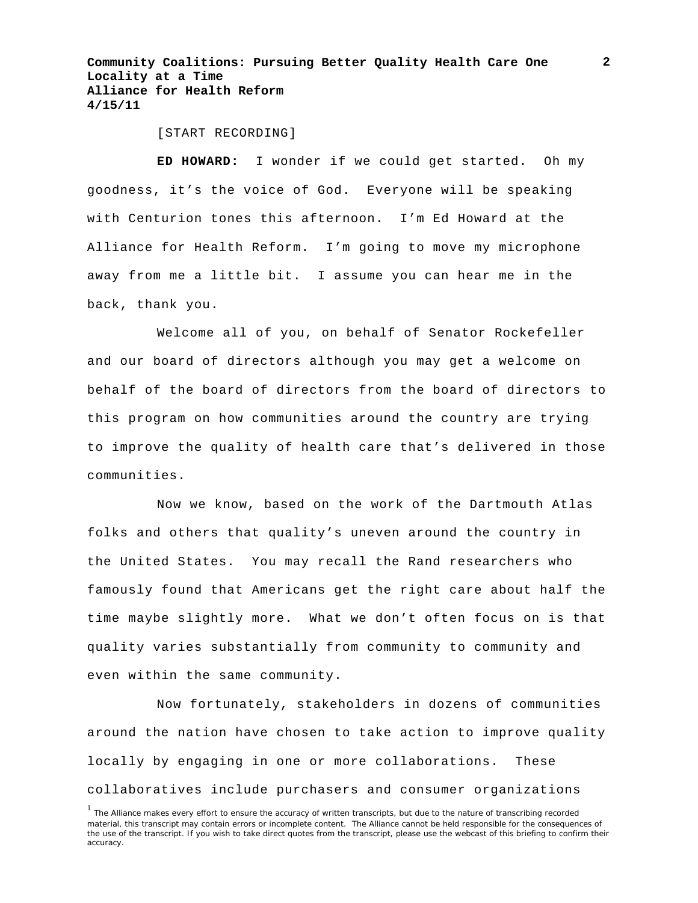[START RECORDING]

**ED HOWARD:** I wonder if we could get started. Oh my goodness, it's the voice of God. Everyone will be speaking with Centurion tones this afternoon. I'm Ed Howard at the Alliance for Health Reform. I'm going to move my microphone away from me a little bit. I assume you can hear me in the back, thank you.

Welcome all of you, on behalf of Senator Rockefeller and our board of directors although you may get a welcome on behalf of the board of directors from the board of directors to this program on how communities around the country are trying to improve the quality of health care that's delivered in those communities.

Now we know, based on the work of the Dartmouth Atlas folks and others that quality's uneven around the country in the United States. You may recall the Rand researchers who famously found that Americans get the right care about half the time maybe slightly more. What we don't often focus on is that quality varies substantially from community to community and even within the same community.

Now fortunately, stakeholders in dozens of communities around the nation have chosen to take action to improve quality locally by engaging in one or more collaborations. These collaboratives include purchasers and consumer organizations

<sup>&</sup>lt;sup>1</sup> The Alliance makes every effort to ensure the accuracy of written transcripts, but due to the nature of transcribing recorded material, this transcript may contain errors or incomplete content. The Alliance cannot be held responsible for the consequences of the use of the transcript. If you wish to take direct quotes from the transcript, please use the webcast of this briefing to confirm their accuracy.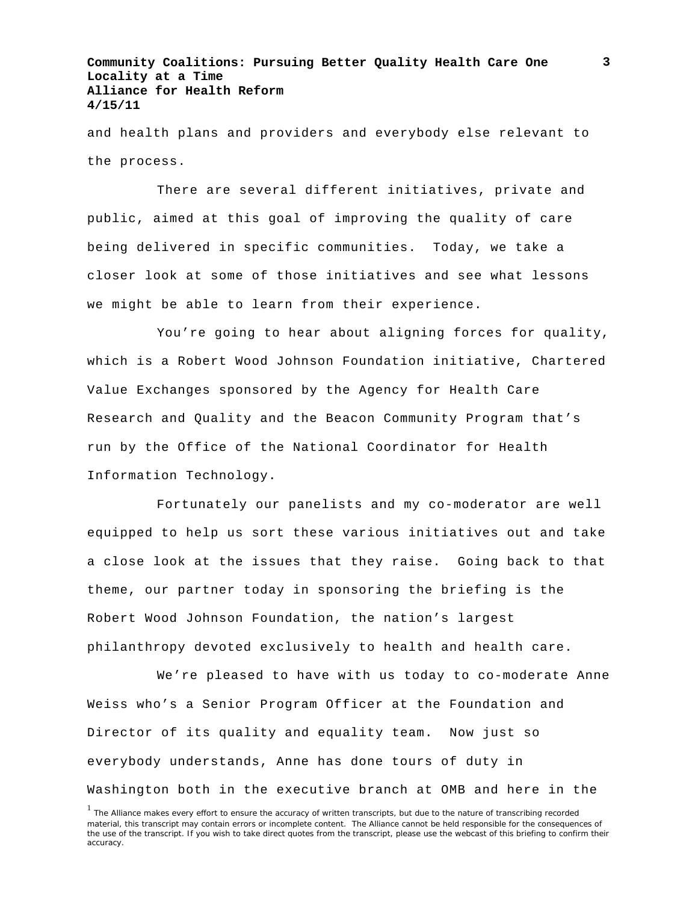and health plans and providers and everybody else relevant to the process.

There are several different initiatives, private and public, aimed at this goal of improving the quality of care being delivered in specific communities. Today, we take a closer look at some of those initiatives and see what lessons we might be able to learn from their experience.

You're going to hear about aligning forces for quality, which is a Robert Wood Johnson Foundation initiative, Chartered Value Exchanges sponsored by the Agency for Health Care Research and Quality and the Beacon Community Program that's run by the Office of the National Coordinator for Health Information Technology.

Fortunately our panelists and my co-moderator are well equipped to help us sort these various initiatives out and take a close look at the issues that they raise. Going back to that theme, our partner today in sponsoring the briefing is the Robert Wood Johnson Foundation, the nation's largest philanthropy devoted exclusively to health and health care.

We're pleased to have with us today to co-moderate Anne Weiss who's a Senior Program Officer at the Foundation and Director of its quality and equality team. Now just so everybody understands, Anne has done tours of duty in Washington both in the executive branch at OMB and here in the

<sup>&</sup>lt;sup>1</sup> The Alliance makes every effort to ensure the accuracy of written transcripts, but due to the nature of transcribing recorded material, this transcript may contain errors or incomplete content. The Alliance cannot be held responsible for the consequences of the use of the transcript. If you wish to take direct quotes from the transcript, please use the webcast of this briefing to confirm their accuracy.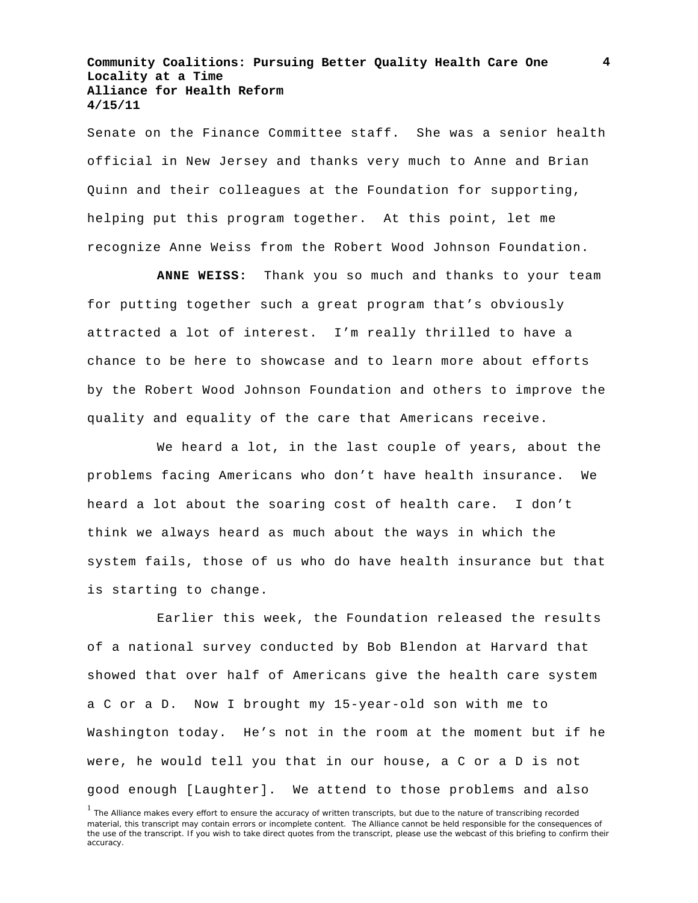Senate on the Finance Committee staff. She was a senior health official in New Jersey and thanks very much to Anne and Brian Quinn and their colleagues at the Foundation for supporting, helping put this program together. At this point, let me recognize Anne Weiss from the Robert Wood Johnson Foundation.

**ANNE WEISS:** Thank you so much and thanks to your team for putting together such a great program that's obviously attracted a lot of interest. I'm really thrilled to have a chance to be here to showcase and to learn more about efforts by the Robert Wood Johnson Foundation and others to improve the quality and equality of the care that Americans receive.

We heard a lot, in the last couple of years, about the problems facing Americans who don't have health insurance. We heard a lot about the soaring cost of health care. I don't think we always heard as much about the ways in which the system fails, those of us who do have health insurance but that is starting to change.

Earlier this week, the Foundation released the results of a national survey conducted by Bob Blendon at Harvard that showed that over half of Americans give the health care system a C or a D. Now I brought my 15-year-old son with me to Washington today. He's not in the room at the moment but if he were, he would tell you that in our house, a C or a D is not good enough [Laughter]. We attend to those problems and also

<sup>&</sup>lt;sup>1</sup> The Alliance makes every effort to ensure the accuracy of written transcripts, but due to the nature of transcribing recorded material, this transcript may contain errors or incomplete content. The Alliance cannot be held responsible for the consequences of the use of the transcript. If you wish to take direct quotes from the transcript, please use the webcast of this briefing to confirm their accuracy.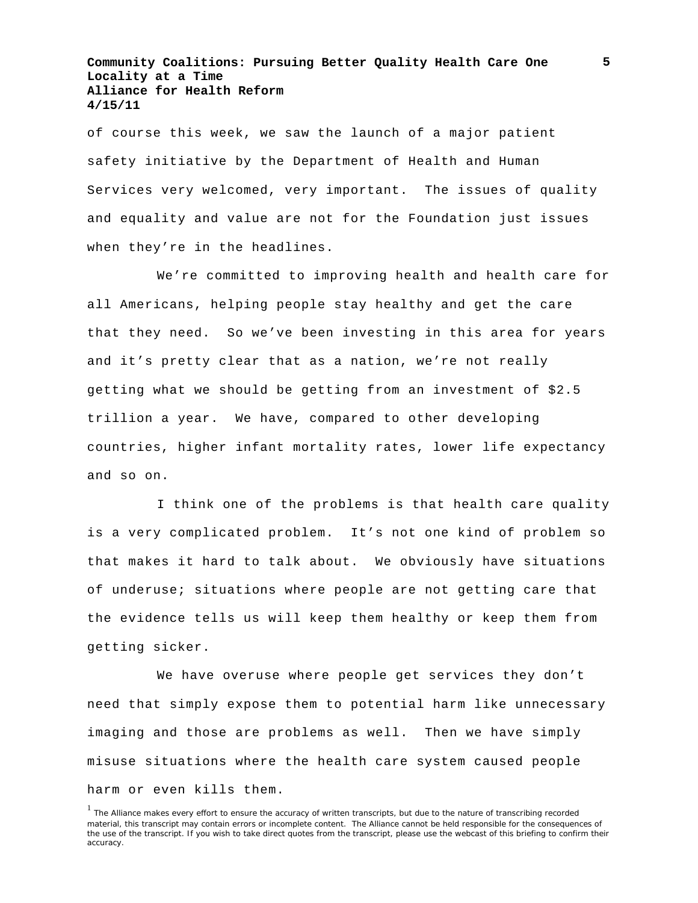of course this week, we saw the launch of a major patient safety initiative by the Department of Health and Human Services very welcomed, very important. The issues of quality and equality and value are not for the Foundation just issues when they're in the headlines.

We're committed to improving health and health care for all Americans, helping people stay healthy and get the care that they need. So we've been investing in this area for years and it's pretty clear that as a nation, we're not really getting what we should be getting from an investment of \$2.5 trillion a year. We have, compared to other developing countries, higher infant mortality rates, lower life expectancy and so on.

I think one of the problems is that health care quality is a very complicated problem. It's not one kind of problem so that makes it hard to talk about. We obviously have situations of underuse; situations where people are not getting care that the evidence tells us will keep them healthy or keep them from getting sicker.

We have overuse where people get services they don't need that simply expose them to potential harm like unnecessary imaging and those are problems as well. Then we have simply misuse situations where the health care system caused people harm or even kills them.

<sup>&</sup>lt;sup>1</sup> The Alliance makes every effort to ensure the accuracy of written transcripts, but due to the nature of transcribing recorded material, this transcript may contain errors or incomplete content. The Alliance cannot be held responsible for the consequences of the use of the transcript. If you wish to take direct quotes from the transcript, please use the webcast of this briefing to confirm their accuracy.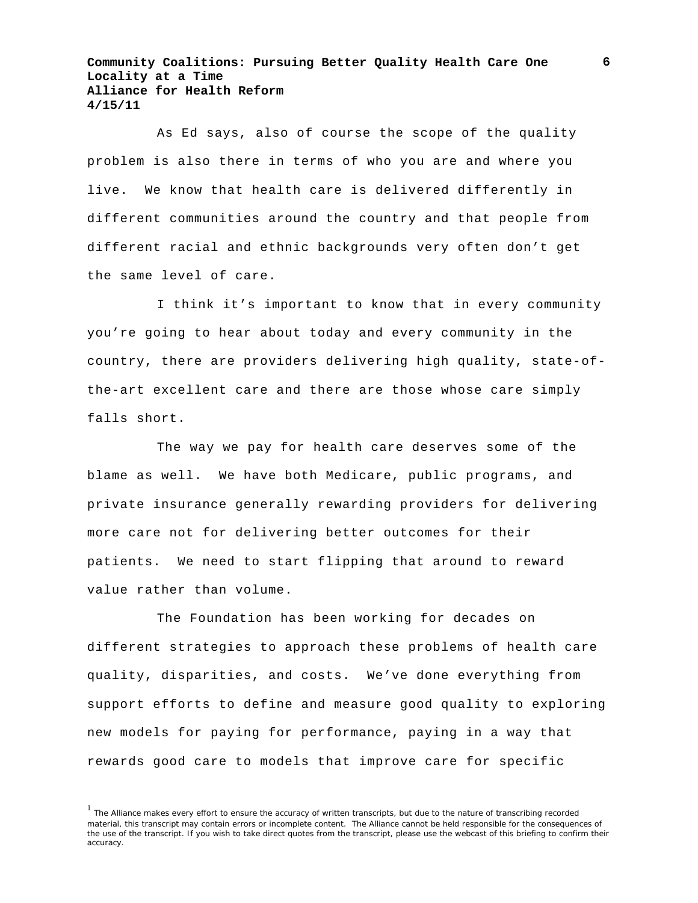As Ed says, also of course the scope of the quality problem is also there in terms of who you are and where you live. We know that health care is delivered differently in different communities around the country and that people from different racial and ethnic backgrounds very often don't get the same level of care.

I think it's important to know that in every community you're going to hear about today and every community in the country, there are providers delivering high quality, state-ofthe-art excellent care and there are those whose care simply falls short.

The way we pay for health care deserves some of the blame as well. We have both Medicare, public programs, and private insurance generally rewarding providers for delivering more care not for delivering better outcomes for their patients. We need to start flipping that around to reward value rather than volume.

The Foundation has been working for decades on different strategies to approach these problems of health care quality, disparities, and costs. We've done everything from support efforts to define and measure good quality to exploring new models for paying for performance, paying in a way that rewards good care to models that improve care for specific

<sup>&</sup>lt;sup>1</sup> The Alliance makes every effort to ensure the accuracy of written transcripts, but due to the nature of transcribing recorded material, this transcript may contain errors or incomplete content. The Alliance cannot be held responsible for the consequences of the use of the transcript. If you wish to take direct quotes from the transcript, please use the webcast of this briefing to confirm their accuracy.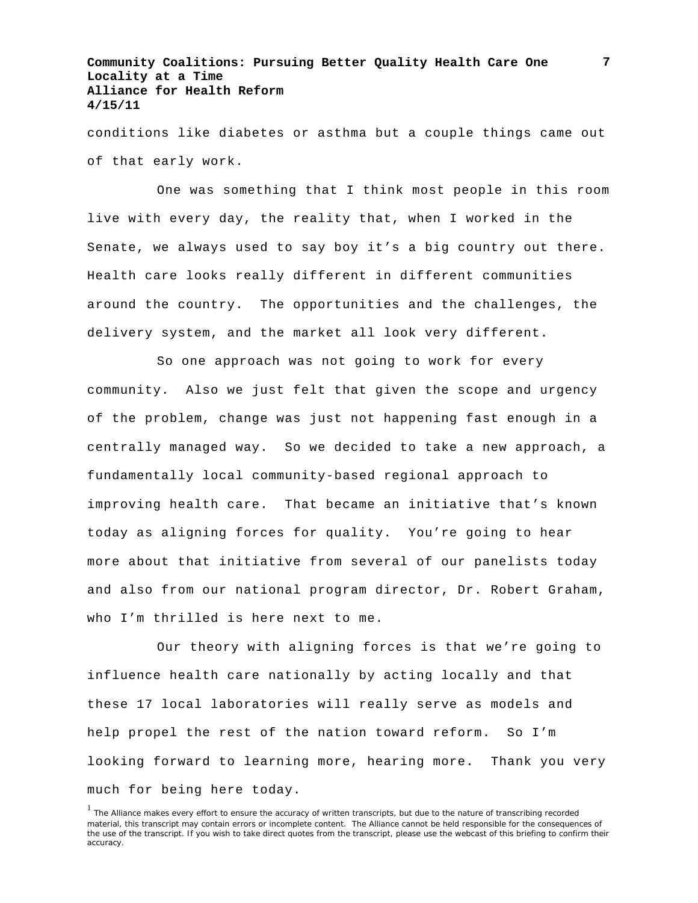conditions like diabetes or asthma but a couple things came out of that early work.

One was something that I think most people in this room live with every day, the reality that, when I worked in the Senate, we always used to say boy it's a big country out there. Health care looks really different in different communities around the country. The opportunities and the challenges, the delivery system, and the market all look very different.

So one approach was not going to work for every community. Also we just felt that given the scope and urgency of the problem, change was just not happening fast enough in a centrally managed way. So we decided to take a new approach, a fundamentally local community-based regional approach to improving health care. That became an initiative that's known today as aligning forces for quality. You're going to hear more about that initiative from several of our panelists today and also from our national program director, Dr. Robert Graham, who I'm thrilled is here next to me.

Our theory with aligning forces is that we're going to influence health care nationally by acting locally and that these 17 local laboratories will really serve as models and help propel the rest of the nation toward reform. So I'm looking forward to learning more, hearing more. Thank you very much for being here today.

<sup>&</sup>lt;sup>1</sup> The Alliance makes every effort to ensure the accuracy of written transcripts, but due to the nature of transcribing recorded material, this transcript may contain errors or incomplete content. The Alliance cannot be held responsible for the consequences of the use of the transcript. If you wish to take direct quotes from the transcript, please use the webcast of this briefing to confirm their accuracy.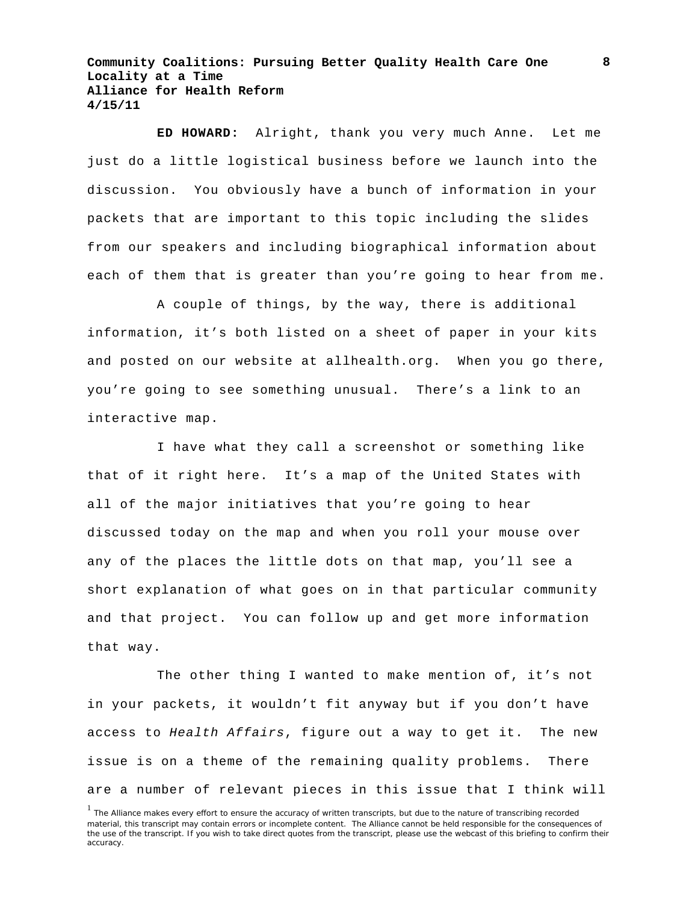**ED HOWARD:** Alright, thank you very much Anne. Let me just do a little logistical business before we launch into the discussion. You obviously have a bunch of information in your packets that are important to this topic including the slides from our speakers and including biographical information about each of them that is greater than you're going to hear from me.

A couple of things, by the way, there is additional information, it's both listed on a sheet of paper in your kits and posted on our website at allhealth.org. When you go there, you're going to see something unusual. There's a link to an interactive map.

I have what they call a screenshot or something like that of it right here. It's a map of the United States with all of the major initiatives that you're going to hear discussed today on the map and when you roll your mouse over any of the places the little dots on that map, you'll see a short explanation of what goes on in that particular community and that project. You can follow up and get more information that way.

The other thing I wanted to make mention of, it's not in your packets, it wouldn't fit anyway but if you don't have access to *Health Affairs*, figure out a way to get it. The new issue is on a theme of the remaining quality problems. There are a number of relevant pieces in this issue that I think will

<sup>&</sup>lt;sup>1</sup> The Alliance makes every effort to ensure the accuracy of written transcripts, but due to the nature of transcribing recorded material, this transcript may contain errors or incomplete content. The Alliance cannot be held responsible for the consequences of the use of the transcript. If you wish to take direct quotes from the transcript, please use the webcast of this briefing to confirm their accuracy.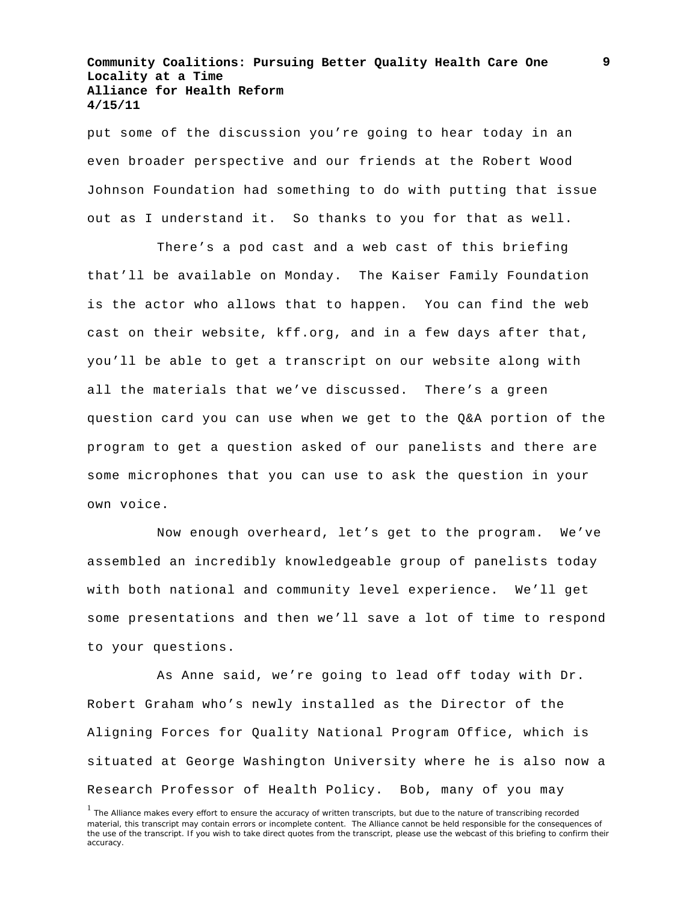put some of the discussion you're going to hear today in an even broader perspective and our friends at the Robert Wood Johnson Foundation had something to do with putting that issue out as I understand it. So thanks to you for that as well.

There's a pod cast and a web cast of this briefing that'll be available on Monday. The Kaiser Family Foundation is the actor who allows that to happen. You can find the web cast on their website, kff.org, and in a few days after that, you'll be able to get a transcript on our website along with all the materials that we've discussed. There's a green question card you can use when we get to the Q&A portion of the program to get a question asked of our panelists and there are some microphones that you can use to ask the question in your own voice.

Now enough overheard, let's get to the program. We've assembled an incredibly knowledgeable group of panelists today with both national and community level experience. We'll get some presentations and then we'll save a lot of time to respond to your questions.

As Anne said, we're going to lead off today with Dr. Robert Graham who's newly installed as the Director of the Aligning Forces for Quality National Program Office, which is situated at George Washington University where he is also now a Research Professor of Health Policy. Bob, many of you may

<sup>&</sup>lt;sup>1</sup> The Alliance makes every effort to ensure the accuracy of written transcripts, but due to the nature of transcribing recorded material, this transcript may contain errors or incomplete content. The Alliance cannot be held responsible for the consequences of the use of the transcript. If you wish to take direct quotes from the transcript, please use the webcast of this briefing to confirm their accuracy.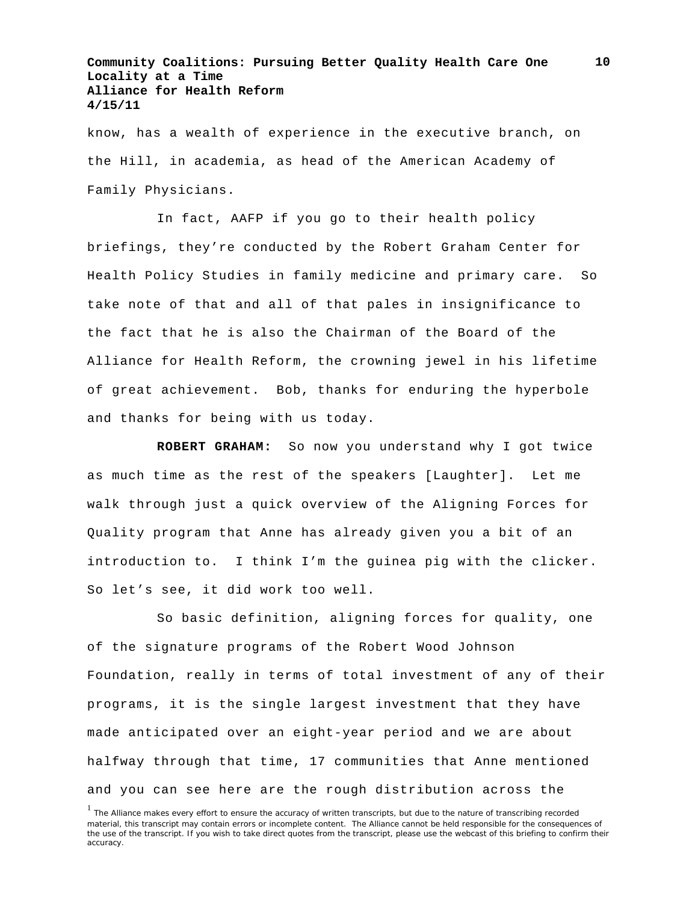know, has a wealth of experience in the executive branch, on the Hill, in academia, as head of the American Academy of Family Physicians.

In fact, AAFP if you go to their health policy briefings, they're conducted by the Robert Graham Center for Health Policy Studies in family medicine and primary care. So take note of that and all of that pales in insignificance to the fact that he is also the Chairman of the Board of the Alliance for Health Reform, the crowning jewel in his lifetime of great achievement. Bob, thanks for enduring the hyperbole and thanks for being with us today.

**ROBERT GRAHAM:** So now you understand why I got twice as much time as the rest of the speakers [Laughter]. Let me walk through just a quick overview of the Aligning Forces for Quality program that Anne has already given you a bit of an introduction to. I think I'm the guinea pig with the clicker. So let's see, it did work too well.

So basic definition, aligning forces for quality, one of the signature programs of the Robert Wood Johnson Foundation, really in terms of total investment of any of their programs, it is the single largest investment that they have made anticipated over an eight-year period and we are about halfway through that time, 17 communities that Anne mentioned and you can see here are the rough distribution across the

<sup>&</sup>lt;sup>1</sup> The Alliance makes every effort to ensure the accuracy of written transcripts, but due to the nature of transcribing recorded material, this transcript may contain errors or incomplete content. The Alliance cannot be held responsible for the consequences of the use of the transcript. If you wish to take direct quotes from the transcript, please use the webcast of this briefing to confirm their accuracy.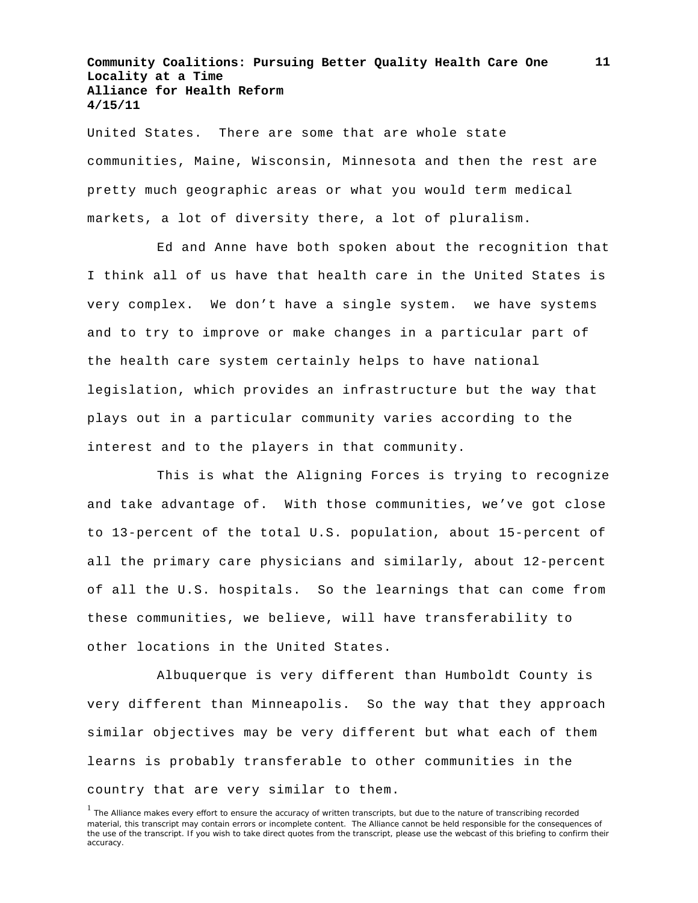United States. There are some that are whole state communities, Maine, Wisconsin, Minnesota and then the rest are pretty much geographic areas or what you would term medical markets, a lot of diversity there, a lot of pluralism.

Ed and Anne have both spoken about the recognition that I think all of us have that health care in the United States is very complex. We don't have a single system. we have systems and to try to improve or make changes in a particular part of the health care system certainly helps to have national legislation, which provides an infrastructure but the way that plays out in a particular community varies according to the interest and to the players in that community.

This is what the Aligning Forces is trying to recognize and take advantage of. With those communities, we've got close to 13-percent of the total U.S. population, about 15-percent of all the primary care physicians and similarly, about 12-percent of all the U.S. hospitals. So the learnings that can come from these communities, we believe, will have transferability to other locations in the United States.

Albuquerque is very different than Humboldt County is very different than Minneapolis. So the way that they approach similar objectives may be very different but what each of them learns is probably transferable to other communities in the country that are very similar to them.

<sup>&</sup>lt;sup>1</sup> The Alliance makes every effort to ensure the accuracy of written transcripts, but due to the nature of transcribing recorded material, this transcript may contain errors or incomplete content. The Alliance cannot be held responsible for the consequences of the use of the transcript. If you wish to take direct quotes from the transcript, please use the webcast of this briefing to confirm their accuracy.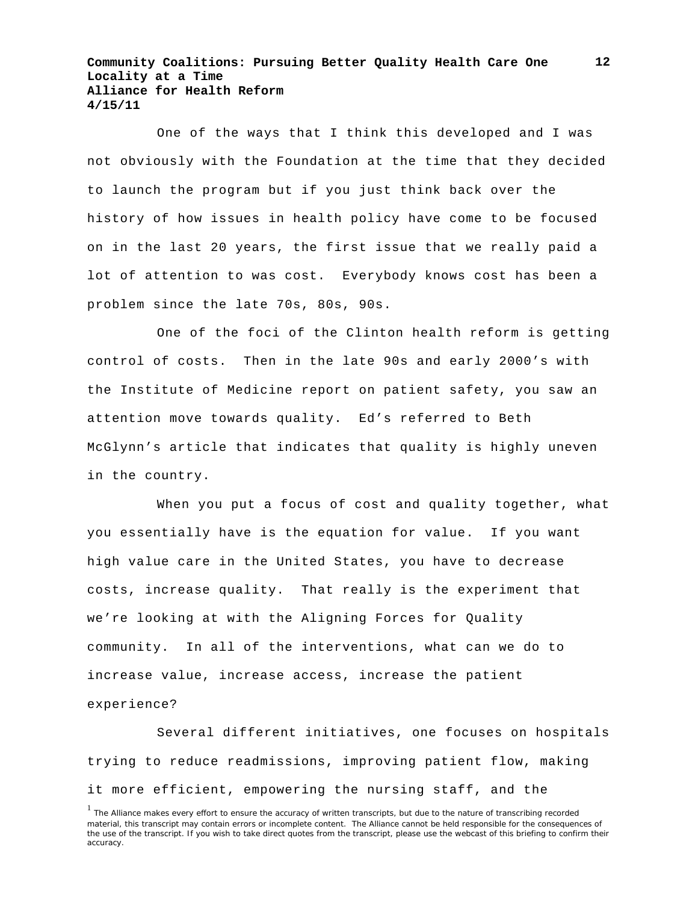One of the ways that I think this developed and I was not obviously with the Foundation at the time that they decided to launch the program but if you just think back over the history of how issues in health policy have come to be focused on in the last 20 years, the first issue that we really paid a lot of attention to was cost. Everybody knows cost has been a problem since the late 70s, 80s, 90s.

One of the foci of the Clinton health reform is getting control of costs. Then in the late 90s and early 2000's with the Institute of Medicine report on patient safety, you saw an attention move towards quality. Ed's referred to Beth McGlynn's article that indicates that quality is highly uneven in the country.

When you put a focus of cost and quality together, what you essentially have is the equation for value. If you want high value care in the United States, you have to decrease costs, increase quality. That really is the experiment that we're looking at with the Aligning Forces for Quality community. In all of the interventions, what can we do to increase value, increase access, increase the patient experience?

Several different initiatives, one focuses on hospitals trying to reduce readmissions, improving patient flow, making it more efficient, empowering the nursing staff, and the

<sup>&</sup>lt;sup>1</sup> The Alliance makes every effort to ensure the accuracy of written transcripts, but due to the nature of transcribing recorded material, this transcript may contain errors or incomplete content. The Alliance cannot be held responsible for the consequences of the use of the transcript. If you wish to take direct quotes from the transcript, please use the webcast of this briefing to confirm their accuracy.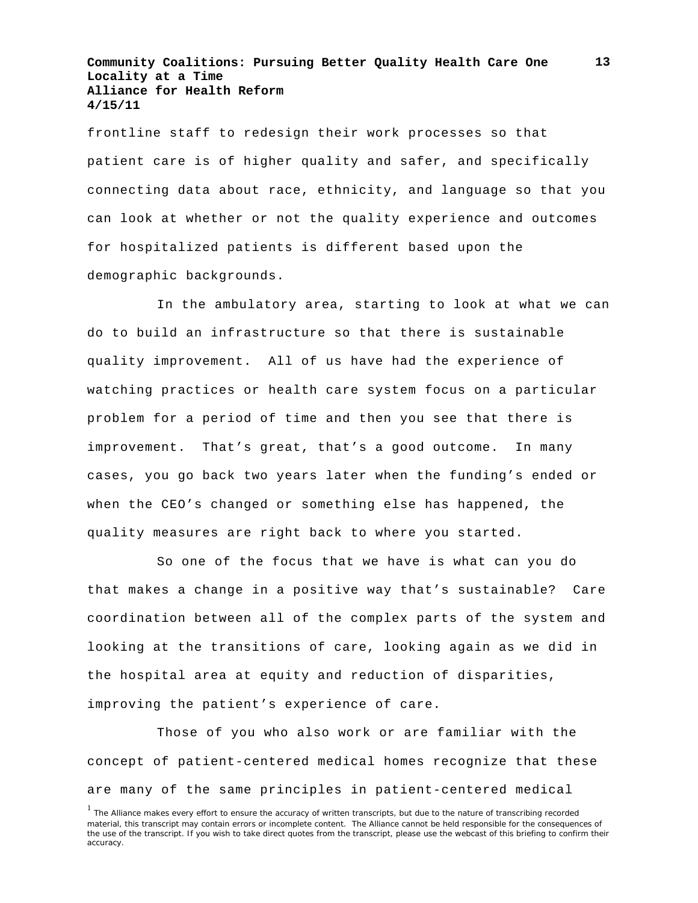frontline staff to redesign their work processes so that patient care is of higher quality and safer, and specifically connecting data about race, ethnicity, and language so that you can look at whether or not the quality experience and outcomes for hospitalized patients is different based upon the demographic backgrounds.

In the ambulatory area, starting to look at what we can do to build an infrastructure so that there is sustainable quality improvement. All of us have had the experience of watching practices or health care system focus on a particular problem for a period of time and then you see that there is improvement. That's great, that's a good outcome. In many cases, you go back two years later when the funding's ended or when the CEO's changed or something else has happened, the quality measures are right back to where you started.

So one of the focus that we have is what can you do that makes a change in a positive way that's sustainable? Care coordination between all of the complex parts of the system and looking at the transitions of care, looking again as we did in the hospital area at equity and reduction of disparities, improving the patient's experience of care.

Those of you who also work or are familiar with the concept of patient-centered medical homes recognize that these are many of the same principles in patient-centered medical

<sup>&</sup>lt;sup>1</sup> The Alliance makes every effort to ensure the accuracy of written transcripts, but due to the nature of transcribing recorded material, this transcript may contain errors or incomplete content. The Alliance cannot be held responsible for the consequences of the use of the transcript. If you wish to take direct quotes from the transcript, please use the webcast of this briefing to confirm their accuracy.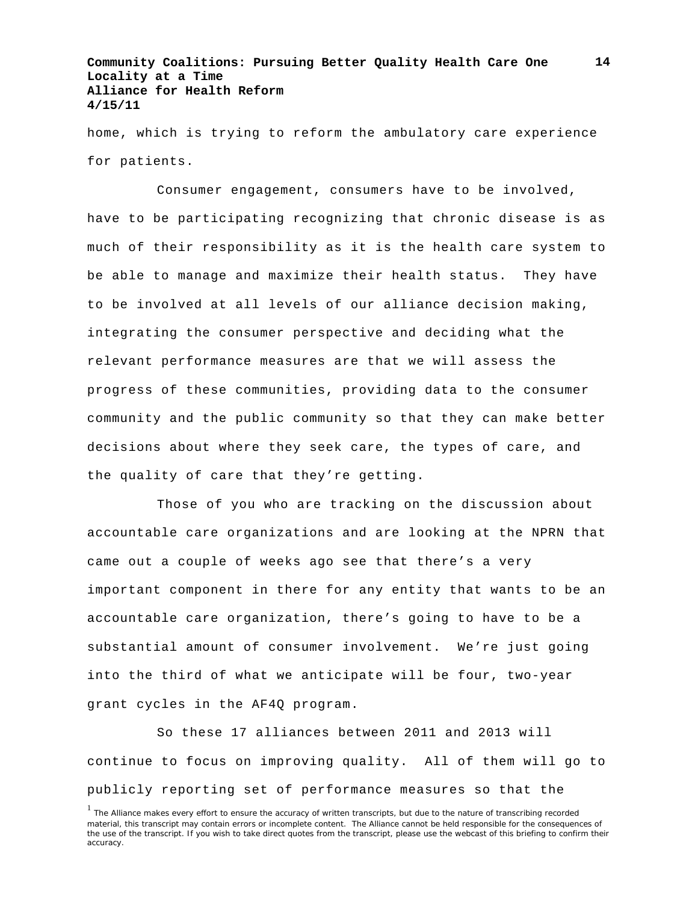home, which is trying to reform the ambulatory care experience for patients.

Consumer engagement, consumers have to be involved, have to be participating recognizing that chronic disease is as much of their responsibility as it is the health care system to be able to manage and maximize their health status. They have to be involved at all levels of our alliance decision making, integrating the consumer perspective and deciding what the relevant performance measures are that we will assess the progress of these communities, providing data to the consumer community and the public community so that they can make better decisions about where they seek care, the types of care, and the quality of care that they're getting.

Those of you who are tracking on the discussion about accountable care organizations and are looking at the NPRN that came out a couple of weeks ago see that there's a very important component in there for any entity that wants to be an accountable care organization, there's going to have to be a substantial amount of consumer involvement. We're just going into the third of what we anticipate will be four, two-year grant cycles in the AF4Q program.

So these 17 alliances between 2011 and 2013 will continue to focus on improving quality. All of them will go to publicly reporting set of performance measures so that the

<sup>&</sup>lt;sup>1</sup> The Alliance makes every effort to ensure the accuracy of written transcripts, but due to the nature of transcribing recorded material, this transcript may contain errors or incomplete content. The Alliance cannot be held responsible for the consequences of the use of the transcript. If you wish to take direct quotes from the transcript, please use the webcast of this briefing to confirm their accuracy.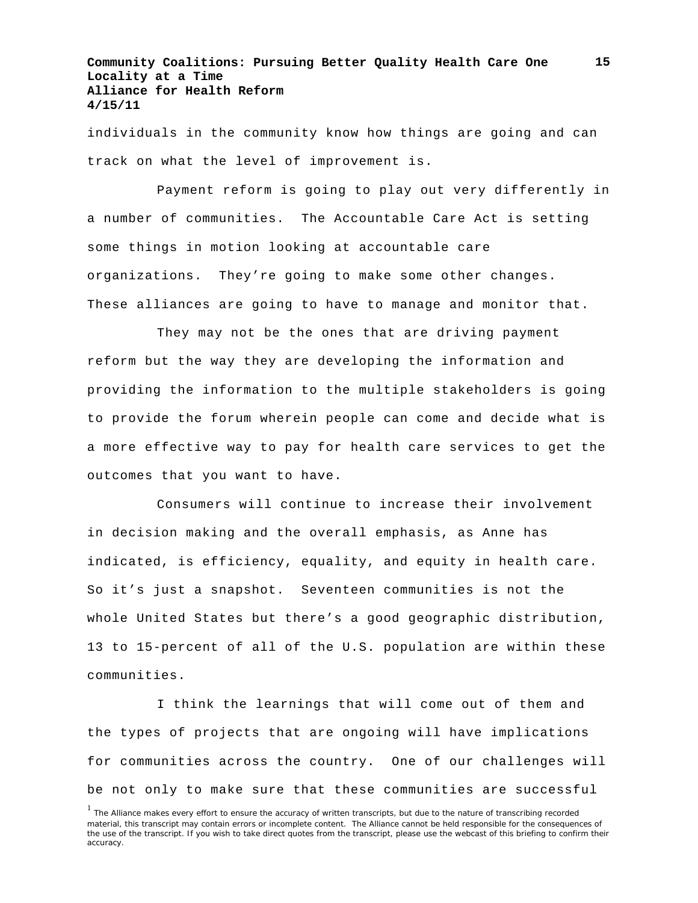individuals in the community know how things are going and can track on what the level of improvement is.

Payment reform is going to play out very differently in a number of communities. The Accountable Care Act is setting some things in motion looking at accountable care organizations. They're going to make some other changes. These alliances are going to have to manage and monitor that.

They may not be the ones that are driving payment reform but the way they are developing the information and providing the information to the multiple stakeholders is going to provide the forum wherein people can come and decide what is a more effective way to pay for health care services to get the outcomes that you want to have.

Consumers will continue to increase their involvement in decision making and the overall emphasis, as Anne has indicated, is efficiency, equality, and equity in health care. So it's just a snapshot. Seventeen communities is not the whole United States but there's a good geographic distribution, 13 to 15-percent of all of the U.S. population are within these communities.

I think the learnings that will come out of them and the types of projects that are ongoing will have implications for communities across the country. One of our challenges will be not only to make sure that these communities are successful

<sup>&</sup>lt;sup>1</sup> The Alliance makes every effort to ensure the accuracy of written transcripts, but due to the nature of transcribing recorded material, this transcript may contain errors or incomplete content. The Alliance cannot be held responsible for the consequences of the use of the transcript. If you wish to take direct quotes from the transcript, please use the webcast of this briefing to confirm their accuracy.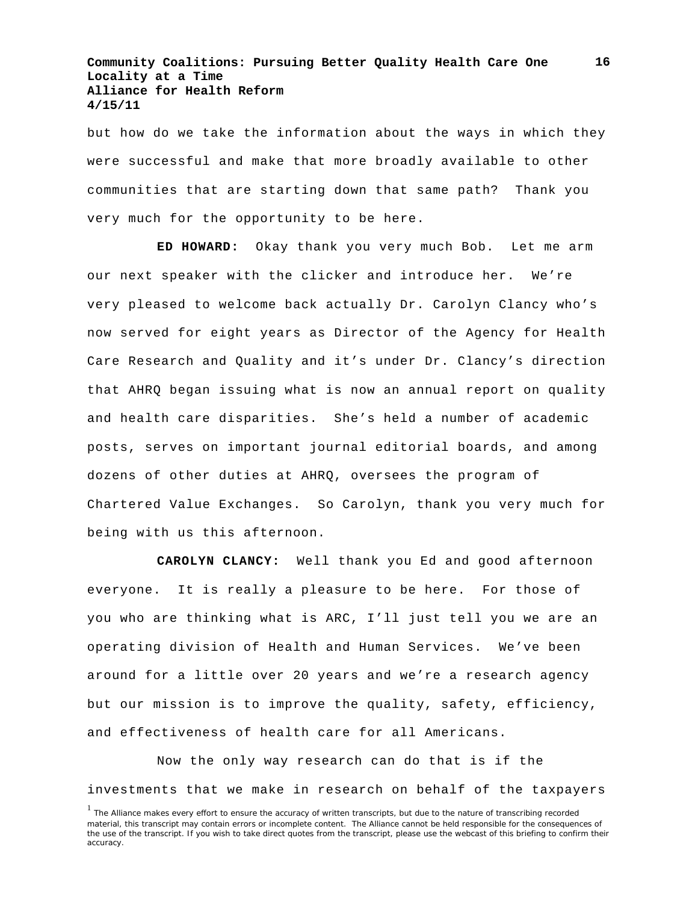but how do we take the information about the ways in which they were successful and make that more broadly available to other communities that are starting down that same path? Thank you very much for the opportunity to be here.

**ED HOWARD:** Okay thank you very much Bob. Let me arm our next speaker with the clicker and introduce her. We're very pleased to welcome back actually Dr. Carolyn Clancy who's now served for eight years as Director of the Agency for Health Care Research and Quality and it's under Dr. Clancy's direction that AHRQ began issuing what is now an annual report on quality and health care disparities. She's held a number of academic posts, serves on important journal editorial boards, and among dozens of other duties at AHRQ, oversees the program of Chartered Value Exchanges. So Carolyn, thank you very much for being with us this afternoon.

**CAROLYN CLANCY:** Well thank you Ed and good afternoon everyone. It is really a pleasure to be here. For those of you who are thinking what is ARC, I'll just tell you we are an operating division of Health and Human Services. We've been around for a little over 20 years and we're a research agency but our mission is to improve the quality, safety, efficiency, and effectiveness of health care for all Americans.

Now the only way research can do that is if the investments that we make in research on behalf of the taxpayers

**16**

<sup>&</sup>lt;sup>1</sup> The Alliance makes every effort to ensure the accuracy of written transcripts, but due to the nature of transcribing recorded material, this transcript may contain errors or incomplete content. The Alliance cannot be held responsible for the consequences of the use of the transcript. If you wish to take direct quotes from the transcript, please use the webcast of this briefing to confirm their accuracy.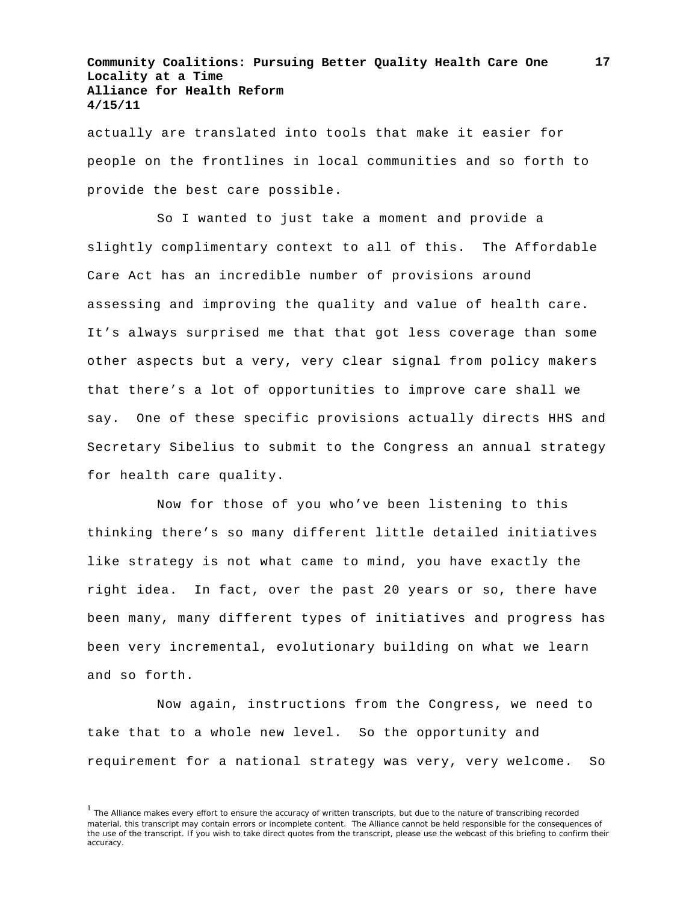actually are translated into tools that make it easier for people on the frontlines in local communities and so forth to provide the best care possible.

So I wanted to just take a moment and provide a slightly complimentary context to all of this. The Affordable Care Act has an incredible number of provisions around assessing and improving the quality and value of health care. It's always surprised me that that got less coverage than some other aspects but a very, very clear signal from policy makers that there's a lot of opportunities to improve care shall we say. One of these specific provisions actually directs HHS and Secretary Sibelius to submit to the Congress an annual strategy for health care quality.

Now for those of you who've been listening to this thinking there's so many different little detailed initiatives like strategy is not what came to mind, you have exactly the right idea. In fact, over the past 20 years or so, there have been many, many different types of initiatives and progress has been very incremental, evolutionary building on what we learn and so forth.

Now again, instructions from the Congress, we need to take that to a whole new level. So the opportunity and requirement for a national strategy was very, very welcome. So

<sup>&</sup>lt;sup>1</sup> The Alliance makes every effort to ensure the accuracy of written transcripts, but due to the nature of transcribing recorded material, this transcript may contain errors or incomplete content. The Alliance cannot be held responsible for the consequences of the use of the transcript. If you wish to take direct quotes from the transcript, please use the webcast of this briefing to confirm their accuracy.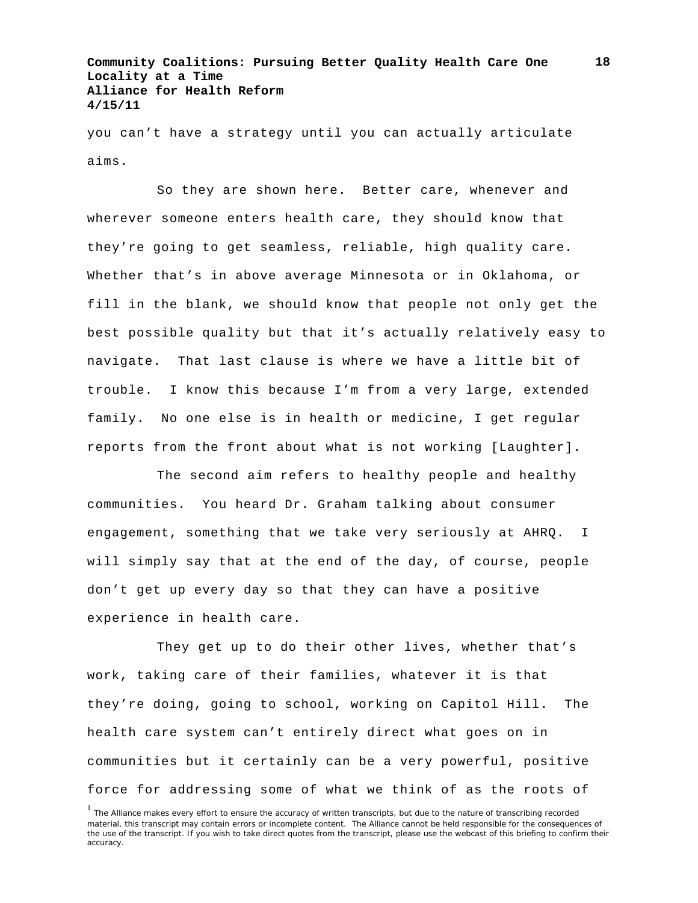you can't have a strategy until you can actually articulate aims.

So they are shown here. Better care, whenever and wherever someone enters health care, they should know that they're going to get seamless, reliable, high quality care. Whether that's in above average Minnesota or in Oklahoma, or fill in the blank, we should know that people not only get the best possible quality but that it's actually relatively easy to navigate. That last clause is where we have a little bit of trouble. I know this because I'm from a very large, extended family. No one else is in health or medicine, I get regular reports from the front about what is not working [Laughter].

The second aim refers to healthy people and healthy communities. You heard Dr. Graham talking about consumer engagement, something that we take very seriously at AHRQ. I will simply say that at the end of the day, of course, people don't get up every day so that they can have a positive experience in health care.

They get up to do their other lives, whether that's work, taking care of their families, whatever it is that they're doing, going to school, working on Capitol Hill. The health care system can't entirely direct what goes on in communities but it certainly can be a very powerful, positive force for addressing some of what we think of as the roots of

<sup>&</sup>lt;sup>1</sup> The Alliance makes every effort to ensure the accuracy of written transcripts, but due to the nature of transcribing recorded material, this transcript may contain errors or incomplete content. The Alliance cannot be held responsible for the consequences of the use of the transcript. If you wish to take direct quotes from the transcript, please use the webcast of this briefing to confirm their accuracy.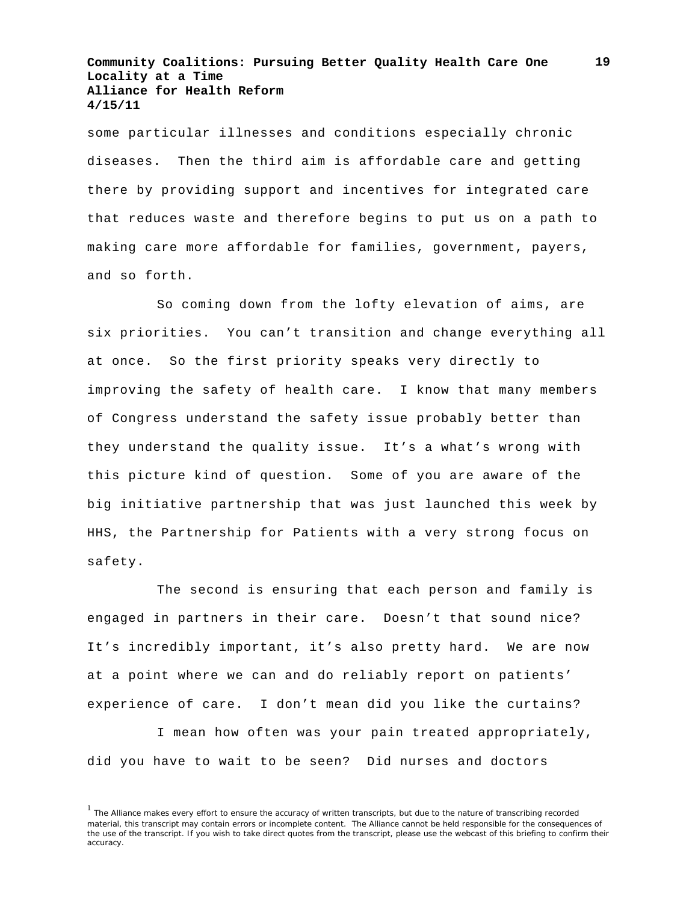some particular illnesses and conditions especially chronic diseases. Then the third aim is affordable care and getting there by providing support and incentives for integrated care that reduces waste and therefore begins to put us on a path to making care more affordable for families, government, payers, and so forth.

So coming down from the lofty elevation of aims, are six priorities. You can't transition and change everything all at once. So the first priority speaks very directly to improving the safety of health care. I know that many members of Congress understand the safety issue probably better than they understand the quality issue. It's a what's wrong with this picture kind of question. Some of you are aware of the big initiative partnership that was just launched this week by HHS, the Partnership for Patients with a very strong focus on safety.

The second is ensuring that each person and family is engaged in partners in their care. Doesn't that sound nice? It's incredibly important, it's also pretty hard. We are now at a point where we can and do reliably report on patients' experience of care. I don't mean did you like the curtains?

I mean how often was your pain treated appropriately, did you have to wait to be seen? Did nurses and doctors

<sup>&</sup>lt;sup>1</sup> The Alliance makes every effort to ensure the accuracy of written transcripts, but due to the nature of transcribing recorded material, this transcript may contain errors or incomplete content. The Alliance cannot be held responsible for the consequences of the use of the transcript. If you wish to take direct quotes from the transcript, please use the webcast of this briefing to confirm their accuracy.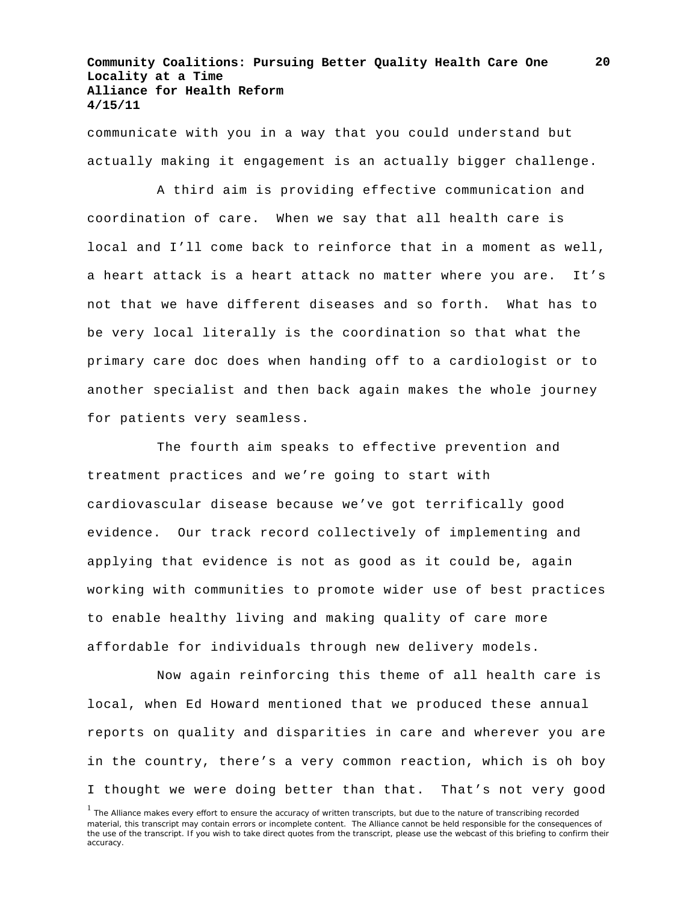communicate with you in a way that you could understand but actually making it engagement is an actually bigger challenge.

A third aim is providing effective communication and coordination of care. When we say that all health care is local and I'll come back to reinforce that in a moment as well, a heart attack is a heart attack no matter where you are. It's not that we have different diseases and so forth. What has to be very local literally is the coordination so that what the primary care doc does when handing off to a cardiologist or to another specialist and then back again makes the whole journey for patients very seamless.

The fourth aim speaks to effective prevention and treatment practices and we're going to start with cardiovascular disease because we've got terrifically good evidence. Our track record collectively of implementing and applying that evidence is not as good as it could be, again working with communities to promote wider use of best practices to enable healthy living and making quality of care more affordable for individuals through new delivery models.

Now again reinforcing this theme of all health care is local, when Ed Howard mentioned that we produced these annual reports on quality and disparities in care and wherever you are in the country, there's a very common reaction, which is oh boy I thought we were doing better than that. That's not very good

**20**

<sup>&</sup>lt;sup>1</sup> The Alliance makes every effort to ensure the accuracy of written transcripts, but due to the nature of transcribing recorded material, this transcript may contain errors or incomplete content. The Alliance cannot be held responsible for the consequences of the use of the transcript. If you wish to take direct quotes from the transcript, please use the webcast of this briefing to confirm their accuracy.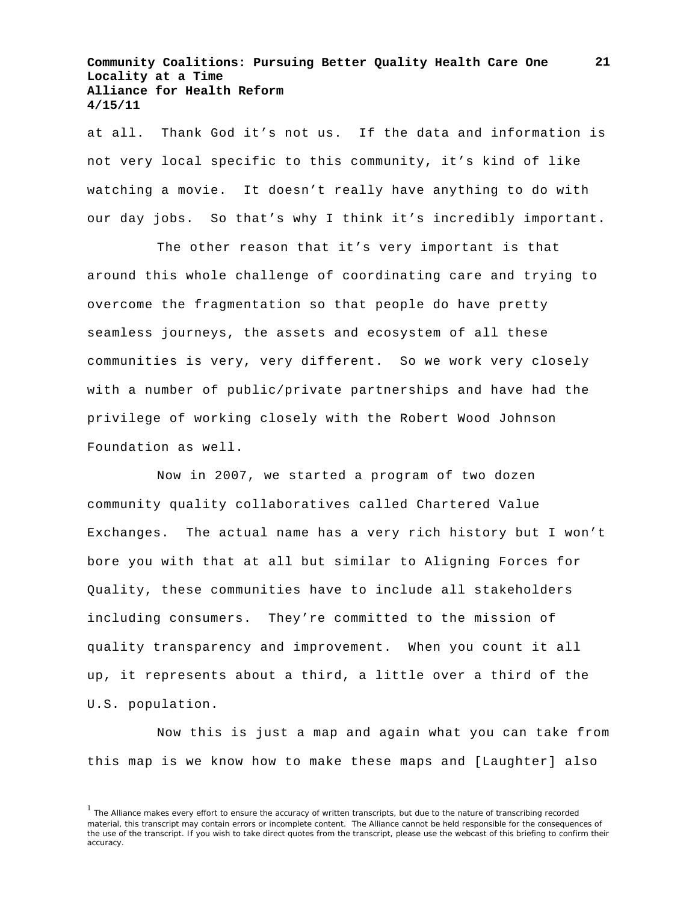at all. Thank God it's not us. If the data and information is not very local specific to this community, it's kind of like watching a movie. It doesn't really have anything to do with our day jobs. So that's why I think it's incredibly important.

The other reason that it's very important is that around this whole challenge of coordinating care and trying to overcome the fragmentation so that people do have pretty seamless journeys, the assets and ecosystem of all these communities is very, very different. So we work very closely with a number of public/private partnerships and have had the privilege of working closely with the Robert Wood Johnson Foundation as well.

Now in 2007, we started a program of two dozen community quality collaboratives called Chartered Value Exchanges. The actual name has a very rich history but I won't bore you with that at all but similar to Aligning Forces for Quality, these communities have to include all stakeholders including consumers. They're committed to the mission of quality transparency and improvement. When you count it all up, it represents about a third, a little over a third of the U.S. population.

Now this is just a map and again what you can take from this map is we know how to make these maps and [Laughter] also

<sup>&</sup>lt;sup>1</sup> The Alliance makes every effort to ensure the accuracy of written transcripts, but due to the nature of transcribing recorded material, this transcript may contain errors or incomplete content. The Alliance cannot be held responsible for the consequences of the use of the transcript. If you wish to take direct quotes from the transcript, please use the webcast of this briefing to confirm their accuracy.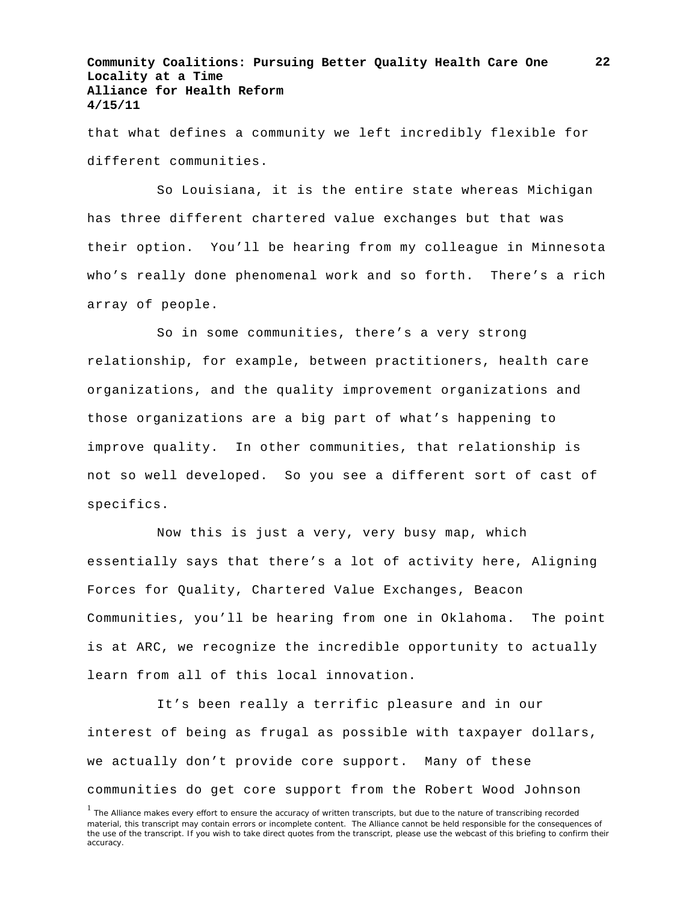that what defines a community we left incredibly flexible for different communities.

So Louisiana, it is the entire state whereas Michigan has three different chartered value exchanges but that was their option. You'll be hearing from my colleague in Minnesota who's really done phenomenal work and so forth. There's a rich array of people.

So in some communities, there's a very strong relationship, for example, between practitioners, health care organizations, and the quality improvement organizations and those organizations are a big part of what's happening to improve quality. In other communities, that relationship is not so well developed. So you see a different sort of cast of specifics.

Now this is just a very, very busy map, which essentially says that there's a lot of activity here, Aligning Forces for Quality, Chartered Value Exchanges, Beacon Communities, you'll be hearing from one in Oklahoma. The point is at ARC, we recognize the incredible opportunity to actually learn from all of this local innovation.

It's been really a terrific pleasure and in our interest of being as frugal as possible with taxpayer dollars, we actually don't provide core support. Many of these communities do get core support from the Robert Wood Johnson

<sup>&</sup>lt;sup>1</sup> The Alliance makes every effort to ensure the accuracy of written transcripts, but due to the nature of transcribing recorded material, this transcript may contain errors or incomplete content. The Alliance cannot be held responsible for the consequences of the use of the transcript. If you wish to take direct quotes from the transcript, please use the webcast of this briefing to confirm their accuracy.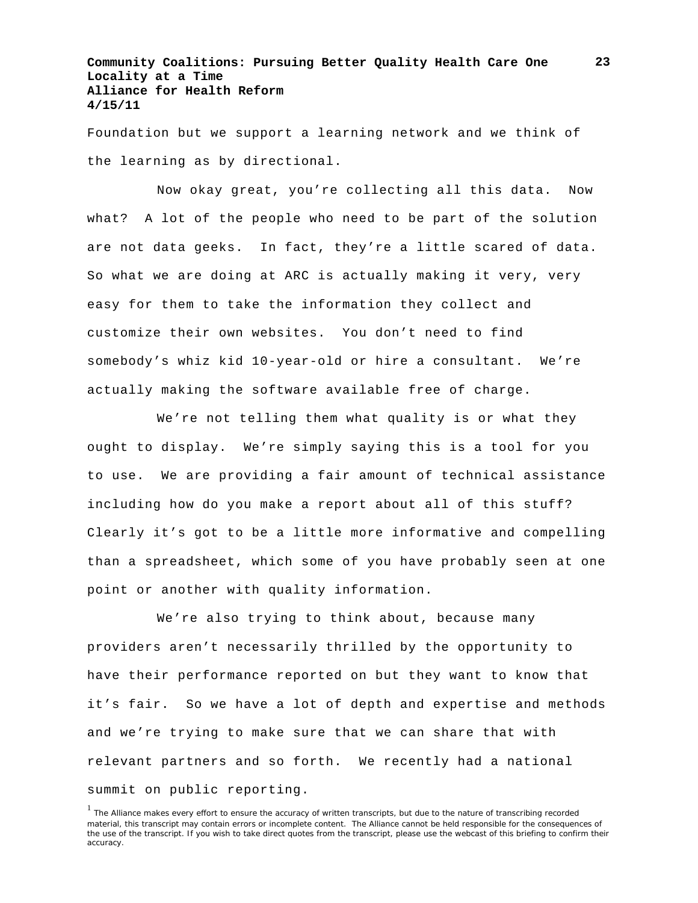Foundation but we support a learning network and we think of the learning as by directional.

Now okay great, you're collecting all this data. Now what? A lot of the people who need to be part of the solution are not data geeks. In fact, they're a little scared of data. So what we are doing at ARC is actually making it very, very easy for them to take the information they collect and customize their own websites. You don't need to find somebody's whiz kid 10-year-old or hire a consultant. We're actually making the software available free of charge.

We're not telling them what quality is or what they ought to display. We're simply saying this is a tool for you to use. We are providing a fair amount of technical assistance including how do you make a report about all of this stuff? Clearly it's got to be a little more informative and compelling than a spreadsheet, which some of you have probably seen at one point or another with quality information.

We're also trying to think about, because many providers aren't necessarily thrilled by the opportunity to have their performance reported on but they want to know that it's fair. So we have a lot of depth and expertise and methods and we're trying to make sure that we can share that with relevant partners and so forth. We recently had a national summit on public reporting.

<sup>&</sup>lt;sup>1</sup> The Alliance makes every effort to ensure the accuracy of written transcripts, but due to the nature of transcribing recorded material, this transcript may contain errors or incomplete content. The Alliance cannot be held responsible for the consequences of the use of the transcript. If you wish to take direct quotes from the transcript, please use the webcast of this briefing to confirm their accuracy.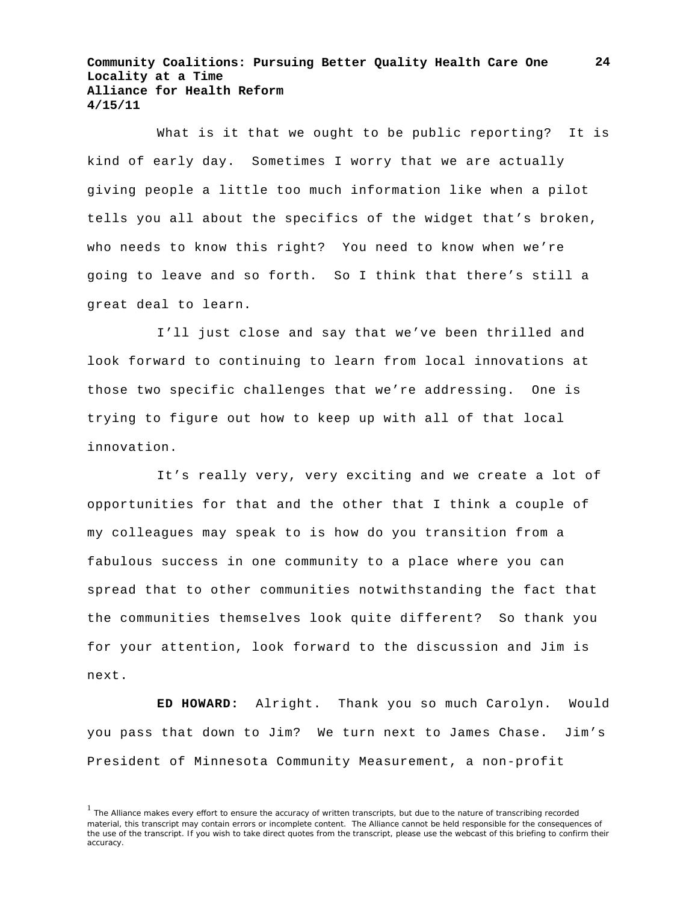What is it that we ought to be public reporting? It is kind of early day. Sometimes I worry that we are actually giving people a little too much information like when a pilot tells you all about the specifics of the widget that's broken, who needs to know this right? You need to know when we're going to leave and so forth. So I think that there's still a great deal to learn.

I'll just close and say that we've been thrilled and look forward to continuing to learn from local innovations at those two specific challenges that we're addressing. One is trying to figure out how to keep up with all of that local innovation.

It's really very, very exciting and we create a lot of opportunities for that and the other that I think a couple of my colleagues may speak to is how do you transition from a fabulous success in one community to a place where you can spread that to other communities notwithstanding the fact that the communities themselves look quite different? So thank you for your attention, look forward to the discussion and Jim is next.

**ED HOWARD:** Alright. Thank you so much Carolyn. Would you pass that down to Jim? We turn next to James Chase. Jim's President of Minnesota Community Measurement, a non-profit

<sup>&</sup>lt;sup>1</sup> The Alliance makes every effort to ensure the accuracy of written transcripts, but due to the nature of transcribing recorded material, this transcript may contain errors or incomplete content. The Alliance cannot be held responsible for the consequences of the use of the transcript. If you wish to take direct quotes from the transcript, please use the webcast of this briefing to confirm their accuracy.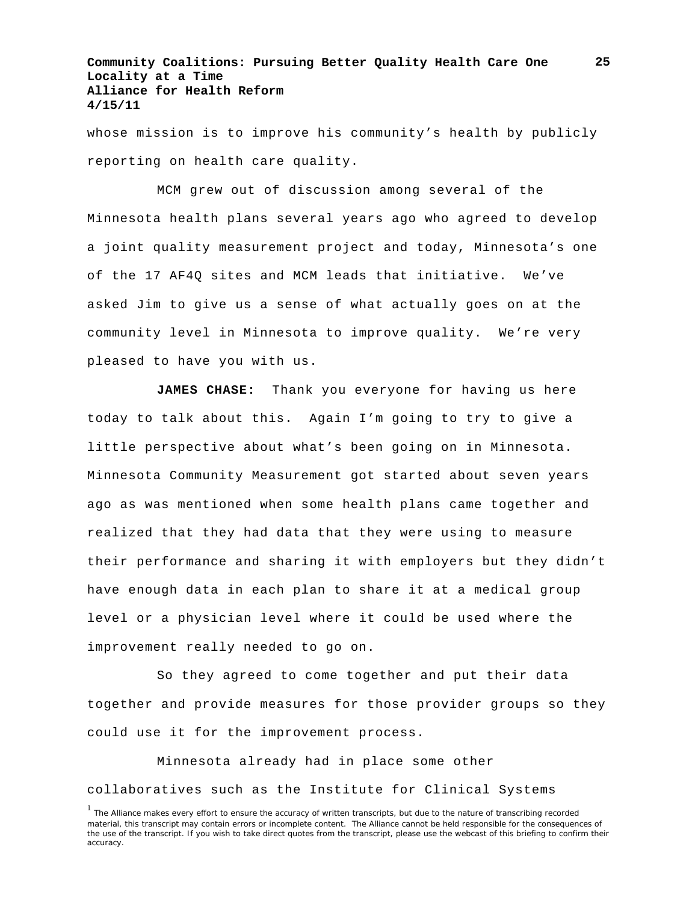whose mission is to improve his community's health by publicly reporting on health care quality.

MCM grew out of discussion among several of the Minnesota health plans several years ago who agreed to develop a joint quality measurement project and today, Minnesota's one of the 17 AF4Q sites and MCM leads that initiative. We've asked Jim to give us a sense of what actually goes on at the community level in Minnesota to improve quality. We're very pleased to have you with us.

**JAMES CHASE:** Thank you everyone for having us here today to talk about this. Again I'm going to try to give a little perspective about what's been going on in Minnesota. Minnesota Community Measurement got started about seven years ago as was mentioned when some health plans came together and realized that they had data that they were using to measure their performance and sharing it with employers but they didn't have enough data in each plan to share it at a medical group level or a physician level where it could be used where the improvement really needed to go on.

So they agreed to come together and put their data together and provide measures for those provider groups so they could use it for the improvement process.

Minnesota already had in place some other collaboratives such as the Institute for Clinical Systems **25**

<sup>&</sup>lt;sup>1</sup> The Alliance makes every effort to ensure the accuracy of written transcripts, but due to the nature of transcribing recorded material, this transcript may contain errors or incomplete content. The Alliance cannot be held responsible for the consequences of the use of the transcript. If you wish to take direct quotes from the transcript, please use the webcast of this briefing to confirm their accuracy.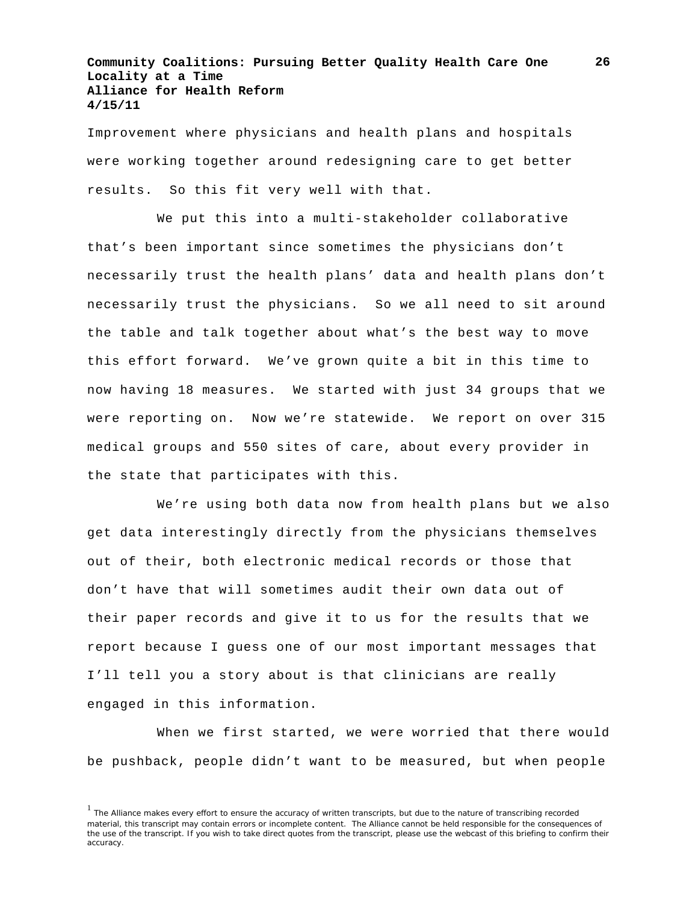Improvement where physicians and health plans and hospitals were working together around redesigning care to get better results. So this fit very well with that.

We put this into a multi-stakeholder collaborative that's been important since sometimes the physicians don't necessarily trust the health plans' data and health plans don't necessarily trust the physicians. So we all need to sit around the table and talk together about what's the best way to move this effort forward. We've grown quite a bit in this time to now having 18 measures. We started with just 34 groups that we were reporting on. Now we're statewide. We report on over 315 medical groups and 550 sites of care, about every provider in the state that participates with this.

We're using both data now from health plans but we also get data interestingly directly from the physicians themselves out of their, both electronic medical records or those that don't have that will sometimes audit their own data out of their paper records and give it to us for the results that we report because I guess one of our most important messages that I'll tell you a story about is that clinicians are really engaged in this information.

When we first started, we were worried that there would be pushback, people didn't want to be measured, but when people

<sup>&</sup>lt;sup>1</sup> The Alliance makes every effort to ensure the accuracy of written transcripts, but due to the nature of transcribing recorded material, this transcript may contain errors or incomplete content. The Alliance cannot be held responsible for the consequences of the use of the transcript. If you wish to take direct quotes from the transcript, please use the webcast of this briefing to confirm their accuracy.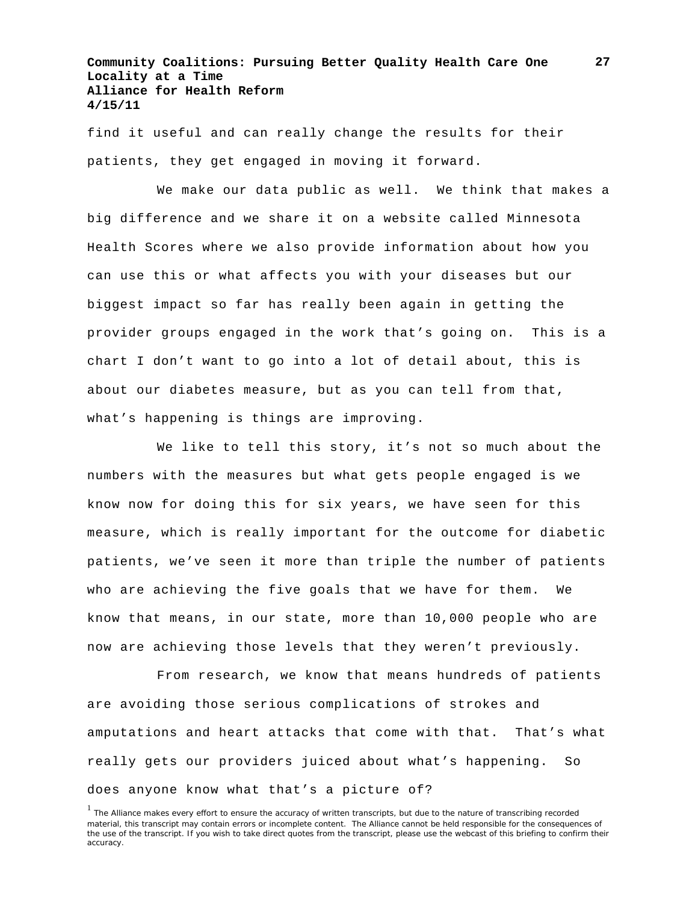find it useful and can really change the results for their patients, they get engaged in moving it forward.

We make our data public as well. We think that makes a big difference and we share it on a website called Minnesota Health Scores where we also provide information about how you can use this or what affects you with your diseases but our biggest impact so far has really been again in getting the provider groups engaged in the work that's going on. This is a chart I don't want to go into a lot of detail about, this is about our diabetes measure, but as you can tell from that, what's happening is things are improving.

We like to tell this story, it's not so much about the numbers with the measures but what gets people engaged is we know now for doing this for six years, we have seen for this measure, which is really important for the outcome for diabetic patients, we've seen it more than triple the number of patients who are achieving the five goals that we have for them. We know that means, in our state, more than 10,000 people who are now are achieving those levels that they weren't previously.

From research, we know that means hundreds of patients are avoiding those serious complications of strokes and amputations and heart attacks that come with that. That's what really gets our providers juiced about what's happening. So does anyone know what that's a picture of?

**27**

<sup>&</sup>lt;sup>1</sup> The Alliance makes every effort to ensure the accuracy of written transcripts, but due to the nature of transcribing recorded material, this transcript may contain errors or incomplete content. The Alliance cannot be held responsible for the consequences of the use of the transcript. If you wish to take direct quotes from the transcript, please use the webcast of this briefing to confirm their accuracy.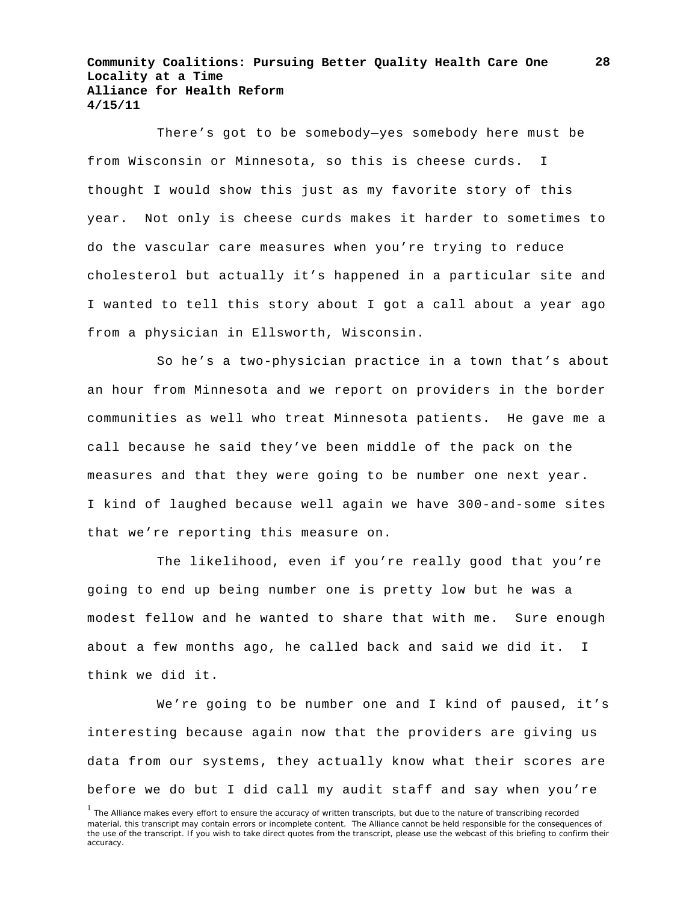There's got to be somebody—yes somebody here must be from Wisconsin or Minnesota, so this is cheese curds. I thought I would show this just as my favorite story of this year. Not only is cheese curds makes it harder to sometimes to do the vascular care measures when you're trying to reduce cholesterol but actually it's happened in a particular site and I wanted to tell this story about I got a call about a year ago from a physician in Ellsworth, Wisconsin.

So he's a two-physician practice in a town that's about an hour from Minnesota and we report on providers in the border communities as well who treat Minnesota patients. He gave me a call because he said they've been middle of the pack on the measures and that they were going to be number one next year. I kind of laughed because well again we have 300-and-some sites that we're reporting this measure on.

The likelihood, even if you're really good that you're going to end up being number one is pretty low but he was a modest fellow and he wanted to share that with me. Sure enough about a few months ago, he called back and said we did it. I think we did it.

We're going to be number one and I kind of paused, it's interesting because again now that the providers are giving us data from our systems, they actually know what their scores are before we do but I did call my audit staff and say when you're

<sup>&</sup>lt;sup>1</sup> The Alliance makes every effort to ensure the accuracy of written transcripts, but due to the nature of transcribing recorded material, this transcript may contain errors or incomplete content. The Alliance cannot be held responsible for the consequences of the use of the transcript. If you wish to take direct quotes from the transcript, please use the webcast of this briefing to confirm their accuracy.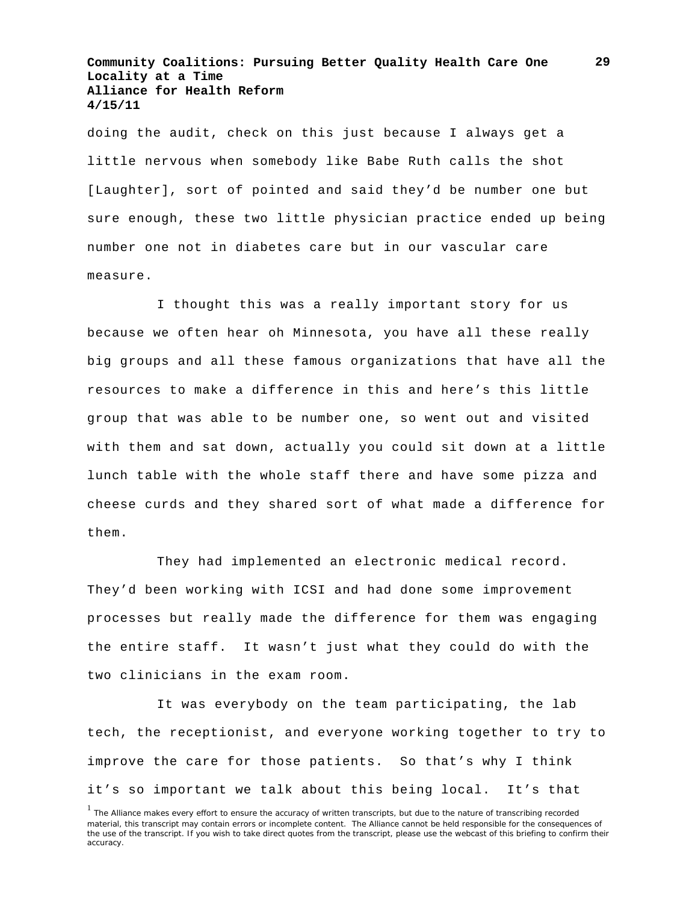doing the audit, check on this just because I always get a little nervous when somebody like Babe Ruth calls the shot [Laughter], sort of pointed and said they'd be number one but sure enough, these two little physician practice ended up being number one not in diabetes care but in our vascular care measure.

I thought this was a really important story for us because we often hear oh Minnesota, you have all these really big groups and all these famous organizations that have all the resources to make a difference in this and here's this little group that was able to be number one, so went out and visited with them and sat down, actually you could sit down at a little lunch table with the whole staff there and have some pizza and cheese curds and they shared sort of what made a difference for them.

They had implemented an electronic medical record. They'd been working with ICSI and had done some improvement processes but really made the difference for them was engaging the entire staff. It wasn't just what they could do with the two clinicians in the exam room.

It was everybody on the team participating, the lab tech, the receptionist, and everyone working together to try to improve the care for those patients. So that's why I think it's so important we talk about this being local. It's that

<sup>&</sup>lt;sup>1</sup> The Alliance makes every effort to ensure the accuracy of written transcripts, but due to the nature of transcribing recorded material, this transcript may contain errors or incomplete content. The Alliance cannot be held responsible for the consequences of the use of the transcript. If you wish to take direct quotes from the transcript, please use the webcast of this briefing to confirm their accuracy.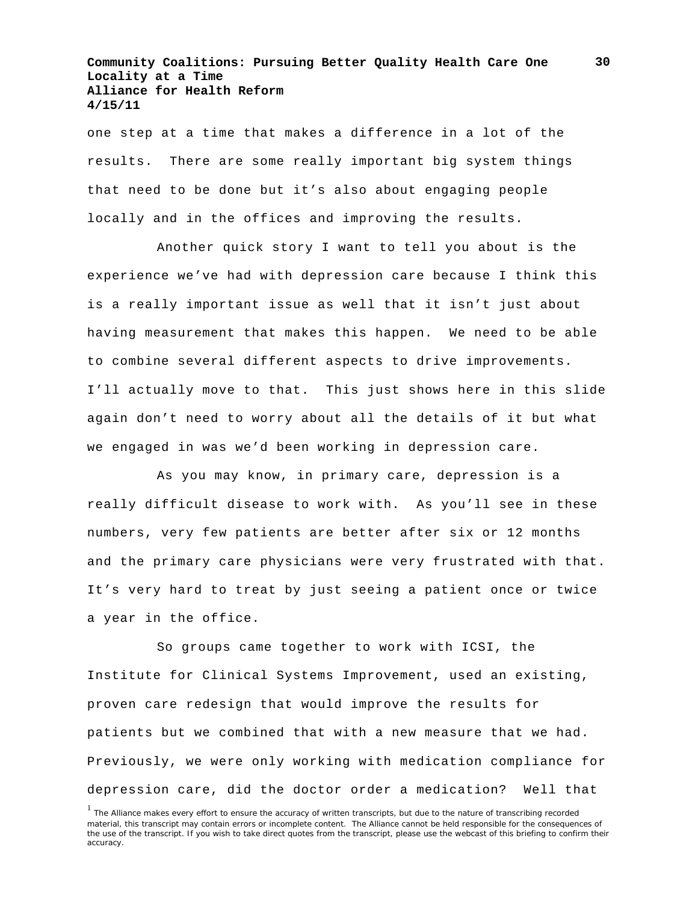one step at a time that makes a difference in a lot of the results. There are some really important big system things that need to be done but it's also about engaging people locally and in the offices and improving the results.

Another quick story I want to tell you about is the experience we've had with depression care because I think this is a really important issue as well that it isn't just about having measurement that makes this happen. We need to be able to combine several different aspects to drive improvements. I'll actually move to that. This just shows here in this slide again don't need to worry about all the details of it but what we engaged in was we'd been working in depression care.

As you may know, in primary care, depression is a really difficult disease to work with. As you'll see in these numbers, very few patients are better after six or 12 months and the primary care physicians were very frustrated with that. It's very hard to treat by just seeing a patient once or twice a year in the office.

So groups came together to work with ICSI, the Institute for Clinical Systems Improvement, used an existing, proven care redesign that would improve the results for patients but we combined that with a new measure that we had. Previously, we were only working with medication compliance for depression care, did the doctor order a medication? Well that

<sup>&</sup>lt;sup>1</sup> The Alliance makes every effort to ensure the accuracy of written transcripts, but due to the nature of transcribing recorded material, this transcript may contain errors or incomplete content. The Alliance cannot be held responsible for the consequences of the use of the transcript. If you wish to take direct quotes from the transcript, please use the webcast of this briefing to confirm their accuracy.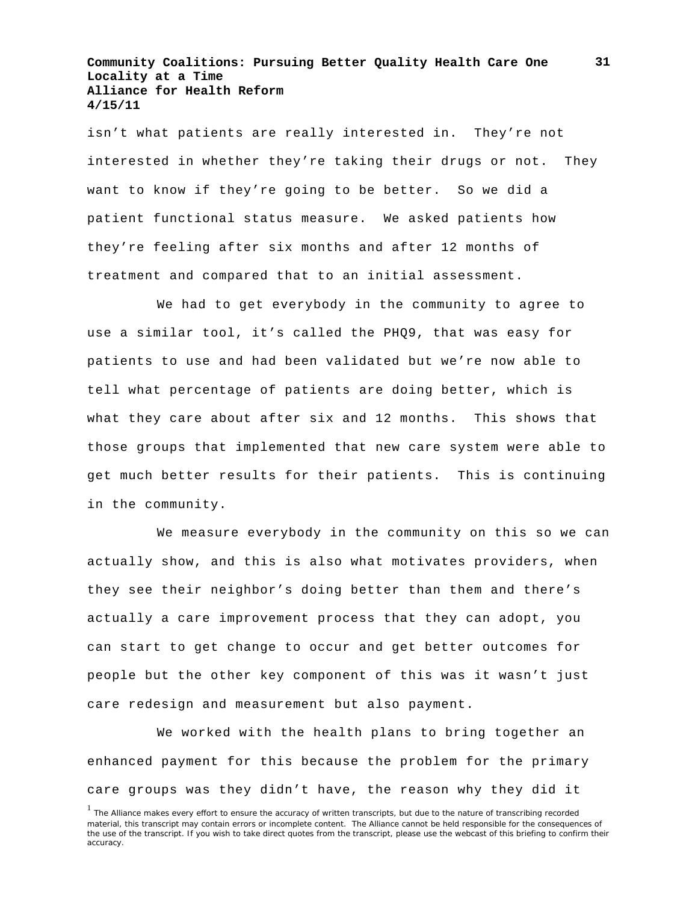isn't what patients are really interested in. They're not interested in whether they're taking their drugs or not. They want to know if they're going to be better. So we did a patient functional status measure. We asked patients how they're feeling after six months and after 12 months of treatment and compared that to an initial assessment.

We had to get everybody in the community to agree to use a similar tool, it's called the PHQ9, that was easy for patients to use and had been validated but we're now able to tell what percentage of patients are doing better, which is what they care about after six and 12 months. This shows that those groups that implemented that new care system were able to get much better results for their patients. This is continuing in the community.

We measure everybody in the community on this so we can actually show, and this is also what motivates providers, when they see their neighbor's doing better than them and there's actually a care improvement process that they can adopt, you can start to get change to occur and get better outcomes for people but the other key component of this was it wasn't just care redesign and measurement but also payment.

We worked with the health plans to bring together an enhanced payment for this because the problem for the primary care groups was they didn't have, the reason why they did it

<sup>&</sup>lt;sup>1</sup> The Alliance makes every effort to ensure the accuracy of written transcripts, but due to the nature of transcribing recorded material, this transcript may contain errors or incomplete content. The Alliance cannot be held responsible for the consequences of the use of the transcript. If you wish to take direct quotes from the transcript, please use the webcast of this briefing to confirm their accuracy.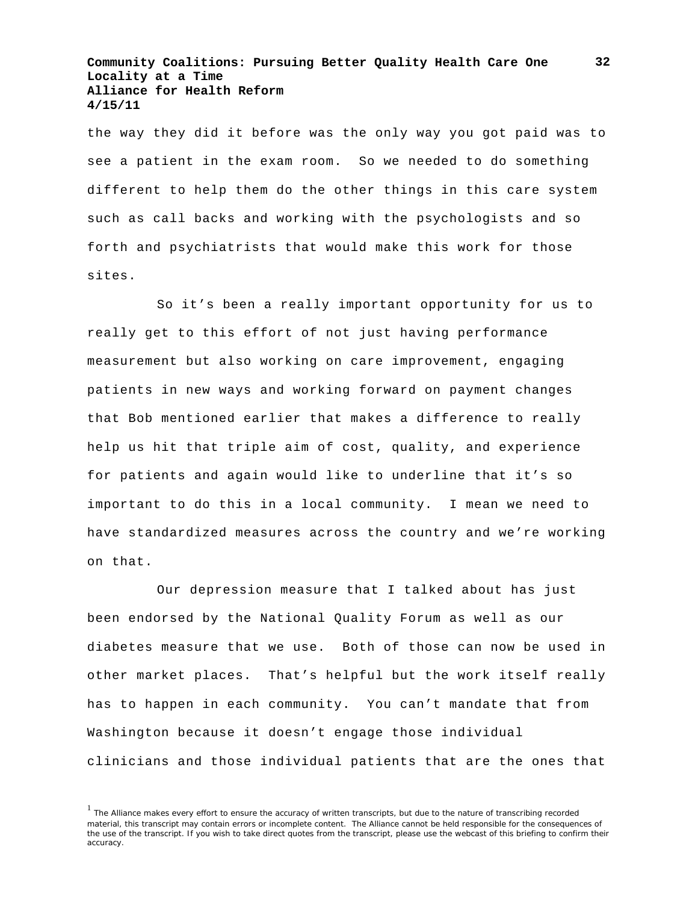the way they did it before was the only way you got paid was to see a patient in the exam room. So we needed to do something different to help them do the other things in this care system such as call backs and working with the psychologists and so forth and psychiatrists that would make this work for those sites.

So it's been a really important opportunity for us to really get to this effort of not just having performance measurement but also working on care improvement, engaging patients in new ways and working forward on payment changes that Bob mentioned earlier that makes a difference to really help us hit that triple aim of cost, quality, and experience for patients and again would like to underline that it's so important to do this in a local community. I mean we need to have standardized measures across the country and we're working on that.

Our depression measure that I talked about has just been endorsed by the National Quality Forum as well as our diabetes measure that we use. Both of those can now be used in other market places. That's helpful but the work itself really has to happen in each community. You can't mandate that from Washington because it doesn't engage those individual clinicians and those individual patients that are the ones that

<sup>&</sup>lt;sup>1</sup> The Alliance makes every effort to ensure the accuracy of written transcripts, but due to the nature of transcribing recorded material, this transcript may contain errors or incomplete content. The Alliance cannot be held responsible for the consequences of the use of the transcript. If you wish to take direct quotes from the transcript, please use the webcast of this briefing to confirm their accuracy.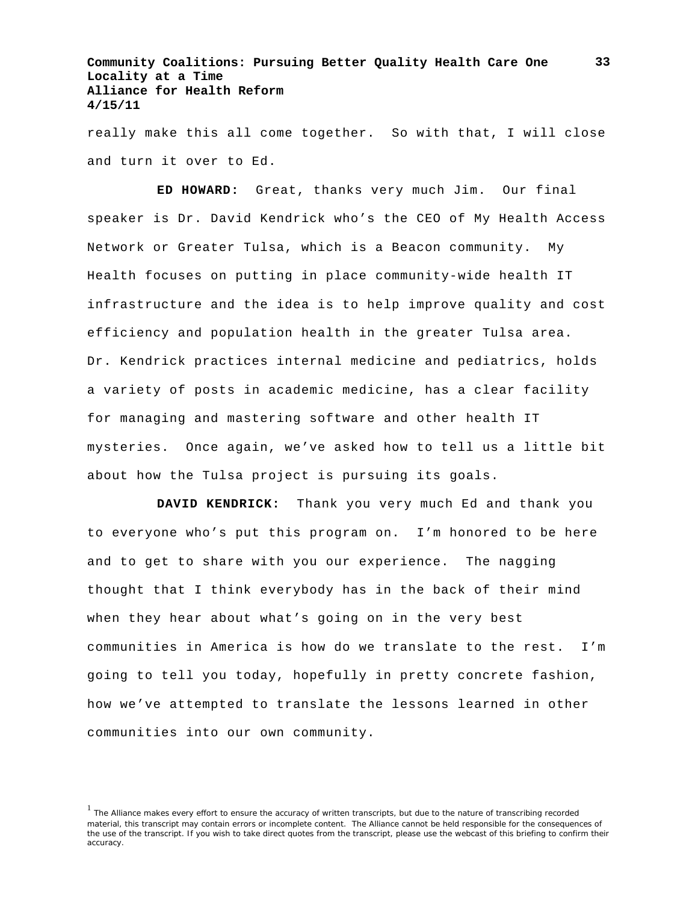really make this all come together. So with that, I will close and turn it over to Ed.

**ED HOWARD:** Great, thanks very much Jim. Our final speaker is Dr. David Kendrick who's the CEO of My Health Access Network or Greater Tulsa, which is a Beacon community. My Health focuses on putting in place community-wide health IT infrastructure and the idea is to help improve quality and cost efficiency and population health in the greater Tulsa area. Dr. Kendrick practices internal medicine and pediatrics, holds a variety of posts in academic medicine, has a clear facility for managing and mastering software and other health IT mysteries. Once again, we've asked how to tell us a little bit about how the Tulsa project is pursuing its goals.

**DAVID KENDRICK:** Thank you very much Ed and thank you to everyone who's put this program on. I'm honored to be here and to get to share with you our experience. The nagging thought that I think everybody has in the back of their mind when they hear about what's going on in the very best communities in America is how do we translate to the rest. I'm going to tell you today, hopefully in pretty concrete fashion, how we've attempted to translate the lessons learned in other communities into our own community.

<sup>1</sup> The Alliance makes every effort to ensure the accuracy of written transcripts, but due to the nature of transcribing recorded material, this transcript may contain errors or incomplete content. The Alliance cannot be held responsible for the consequences of the use of the transcript. If you wish to take direct quotes from the transcript, please use the webcast of this briefing to confirm their accuracy.

**33**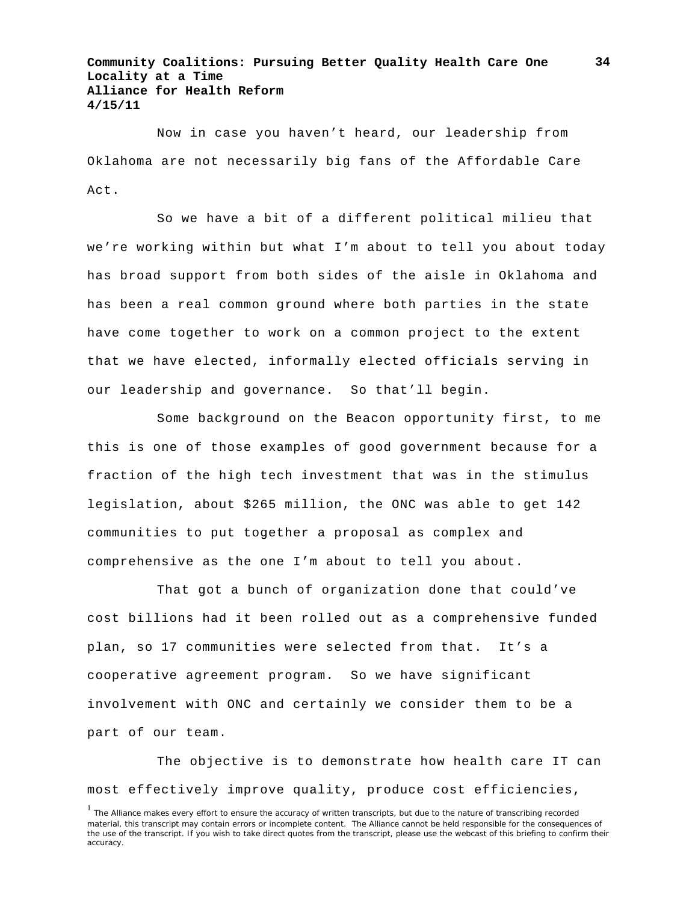Now in case you haven't heard, our leadership from Oklahoma are not necessarily big fans of the Affordable Care Act.

So we have a bit of a different political milieu that we're working within but what I'm about to tell you about today has broad support from both sides of the aisle in Oklahoma and has been a real common ground where both parties in the state have come together to work on a common project to the extent that we have elected, informally elected officials serving in our leadership and governance. So that'll begin.

Some background on the Beacon opportunity first, to me this is one of those examples of good government because for a fraction of the high tech investment that was in the stimulus legislation, about \$265 million, the ONC was able to get 142 communities to put together a proposal as complex and comprehensive as the one I'm about to tell you about.

That got a bunch of organization done that could've cost billions had it been rolled out as a comprehensive funded plan, so 17 communities were selected from that. It's a cooperative agreement program. So we have significant involvement with ONC and certainly we consider them to be a part of our team.

The objective is to demonstrate how health care IT can most effectively improve quality, produce cost efficiencies,

<sup>&</sup>lt;sup>1</sup> The Alliance makes every effort to ensure the accuracy of written transcripts, but due to the nature of transcribing recorded material, this transcript may contain errors or incomplete content. The Alliance cannot be held responsible for the consequences of the use of the transcript. If you wish to take direct quotes from the transcript, please use the webcast of this briefing to confirm their accuracy.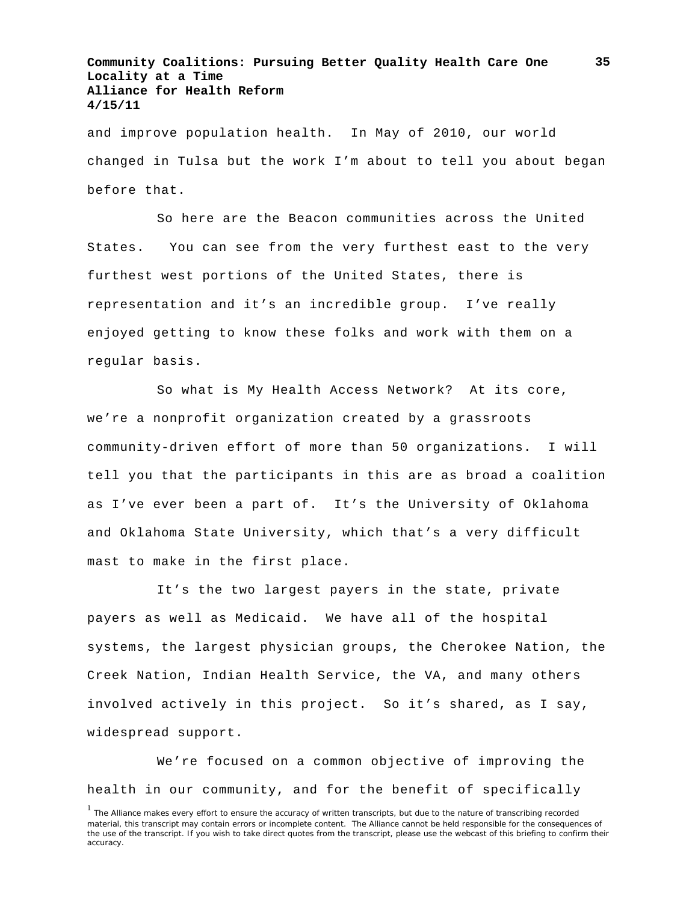and improve population health. In May of 2010, our world changed in Tulsa but the work I'm about to tell you about began before that.

So here are the Beacon communities across the United States. You can see from the very furthest east to the very furthest west portions of the United States, there is representation and it's an incredible group. I've really enjoyed getting to know these folks and work with them on a regular basis.

So what is My Health Access Network? At its core, we're a nonprofit organization created by a grassroots community-driven effort of more than 50 organizations. I will tell you that the participants in this are as broad a coalition as I've ever been a part of. It's the University of Oklahoma and Oklahoma State University, which that's a very difficult mast to make in the first place.

It's the two largest payers in the state, private payers as well as Medicaid. We have all of the hospital systems, the largest physician groups, the Cherokee Nation, the Creek Nation, Indian Health Service, the VA, and many others involved actively in this project. So it's shared, as I say, widespread support.

We're focused on a common objective of improving the health in our community, and for the benefit of specifically

<sup>&</sup>lt;sup>1</sup> The Alliance makes every effort to ensure the accuracy of written transcripts, but due to the nature of transcribing recorded material, this transcript may contain errors or incomplete content. The Alliance cannot be held responsible for the consequences of the use of the transcript. If you wish to take direct quotes from the transcript, please use the webcast of this briefing to confirm their accuracy.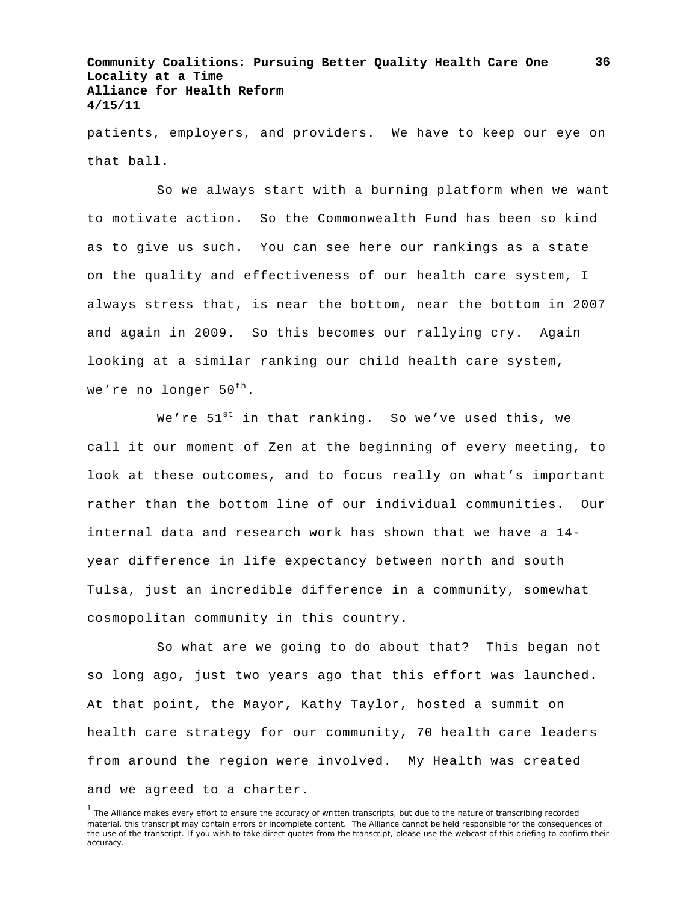patients, employers, and providers. We have to keep our eye on that ball.

So we always start with a burning platform when we want to motivate action. So the Commonwealth Fund has been so kind as to give us such. You can see here our rankings as a state on the quality and effectiveness of our health care system, I always stress that, is near the bottom, near the bottom in 2007 and again in 2009. So this becomes our rallying cry. Again looking at a similar ranking our child health care system, we're no longer  $50^{th}$ .

We're  $51^{st}$  in that ranking. So we've used this, we call it our moment of Zen at the beginning of every meeting, to look at these outcomes, and to focus really on what's important rather than the bottom line of our individual communities. Our internal data and research work has shown that we have a 14 year difference in life expectancy between north and south Tulsa, just an incredible difference in a community, somewhat cosmopolitan community in this country.

So what are we going to do about that? This began not so long ago, just two years ago that this effort was launched. At that point, the Mayor, Kathy Taylor, hosted a summit on health care strategy for our community, 70 health care leaders from around the region were involved. My Health was created and we agreed to a charter.

<sup>&</sup>lt;sup>1</sup> The Alliance makes every effort to ensure the accuracy of written transcripts, but due to the nature of transcribing recorded material, this transcript may contain errors or incomplete content. The Alliance cannot be held responsible for the consequences of the use of the transcript. If you wish to take direct quotes from the transcript, please use the webcast of this briefing to confirm their accuracy.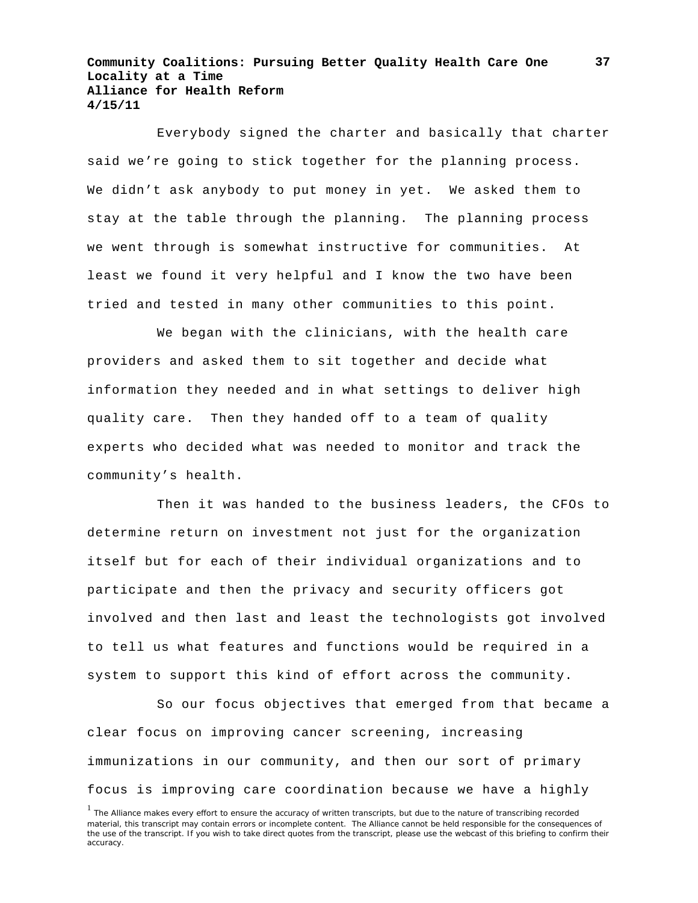Everybody signed the charter and basically that charter said we're going to stick together for the planning process. We didn't ask anybody to put money in yet. We asked them to stay at the table through the planning. The planning process we went through is somewhat instructive for communities. At least we found it very helpful and I know the two have been tried and tested in many other communities to this point.

We began with the clinicians, with the health care providers and asked them to sit together and decide what information they needed and in what settings to deliver high quality care. Then they handed off to a team of quality experts who decided what was needed to monitor and track the community's health.

Then it was handed to the business leaders, the CFOs to determine return on investment not just for the organization itself but for each of their individual organizations and to participate and then the privacy and security officers got involved and then last and least the technologists got involved to tell us what features and functions would be required in a system to support this kind of effort across the community.

So our focus objectives that emerged from that became a clear focus on improving cancer screening, increasing immunizations in our community, and then our sort of primary focus is improving care coordination because we have a highly

<sup>&</sup>lt;sup>1</sup> The Alliance makes every effort to ensure the accuracy of written transcripts, but due to the nature of transcribing recorded material, this transcript may contain errors or incomplete content. The Alliance cannot be held responsible for the consequences of the use of the transcript. If you wish to take direct quotes from the transcript, please use the webcast of this briefing to confirm their accuracy.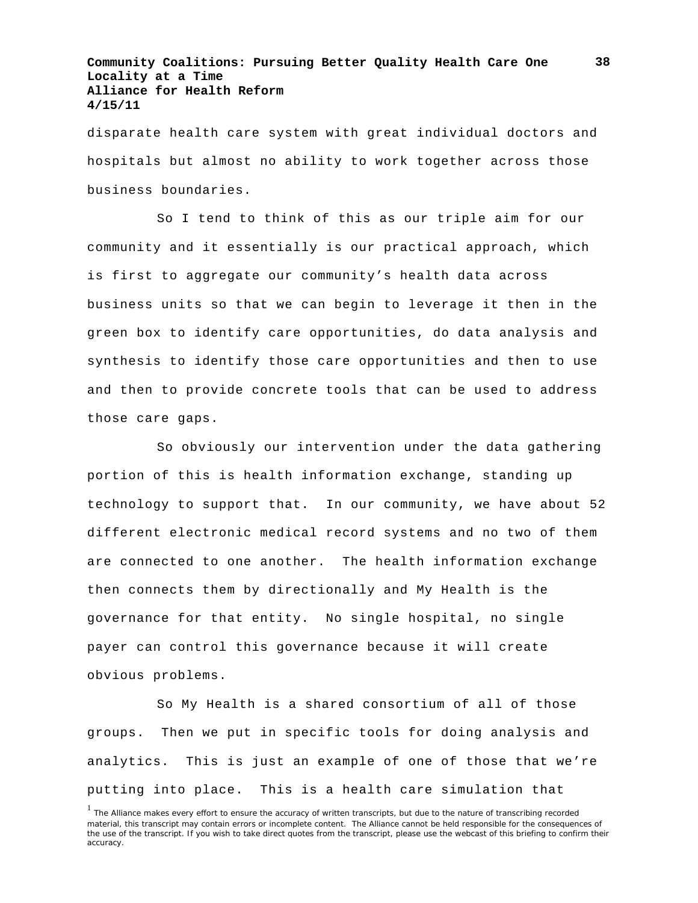disparate health care system with great individual doctors and hospitals but almost no ability to work together across those business boundaries.

So I tend to think of this as our triple aim for our community and it essentially is our practical approach, which is first to aggregate our community's health data across business units so that we can begin to leverage it then in the green box to identify care opportunities, do data analysis and synthesis to identify those care opportunities and then to use and then to provide concrete tools that can be used to address those care gaps.

So obviously our intervention under the data gathering portion of this is health information exchange, standing up technology to support that. In our community, we have about 52 different electronic medical record systems and no two of them are connected to one another. The health information exchange then connects them by directionally and My Health is the governance for that entity. No single hospital, no single payer can control this governance because it will create obvious problems.

So My Health is a shared consortium of all of those groups. Then we put in specific tools for doing analysis and analytics. This is just an example of one of those that we're putting into place. This is a health care simulation that

<sup>&</sup>lt;sup>1</sup> The Alliance makes every effort to ensure the accuracy of written transcripts, but due to the nature of transcribing recorded material, this transcript may contain errors or incomplete content. The Alliance cannot be held responsible for the consequences of the use of the transcript. If you wish to take direct quotes from the transcript, please use the webcast of this briefing to confirm their accuracy.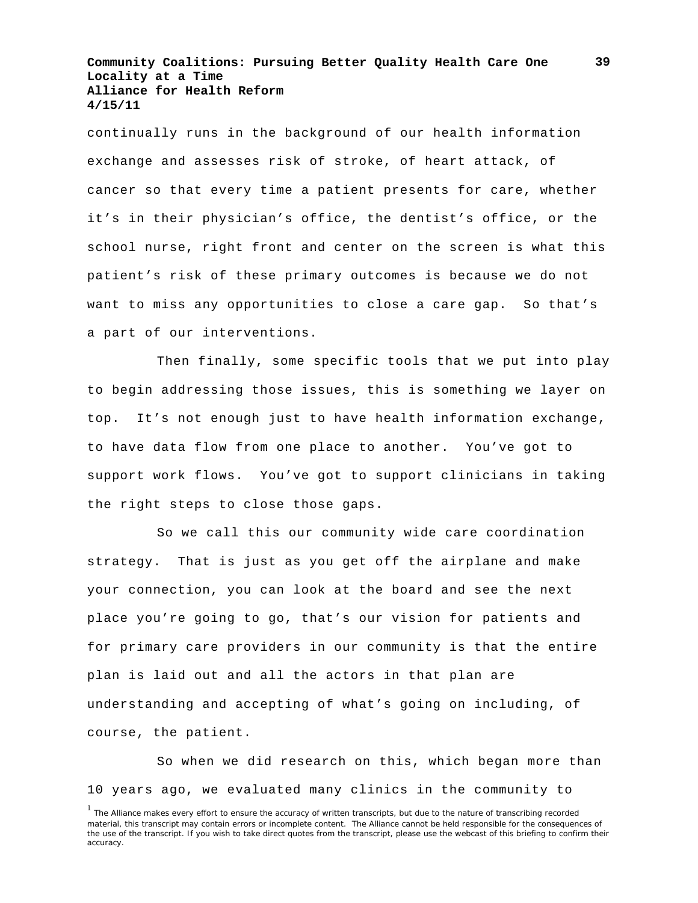continually runs in the background of our health information exchange and assesses risk of stroke, of heart attack, of cancer so that every time a patient presents for care, whether it's in their physician's office, the dentist's office, or the school nurse, right front and center on the screen is what this patient's risk of these primary outcomes is because we do not want to miss any opportunities to close a care gap. So that's a part of our interventions.

Then finally, some specific tools that we put into play to begin addressing those issues, this is something we layer on top. It's not enough just to have health information exchange, to have data flow from one place to another. You've got to support work flows. You've got to support clinicians in taking the right steps to close those gaps.

So we call this our community wide care coordination strategy. That is just as you get off the airplane and make your connection, you can look at the board and see the next place you're going to go, that's our vision for patients and for primary care providers in our community is that the entire plan is laid out and all the actors in that plan are understanding and accepting of what's going on including, of course, the patient.

So when we did research on this, which began more than 10 years ago, we evaluated many clinics in the community to

<sup>&</sup>lt;sup>1</sup> The Alliance makes every effort to ensure the accuracy of written transcripts, but due to the nature of transcribing recorded material, this transcript may contain errors or incomplete content. The Alliance cannot be held responsible for the consequences of the use of the transcript. If you wish to take direct quotes from the transcript, please use the webcast of this briefing to confirm their accuracy.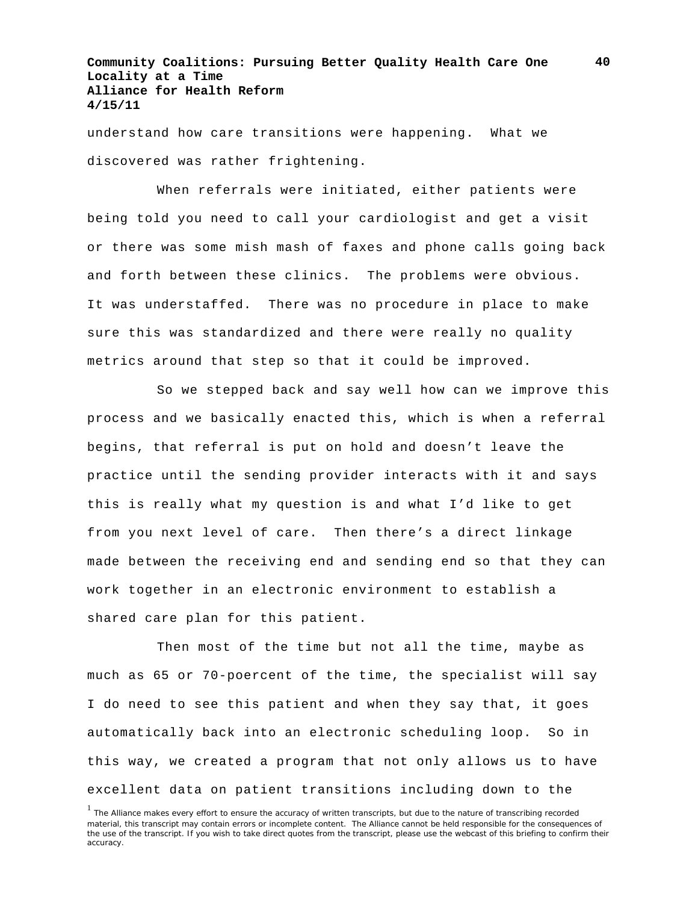understand how care transitions were happening. What we discovered was rather frightening.

When referrals were initiated, either patients were being told you need to call your cardiologist and get a visit or there was some mish mash of faxes and phone calls going back and forth between these clinics. The problems were obvious. It was understaffed. There was no procedure in place to make sure this was standardized and there were really no quality metrics around that step so that it could be improved.

So we stepped back and say well how can we improve this process and we basically enacted this, which is when a referral begins, that referral is put on hold and doesn't leave the practice until the sending provider interacts with it and says this is really what my question is and what I'd like to get from you next level of care. Then there's a direct linkage made between the receiving end and sending end so that they can work together in an electronic environment to establish a shared care plan for this patient.

Then most of the time but not all the time, maybe as much as 65 or 70-poercent of the time, the specialist will say I do need to see this patient and when they say that, it goes automatically back into an electronic scheduling loop. So in this way, we created a program that not only allows us to have excellent data on patient transitions including down to the

<sup>&</sup>lt;sup>1</sup> The Alliance makes every effort to ensure the accuracy of written transcripts, but due to the nature of transcribing recorded material, this transcript may contain errors or incomplete content. The Alliance cannot be held responsible for the consequences of the use of the transcript. If you wish to take direct quotes from the transcript, please use the webcast of this briefing to confirm their accuracy.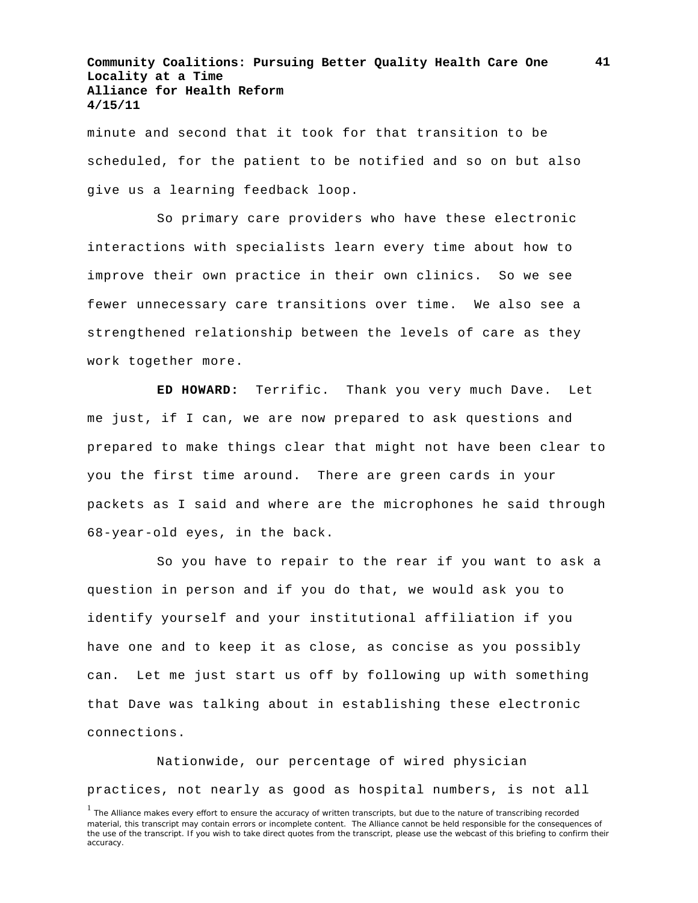minute and second that it took for that transition to be scheduled, for the patient to be notified and so on but also give us a learning feedback loop.

So primary care providers who have these electronic interactions with specialists learn every time about how to improve their own practice in their own clinics. So we see fewer unnecessary care transitions over time. We also see a strengthened relationship between the levels of care as they work together more.

**ED HOWARD:** Terrific. Thank you very much Dave. Let me just, if I can, we are now prepared to ask questions and prepared to make things clear that might not have been clear to you the first time around. There are green cards in your packets as I said and where are the microphones he said through 68-year-old eyes, in the back.

So you have to repair to the rear if you want to ask a question in person and if you do that, we would ask you to identify yourself and your institutional affiliation if you have one and to keep it as close, as concise as you possibly can. Let me just start us off by following up with something that Dave was talking about in establishing these electronic connections.

Nationwide, our percentage of wired physician practices, not nearly as good as hospital numbers, is not all

<sup>&</sup>lt;sup>1</sup> The Alliance makes every effort to ensure the accuracy of written transcripts, but due to the nature of transcribing recorded material, this transcript may contain errors or incomplete content. The Alliance cannot be held responsible for the consequences of the use of the transcript. If you wish to take direct quotes from the transcript, please use the webcast of this briefing to confirm their accuracy.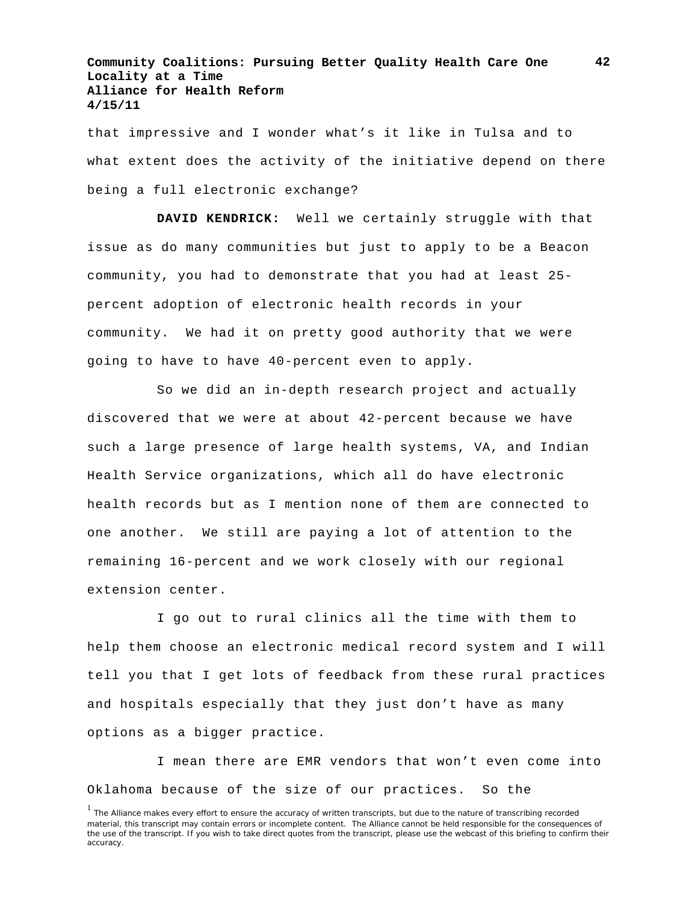that impressive and I wonder what's it like in Tulsa and to what extent does the activity of the initiative depend on there being a full electronic exchange?

**DAVID KENDRICK:** Well we certainly struggle with that issue as do many communities but just to apply to be a Beacon community, you had to demonstrate that you had at least 25 percent adoption of electronic health records in your community. We had it on pretty good authority that we were going to have to have 40-percent even to apply.

So we did an in-depth research project and actually discovered that we were at about 42-percent because we have such a large presence of large health systems, VA, and Indian Health Service organizations, which all do have electronic health records but as I mention none of them are connected to one another. We still are paying a lot of attention to the remaining 16-percent and we work closely with our regional extension center.

I go out to rural clinics all the time with them to help them choose an electronic medical record system and I will tell you that I get lots of feedback from these rural practices and hospitals especially that they just don't have as many options as a bigger practice.

I mean there are EMR vendors that won't even come into Oklahoma because of the size of our practices. So the

<sup>&</sup>lt;sup>1</sup> The Alliance makes every effort to ensure the accuracy of written transcripts, but due to the nature of transcribing recorded material, this transcript may contain errors or incomplete content. The Alliance cannot be held responsible for the consequences of the use of the transcript. If you wish to take direct quotes from the transcript, please use the webcast of this briefing to confirm their accuracy.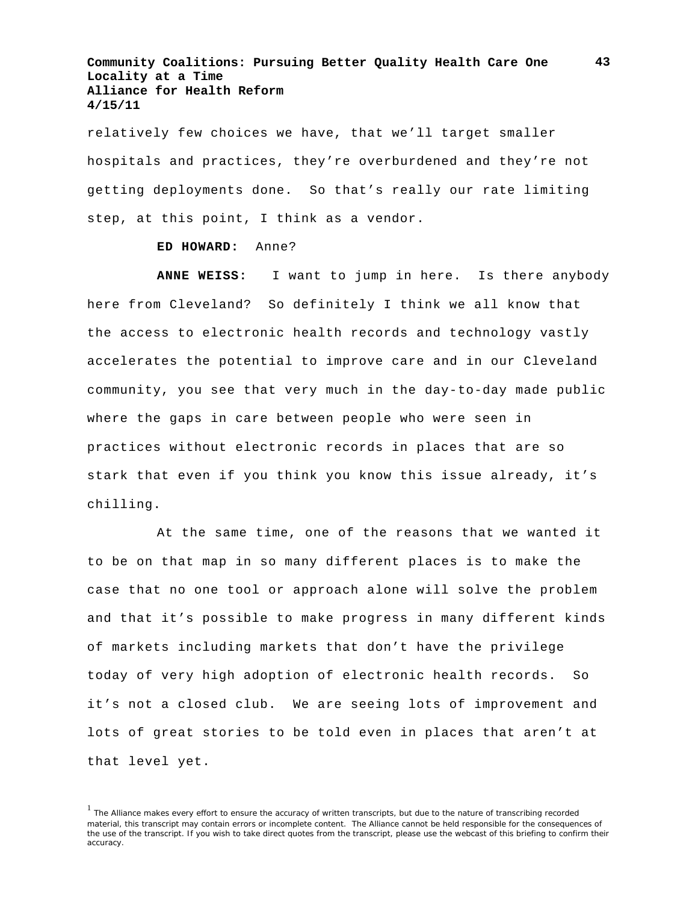relatively few choices we have, that we'll target smaller hospitals and practices, they're overburdened and they're not getting deployments done. So that's really our rate limiting step, at this point, I think as a vendor.

#### **ED HOWARD:** Anne?

**ANNE WEISS:** I want to jump in here. Is there anybody here from Cleveland? So definitely I think we all know that the access to electronic health records and technology vastly accelerates the potential to improve care and in our Cleveland community, you see that very much in the day-to-day made public where the gaps in care between people who were seen in practices without electronic records in places that are so stark that even if you think you know this issue already, it's chilling.

At the same time, one of the reasons that we wanted it to be on that map in so many different places is to make the case that no one tool or approach alone will solve the problem and that it's possible to make progress in many different kinds of markets including markets that don't have the privilege today of very high adoption of electronic health records. So it's not a closed club. We are seeing lots of improvement and lots of great stories to be told even in places that aren't at that level yet.

<sup>&</sup>lt;sup>1</sup> The Alliance makes every effort to ensure the accuracy of written transcripts, but due to the nature of transcribing recorded material, this transcript may contain errors or incomplete content. The Alliance cannot be held responsible for the consequences of the use of the transcript. If you wish to take direct quotes from the transcript, please use the webcast of this briefing to confirm their accuracy.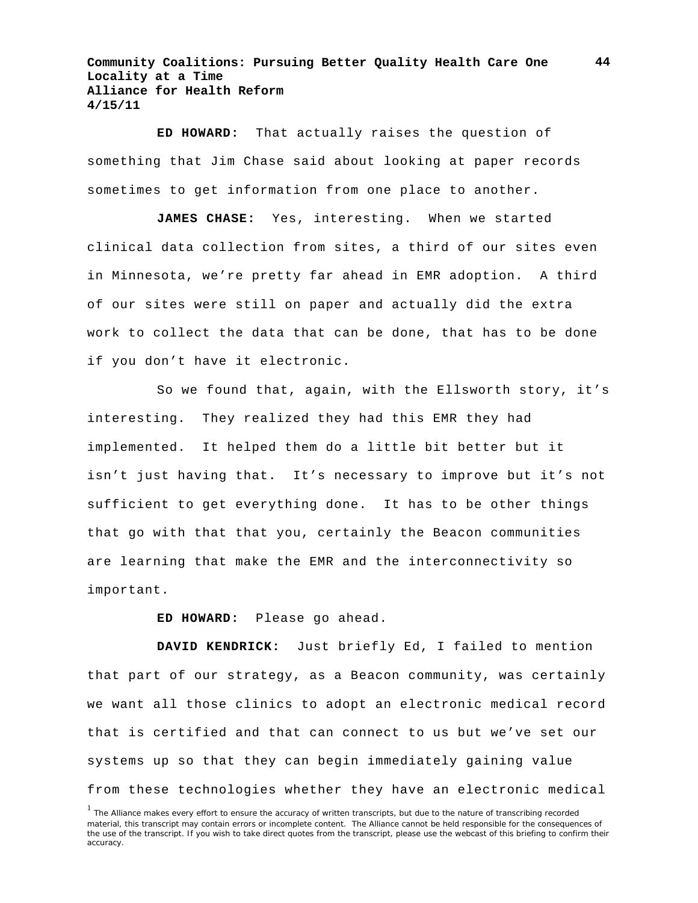**ED HOWARD:** That actually raises the question of something that Jim Chase said about looking at paper records sometimes to get information from one place to another.

**JAMES CHASE:** Yes, interesting. When we started clinical data collection from sites, a third of our sites even in Minnesota, we're pretty far ahead in EMR adoption. A third of our sites were still on paper and actually did the extra work to collect the data that can be done, that has to be done if you don't have it electronic.

So we found that, again, with the Ellsworth story, it's interesting. They realized they had this EMR they had implemented. It helped them do a little bit better but it isn't just having that. It's necessary to improve but it's not sufficient to get everything done. It has to be other things that go with that that you, certainly the Beacon communities are learning that make the EMR and the interconnectivity so important.

**ED HOWARD:** Please go ahead.

**DAVID KENDRICK:** Just briefly Ed, I failed to mention that part of our strategy, as a Beacon community, was certainly we want all those clinics to adopt an electronic medical record that is certified and that can connect to us but we've set our systems up so that they can begin immediately gaining value from these technologies whether they have an electronic medical

<sup>&</sup>lt;sup>1</sup> The Alliance makes every effort to ensure the accuracy of written transcripts, but due to the nature of transcribing recorded material, this transcript may contain errors or incomplete content. The Alliance cannot be held responsible for the consequences of the use of the transcript. If you wish to take direct quotes from the transcript, please use the webcast of this briefing to confirm their accuracy.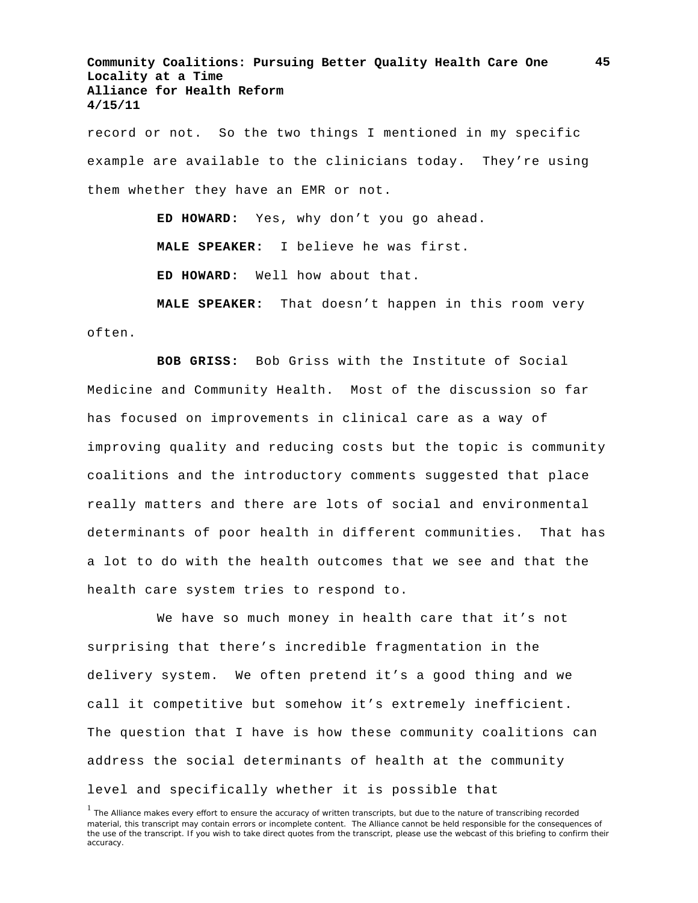record or not. So the two things I mentioned in my specific example are available to the clinicians today. They're using them whether they have an EMR or not.

**ED HOWARD:** Yes, why don't you go ahead.

**MALE SPEAKER:** I believe he was first.

**ED HOWARD:** Well how about that.

**MALE SPEAKER:** That doesn't happen in this room very often.

**BOB GRISS:** Bob Griss with the Institute of Social Medicine and Community Health. Most of the discussion so far has focused on improvements in clinical care as a way of improving quality and reducing costs but the topic is community coalitions and the introductory comments suggested that place really matters and there are lots of social and environmental determinants of poor health in different communities. That has a lot to do with the health outcomes that we see and that the health care system tries to respond to.

We have so much money in health care that it's not surprising that there's incredible fragmentation in the delivery system. We often pretend it's a good thing and we call it competitive but somehow it's extremely inefficient. The question that I have is how these community coalitions can address the social determinants of health at the community level and specifically whether it is possible that

<sup>&</sup>lt;sup>1</sup> The Alliance makes every effort to ensure the accuracy of written transcripts, but due to the nature of transcribing recorded material, this transcript may contain errors or incomplete content. The Alliance cannot be held responsible for the consequences of the use of the transcript. If you wish to take direct quotes from the transcript, please use the webcast of this briefing to confirm their accuracy.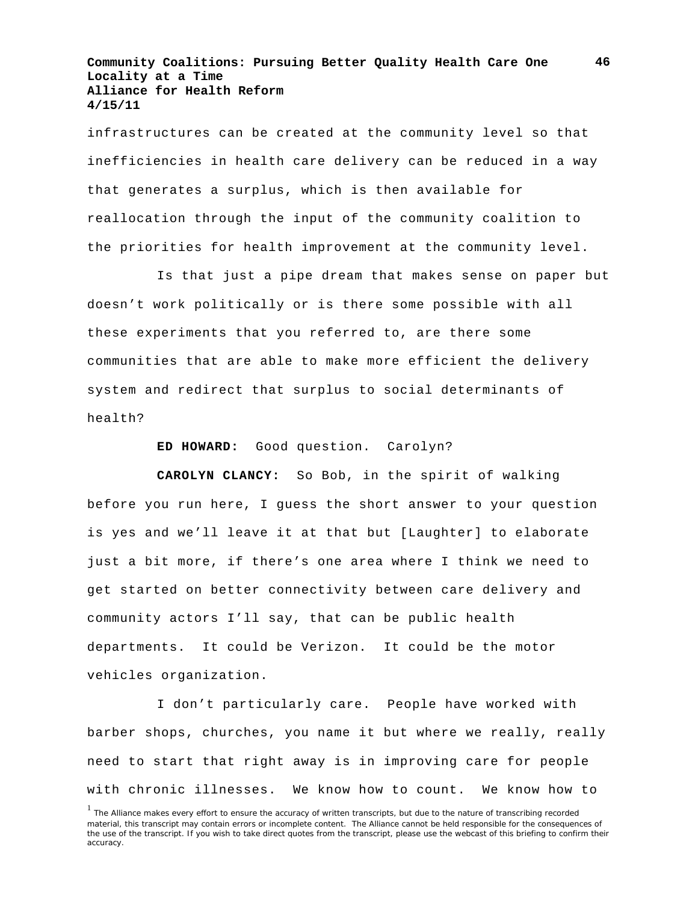infrastructures can be created at the community level so that inefficiencies in health care delivery can be reduced in a way that generates a surplus, which is then available for reallocation through the input of the community coalition to the priorities for health improvement at the community level.

Is that just a pipe dream that makes sense on paper but doesn't work politically or is there some possible with all these experiments that you referred to, are there some communities that are able to make more efficient the delivery system and redirect that surplus to social determinants of health?

**ED HOWARD:** Good question. Carolyn?

**CAROLYN CLANCY:** So Bob, in the spirit of walking before you run here, I guess the short answer to your question is yes and we'll leave it at that but [Laughter] to elaborate just a bit more, if there's one area where I think we need to get started on better connectivity between care delivery and community actors I'll say, that can be public health departments. It could be Verizon. It could be the motor vehicles organization.

I don't particularly care. People have worked with barber shops, churches, you name it but where we really, really need to start that right away is in improving care for people with chronic illnesses. We know how to count. We know how to

<sup>&</sup>lt;sup>1</sup> The Alliance makes every effort to ensure the accuracy of written transcripts, but due to the nature of transcribing recorded material, this transcript may contain errors or incomplete content. The Alliance cannot be held responsible for the consequences of the use of the transcript. If you wish to take direct quotes from the transcript, please use the webcast of this briefing to confirm their accuracy.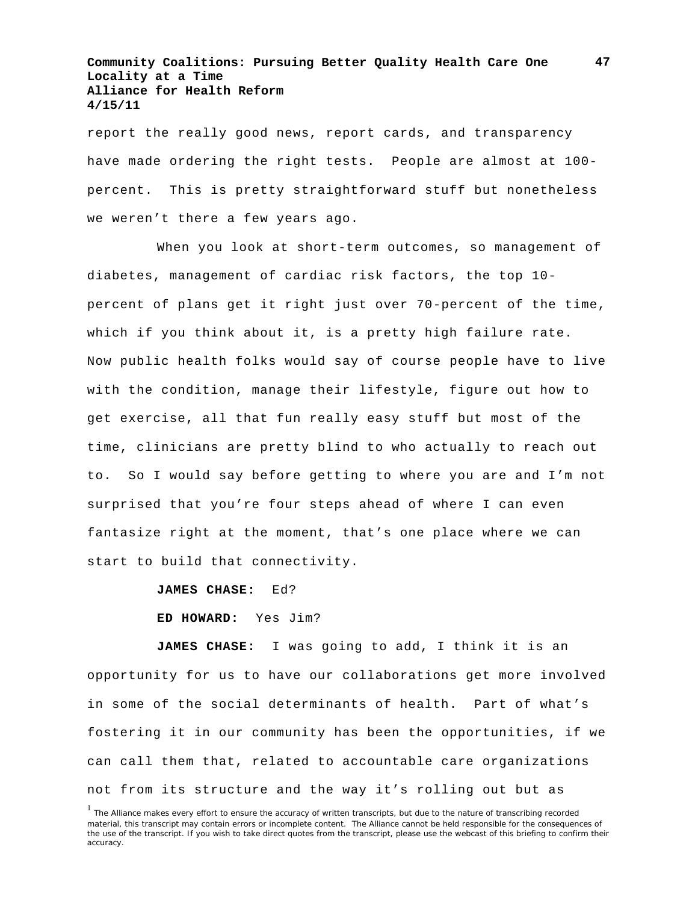report the really good news, report cards, and transparency have made ordering the right tests. People are almost at 100 percent. This is pretty straightforward stuff but nonetheless we weren't there a few years ago.

When you look at short-term outcomes, so management of diabetes, management of cardiac risk factors, the top 10 percent of plans get it right just over 70-percent of the time, which if you think about it, is a pretty high failure rate. Now public health folks would say of course people have to live with the condition, manage their lifestyle, figure out how to get exercise, all that fun really easy stuff but most of the time, clinicians are pretty blind to who actually to reach out to. So I would say before getting to where you are and I'm not surprised that you're four steps ahead of where I can even fantasize right at the moment, that's one place where we can start to build that connectivity.

**JAMES CHASE:** Ed?

**ED HOWARD:** Yes Jim?

**JAMES CHASE:** I was going to add, I think it is an opportunity for us to have our collaborations get more involved in some of the social determinants of health. Part of what's fostering it in our community has been the opportunities, if we can call them that, related to accountable care organizations not from its structure and the way it's rolling out but as

<sup>&</sup>lt;sup>1</sup> The Alliance makes every effort to ensure the accuracy of written transcripts, but due to the nature of transcribing recorded material, this transcript may contain errors or incomplete content. The Alliance cannot be held responsible for the consequences of the use of the transcript. If you wish to take direct quotes from the transcript, please use the webcast of this briefing to confirm their accuracy.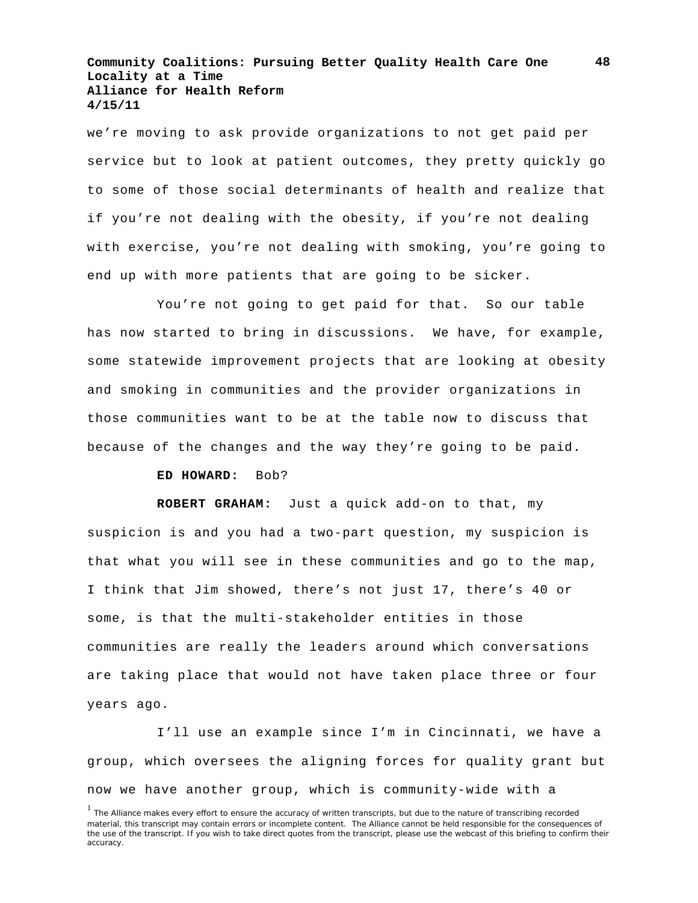we're moving to ask provide organizations to not get paid per service but to look at patient outcomes, they pretty quickly go to some of those social determinants of health and realize that if you're not dealing with the obesity, if you're not dealing with exercise, you're not dealing with smoking, you're going to end up with more patients that are going to be sicker.

You're not going to get paid for that. So our table has now started to bring in discussions. We have, for example, some statewide improvement projects that are looking at obesity and smoking in communities and the provider organizations in those communities want to be at the table now to discuss that because of the changes and the way they're going to be paid.

#### **ED HOWARD:** Bob?

**ROBERT GRAHAM:** Just a quick add-on to that, my suspicion is and you had a two-part question, my suspicion is that what you will see in these communities and go to the map, I think that Jim showed, there's not just 17, there's 40 or some, is that the multi-stakeholder entities in those communities are really the leaders around which conversations are taking place that would not have taken place three or four years ago.

I'll use an example since I'm in Cincinnati, we have a group, which oversees the aligning forces for quality grant but now we have another group, which is community-wide with a

<sup>&</sup>lt;sup>1</sup> The Alliance makes every effort to ensure the accuracy of written transcripts, but due to the nature of transcribing recorded material, this transcript may contain errors or incomplete content. The Alliance cannot be held responsible for the consequences of the use of the transcript. If you wish to take direct quotes from the transcript, please use the webcast of this briefing to confirm their accuracy.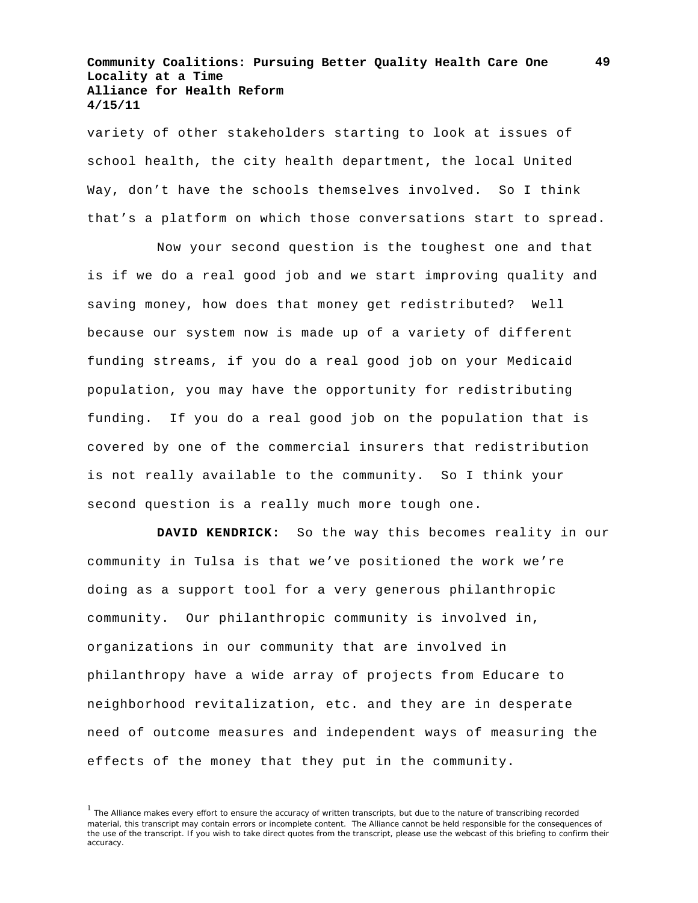variety of other stakeholders starting to look at issues of school health, the city health department, the local United Way, don't have the schools themselves involved. So I think that's a platform on which those conversations start to spread.

Now your second question is the toughest one and that is if we do a real good job and we start improving quality and saving money, how does that money get redistributed? Well because our system now is made up of a variety of different funding streams, if you do a real good job on your Medicaid population, you may have the opportunity for redistributing funding. If you do a real good job on the population that is covered by one of the commercial insurers that redistribution is not really available to the community. So I think your second question is a really much more tough one.

**DAVID KENDRICK:** So the way this becomes reality in our community in Tulsa is that we've positioned the work we're doing as a support tool for a very generous philanthropic community. Our philanthropic community is involved in, organizations in our community that are involved in philanthropy have a wide array of projects from Educare to neighborhood revitalization, etc. and they are in desperate need of outcome measures and independent ways of measuring the effects of the money that they put in the community.

**49**

<sup>&</sup>lt;sup>1</sup> The Alliance makes every effort to ensure the accuracy of written transcripts, but due to the nature of transcribing recorded material, this transcript may contain errors or incomplete content. The Alliance cannot be held responsible for the consequences of the use of the transcript. If you wish to take direct quotes from the transcript, please use the webcast of this briefing to confirm their accuracy.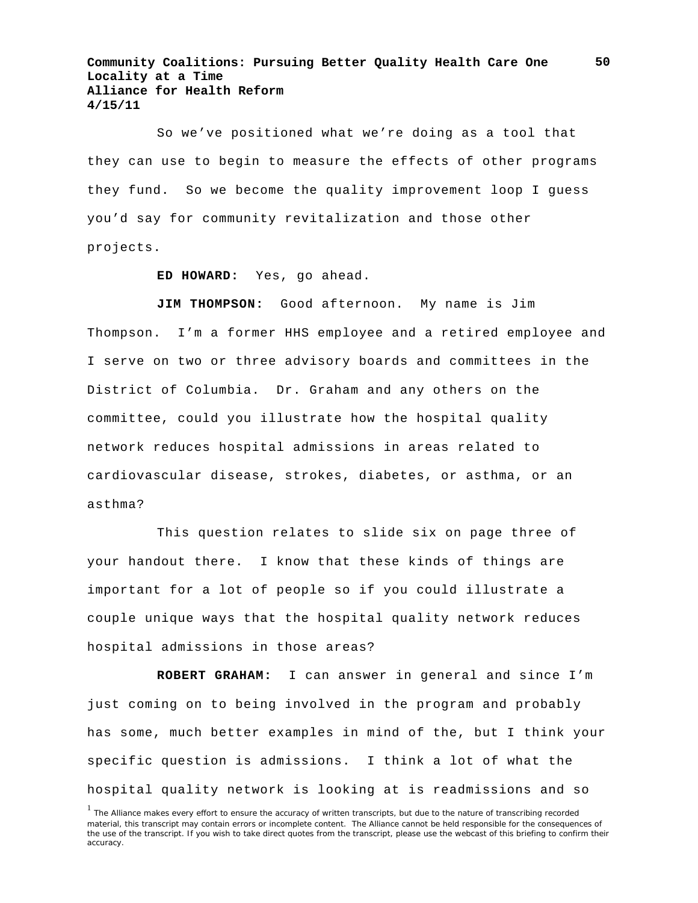So we've positioned what we're doing as a tool that they can use to begin to measure the effects of other programs they fund. So we become the quality improvement loop I guess you'd say for community revitalization and those other projects.

**ED HOWARD:** Yes, go ahead.

**JIM THOMPSON:** Good afternoon. My name is Jim Thompson. I'm a former HHS employee and a retired employee and I serve on two or three advisory boards and committees in the District of Columbia. Dr. Graham and any others on the committee, could you illustrate how the hospital quality network reduces hospital admissions in areas related to cardiovascular disease, strokes, diabetes, or asthma, or an asthma?

This question relates to slide six on page three of your handout there. I know that these kinds of things are important for a lot of people so if you could illustrate a couple unique ways that the hospital quality network reduces hospital admissions in those areas?

**ROBERT GRAHAM:** I can answer in general and since I'm just coming on to being involved in the program and probably has some, much better examples in mind of the, but I think your specific question is admissions. I think a lot of what the hospital quality network is looking at is readmissions and so

<sup>&</sup>lt;sup>1</sup> The Alliance makes every effort to ensure the accuracy of written transcripts, but due to the nature of transcribing recorded material, this transcript may contain errors or incomplete content. The Alliance cannot be held responsible for the consequences of the use of the transcript. If you wish to take direct quotes from the transcript, please use the webcast of this briefing to confirm their accuracy.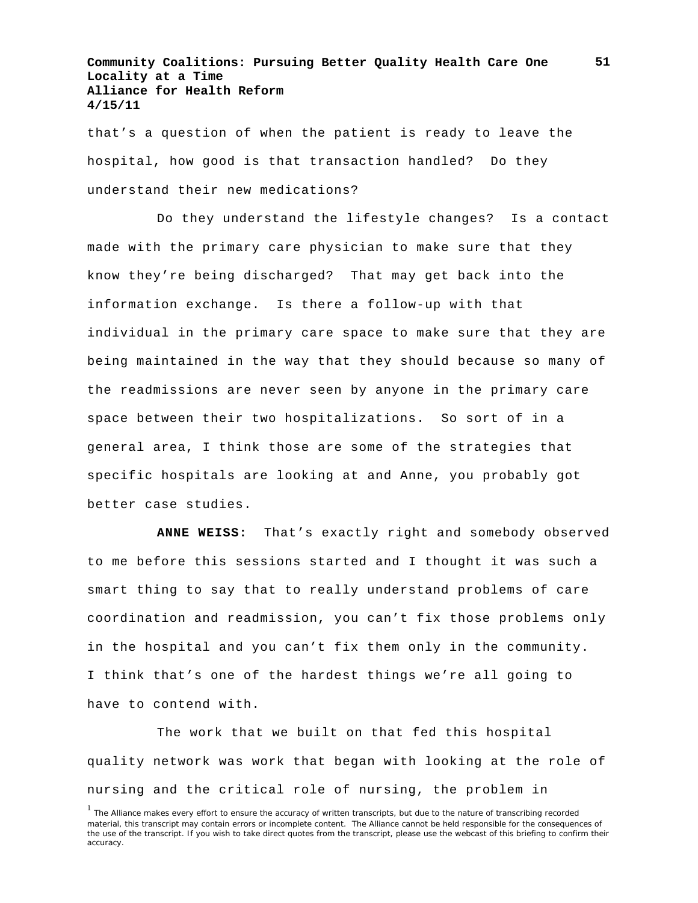that's a question of when the patient is ready to leave the hospital, how good is that transaction handled? Do they understand their new medications?

Do they understand the lifestyle changes? Is a contact made with the primary care physician to make sure that they know they're being discharged? That may get back into the information exchange. Is there a follow-up with that individual in the primary care space to make sure that they are being maintained in the way that they should because so many of the readmissions are never seen by anyone in the primary care space between their two hospitalizations. So sort of in a general area, I think those are some of the strategies that specific hospitals are looking at and Anne, you probably got better case studies.

**ANNE WEISS:** That's exactly right and somebody observed to me before this sessions started and I thought it was such a smart thing to say that to really understand problems of care coordination and readmission, you can't fix those problems only in the hospital and you can't fix them only in the community. I think that's one of the hardest things we're all going to have to contend with.

The work that we built on that fed this hospital quality network was work that began with looking at the role of nursing and the critical role of nursing, the problem in

<sup>&</sup>lt;sup>1</sup> The Alliance makes every effort to ensure the accuracy of written transcripts, but due to the nature of transcribing recorded material, this transcript may contain errors or incomplete content. The Alliance cannot be held responsible for the consequences of the use of the transcript. If you wish to take direct quotes from the transcript, please use the webcast of this briefing to confirm their accuracy.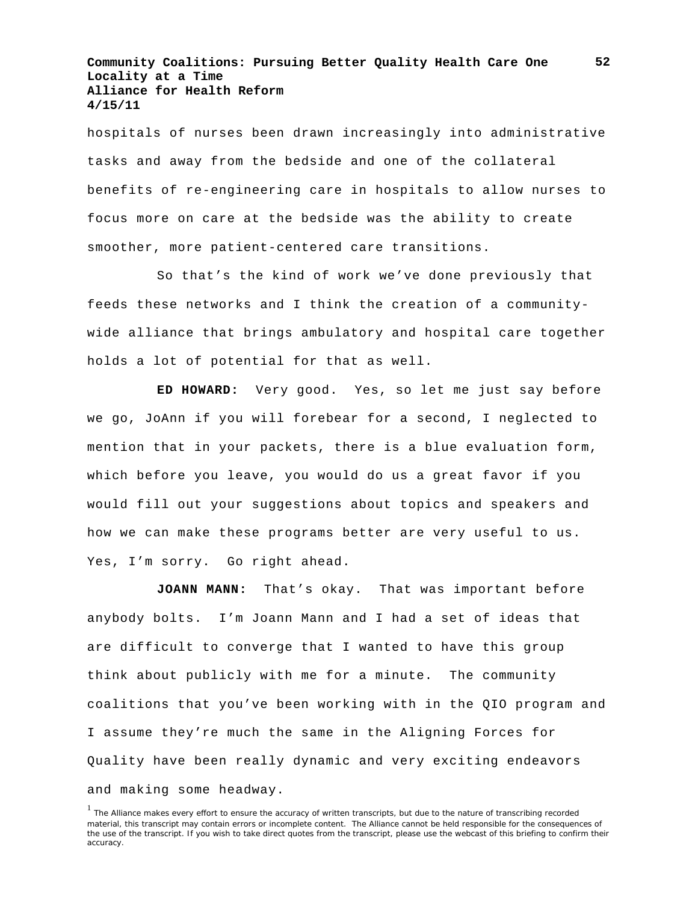hospitals of nurses been drawn increasingly into administrative tasks and away from the bedside and one of the collateral benefits of re-engineering care in hospitals to allow nurses to focus more on care at the bedside was the ability to create smoother, more patient-centered care transitions.

So that's the kind of work we've done previously that feeds these networks and I think the creation of a communitywide alliance that brings ambulatory and hospital care together holds a lot of potential for that as well.

**ED HOWARD:** Very good. Yes, so let me just say before we go, JoAnn if you will forebear for a second, I neglected to mention that in your packets, there is a blue evaluation form, which before you leave, you would do us a great favor if you would fill out your suggestions about topics and speakers and how we can make these programs better are very useful to us. Yes, I'm sorry. Go right ahead.

**JOANN MANN:** That's okay. That was important before anybody bolts. I'm Joann Mann and I had a set of ideas that are difficult to converge that I wanted to have this group think about publicly with me for a minute. The community coalitions that you've been working with in the QIO program and I assume they're much the same in the Aligning Forces for Quality have been really dynamic and very exciting endeavors and making some headway.

<sup>&</sup>lt;sup>1</sup> The Alliance makes every effort to ensure the accuracy of written transcripts, but due to the nature of transcribing recorded material, this transcript may contain errors or incomplete content. The Alliance cannot be held responsible for the consequences of the use of the transcript. If you wish to take direct quotes from the transcript, please use the webcast of this briefing to confirm their accuracy.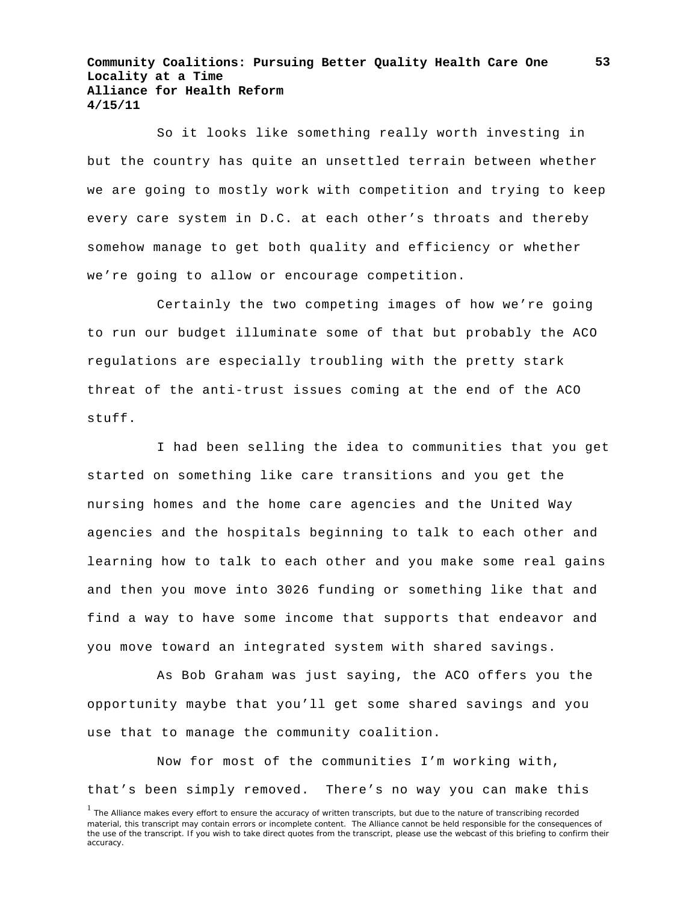So it looks like something really worth investing in but the country has quite an unsettled terrain between whether we are going to mostly work with competition and trying to keep every care system in D.C. at each other's throats and thereby somehow manage to get both quality and efficiency or whether we're going to allow or encourage competition.

Certainly the two competing images of how we're going to run our budget illuminate some of that but probably the ACO regulations are especially troubling with the pretty stark threat of the anti-trust issues coming at the end of the ACO stuff.

I had been selling the idea to communities that you get started on something like care transitions and you get the nursing homes and the home care agencies and the United Way agencies and the hospitals beginning to talk to each other and learning how to talk to each other and you make some real gains and then you move into 3026 funding or something like that and find a way to have some income that supports that endeavor and you move toward an integrated system with shared savings.

As Bob Graham was just saying, the ACO offers you the opportunity maybe that you'll get some shared savings and you use that to manage the community coalition.

Now for most of the communities I'm working with, that's been simply removed. There's no way you can make this

<sup>&</sup>lt;sup>1</sup> The Alliance makes every effort to ensure the accuracy of written transcripts, but due to the nature of transcribing recorded material, this transcript may contain errors or incomplete content. The Alliance cannot be held responsible for the consequences of the use of the transcript. If you wish to take direct quotes from the transcript, please use the webcast of this briefing to confirm their accuracy.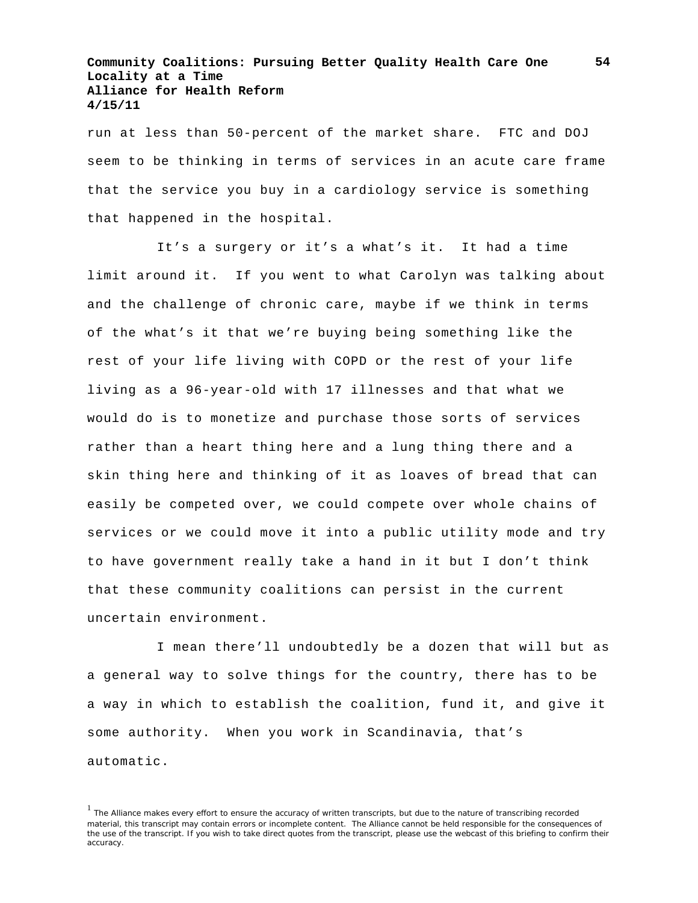run at less than 50-percent of the market share. FTC and DOJ seem to be thinking in terms of services in an acute care frame that the service you buy in a cardiology service is something that happened in the hospital.

It's a surgery or it's a what's it. It had a time limit around it. If you went to what Carolyn was talking about and the challenge of chronic care, maybe if we think in terms of the what's it that we're buying being something like the rest of your life living with COPD or the rest of your life living as a 96-year-old with 17 illnesses and that what we would do is to monetize and purchase those sorts of services rather than a heart thing here and a lung thing there and a skin thing here and thinking of it as loaves of bread that can easily be competed over, we could compete over whole chains of services or we could move it into a public utility mode and try to have government really take a hand in it but I don't think that these community coalitions can persist in the current uncertain environment.

I mean there'll undoubtedly be a dozen that will but as a general way to solve things for the country, there has to be a way in which to establish the coalition, fund it, and give it some authority. When you work in Scandinavia, that's automatic.

<sup>&</sup>lt;sup>1</sup> The Alliance makes every effort to ensure the accuracy of written transcripts, but due to the nature of transcribing recorded material, this transcript may contain errors or incomplete content. The Alliance cannot be held responsible for the consequences of the use of the transcript. If you wish to take direct quotes from the transcript, please use the webcast of this briefing to confirm their accuracy.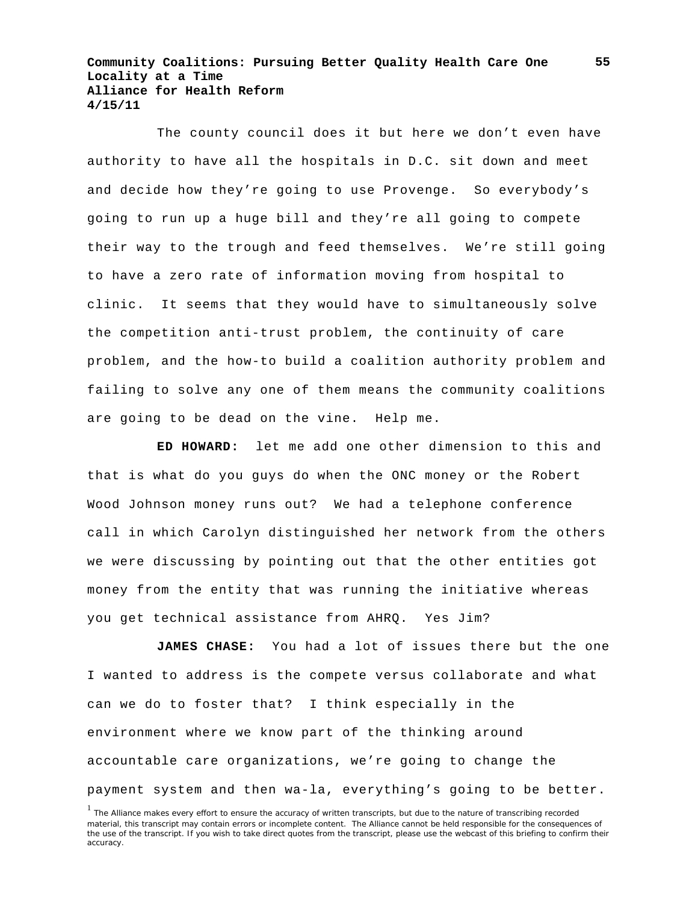The county council does it but here we don't even have authority to have all the hospitals in D.C. sit down and meet and decide how they're going to use Provenge. So everybody's going to run up a huge bill and they're all going to compete their way to the trough and feed themselves. We're still going to have a zero rate of information moving from hospital to clinic. It seems that they would have to simultaneously solve the competition anti-trust problem, the continuity of care problem, and the how-to build a coalition authority problem and failing to solve any one of them means the community coalitions are going to be dead on the vine. Help me.

**ED HOWARD:** let me add one other dimension to this and that is what do you guys do when the ONC money or the Robert Wood Johnson money runs out? We had a telephone conference call in which Carolyn distinguished her network from the others we were discussing by pointing out that the other entities got money from the entity that was running the initiative whereas you get technical assistance from AHRQ. Yes Jim?

**JAMES CHASE:** You had a lot of issues there but the one I wanted to address is the compete versus collaborate and what can we do to foster that? I think especially in the environment where we know part of the thinking around accountable care organizations, we're going to change the payment system and then wa-la, everything's going to be better.

<sup>&</sup>lt;sup>1</sup> The Alliance makes every effort to ensure the accuracy of written transcripts, but due to the nature of transcribing recorded material, this transcript may contain errors or incomplete content. The Alliance cannot be held responsible for the consequences of the use of the transcript. If you wish to take direct quotes from the transcript, please use the webcast of this briefing to confirm their accuracy.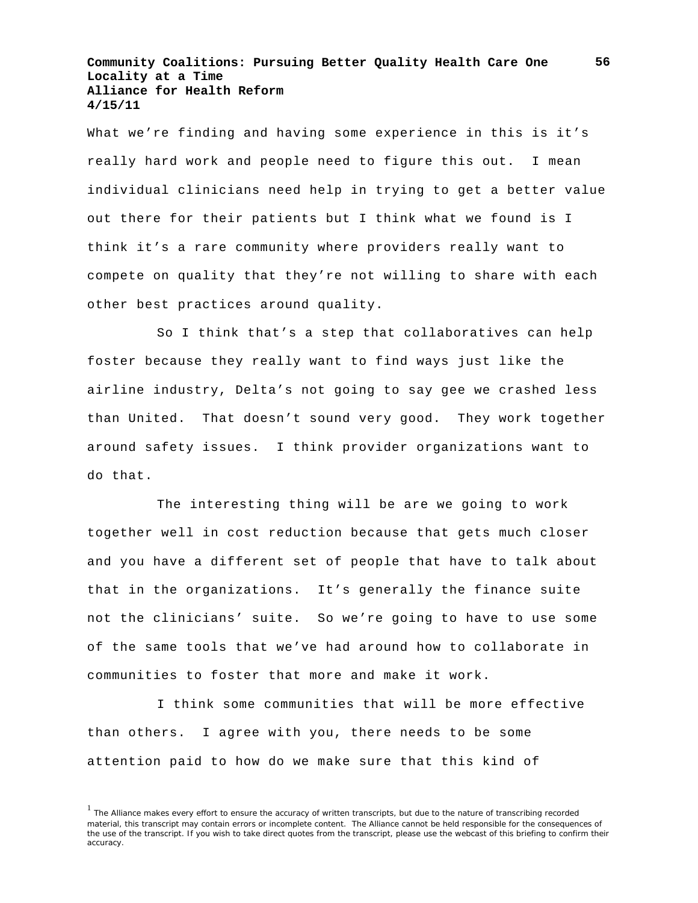What we're finding and having some experience in this is it's really hard work and people need to figure this out. I mean individual clinicians need help in trying to get a better value out there for their patients but I think what we found is I think it's a rare community where providers really want to compete on quality that they're not willing to share with each other best practices around quality.

So I think that's a step that collaboratives can help foster because they really want to find ways just like the airline industry, Delta's not going to say gee we crashed less than United. That doesn't sound very good. They work together around safety issues. I think provider organizations want to do that.

The interesting thing will be are we going to work together well in cost reduction because that gets much closer and you have a different set of people that have to talk about that in the organizations. It's generally the finance suite not the clinicians' suite. So we're going to have to use some of the same tools that we've had around how to collaborate in communities to foster that more and make it work.

I think some communities that will be more effective than others. I agree with you, there needs to be some attention paid to how do we make sure that this kind of

**56**

<sup>&</sup>lt;sup>1</sup> The Alliance makes every effort to ensure the accuracy of written transcripts, but due to the nature of transcribing recorded material, this transcript may contain errors or incomplete content. The Alliance cannot be held responsible for the consequences of the use of the transcript. If you wish to take direct quotes from the transcript, please use the webcast of this briefing to confirm their accuracy.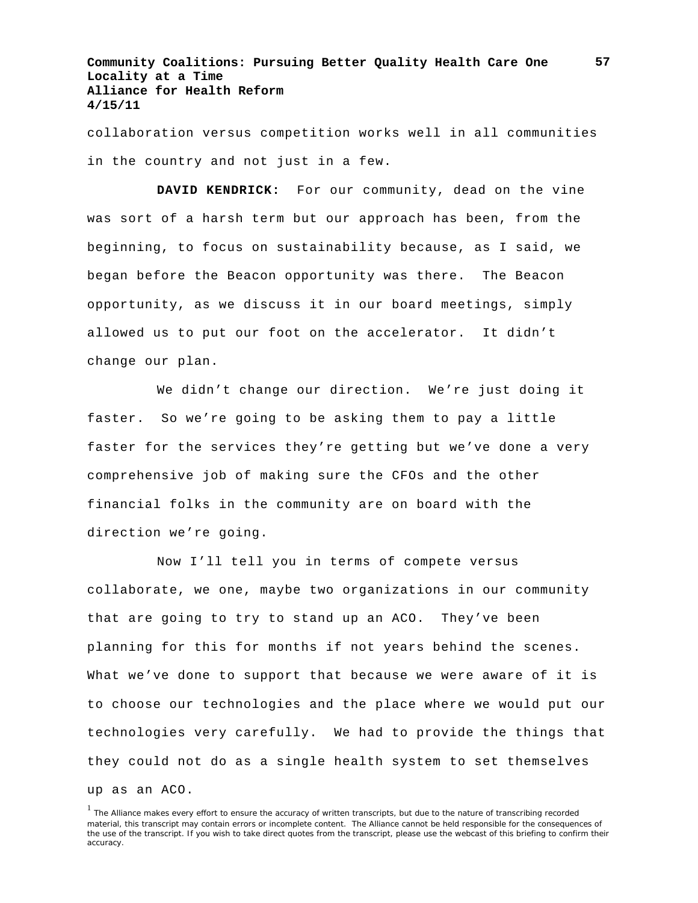collaboration versus competition works well in all communities in the country and not just in a few.

**DAVID KENDRICK:** For our community, dead on the vine was sort of a harsh term but our approach has been, from the beginning, to focus on sustainability because, as I said, we began before the Beacon opportunity was there. The Beacon opportunity, as we discuss it in our board meetings, simply allowed us to put our foot on the accelerator. It didn't change our plan.

We didn't change our direction. We're just doing it faster. So we're going to be asking them to pay a little faster for the services they're getting but we've done a very comprehensive job of making sure the CFOs and the other financial folks in the community are on board with the direction we're going.

Now I'll tell you in terms of compete versus collaborate, we one, maybe two organizations in our community that are going to try to stand up an ACO. They've been planning for this for months if not years behind the scenes. What we've done to support that because we were aware of it is to choose our technologies and the place where we would put our technologies very carefully. We had to provide the things that they could not do as a single health system to set themselves up as an ACO.

<sup>&</sup>lt;sup>1</sup> The Alliance makes every effort to ensure the accuracy of written transcripts, but due to the nature of transcribing recorded material, this transcript may contain errors or incomplete content. The Alliance cannot be held responsible for the consequences of the use of the transcript. If you wish to take direct quotes from the transcript, please use the webcast of this briefing to confirm their accuracy.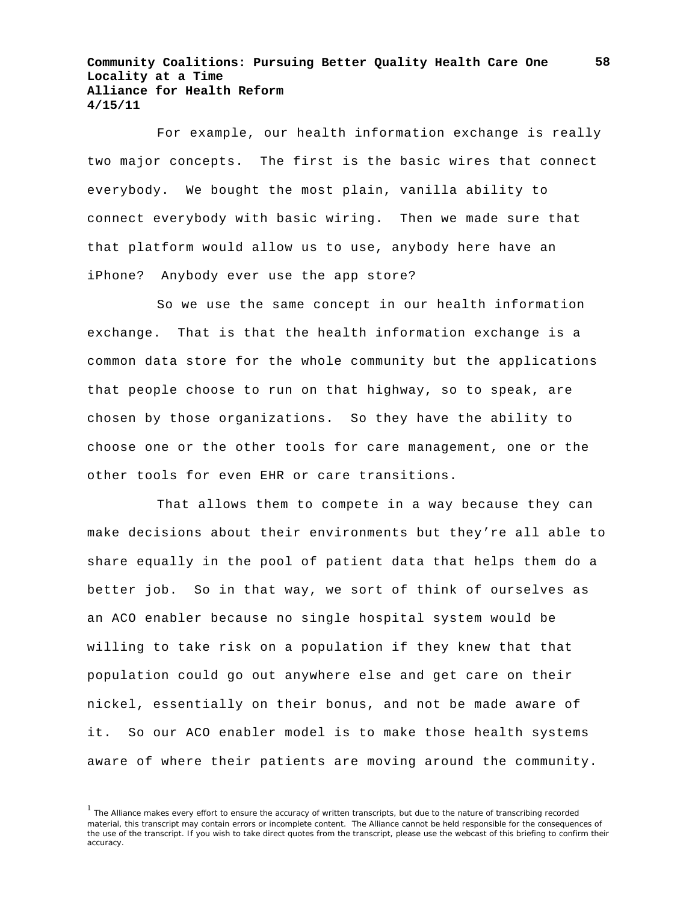For example, our health information exchange is really two major concepts. The first is the basic wires that connect everybody. We bought the most plain, vanilla ability to connect everybody with basic wiring. Then we made sure that that platform would allow us to use, anybody here have an iPhone? Anybody ever use the app store?

So we use the same concept in our health information exchange. That is that the health information exchange is a common data store for the whole community but the applications that people choose to run on that highway, so to speak, are chosen by those organizations. So they have the ability to choose one or the other tools for care management, one or the other tools for even EHR or care transitions.

That allows them to compete in a way because they can make decisions about their environments but they're all able to share equally in the pool of patient data that helps them do a better job. So in that way, we sort of think of ourselves as an ACO enabler because no single hospital system would be willing to take risk on a population if they knew that that population could go out anywhere else and get care on their nickel, essentially on their bonus, and not be made aware of it. So our ACO enabler model is to make those health systems aware of where their patients are moving around the community.

<sup>&</sup>lt;sup>1</sup> The Alliance makes every effort to ensure the accuracy of written transcripts, but due to the nature of transcribing recorded material, this transcript may contain errors or incomplete content. The Alliance cannot be held responsible for the consequences of the use of the transcript. If you wish to take direct quotes from the transcript, please use the webcast of this briefing to confirm their accuracy.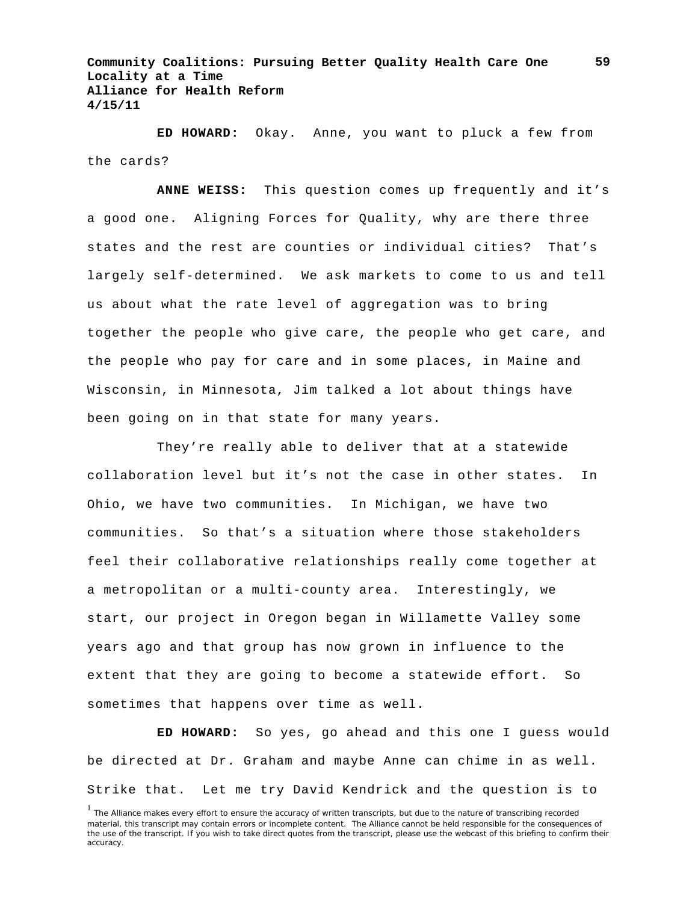**ED HOWARD:** Okay. Anne, you want to pluck a few from the cards?

**ANNE WEISS:** This question comes up frequently and it's a good one. Aligning Forces for Quality, why are there three states and the rest are counties or individual cities? That's largely self-determined. We ask markets to come to us and tell us about what the rate level of aggregation was to bring together the people who give care, the people who get care, and the people who pay for care and in some places, in Maine and Wisconsin, in Minnesota, Jim talked a lot about things have been going on in that state for many years.

They're really able to deliver that at a statewide collaboration level but it's not the case in other states. In Ohio, we have two communities. In Michigan, we have two communities. So that's a situation where those stakeholders feel their collaborative relationships really come together at a metropolitan or a multi-county area. Interestingly, we start, our project in Oregon began in Willamette Valley some years ago and that group has now grown in influence to the extent that they are going to become a statewide effort. So sometimes that happens over time as well.

**ED HOWARD:** So yes, go ahead and this one I guess would be directed at Dr. Graham and maybe Anne can chime in as well. Strike that. Let me try David Kendrick and the question is to

<sup>&</sup>lt;sup>1</sup> The Alliance makes every effort to ensure the accuracy of written transcripts, but due to the nature of transcribing recorded material, this transcript may contain errors or incomplete content. The Alliance cannot be held responsible for the consequences of the use of the transcript. If you wish to take direct quotes from the transcript, please use the webcast of this briefing to confirm their accuracy.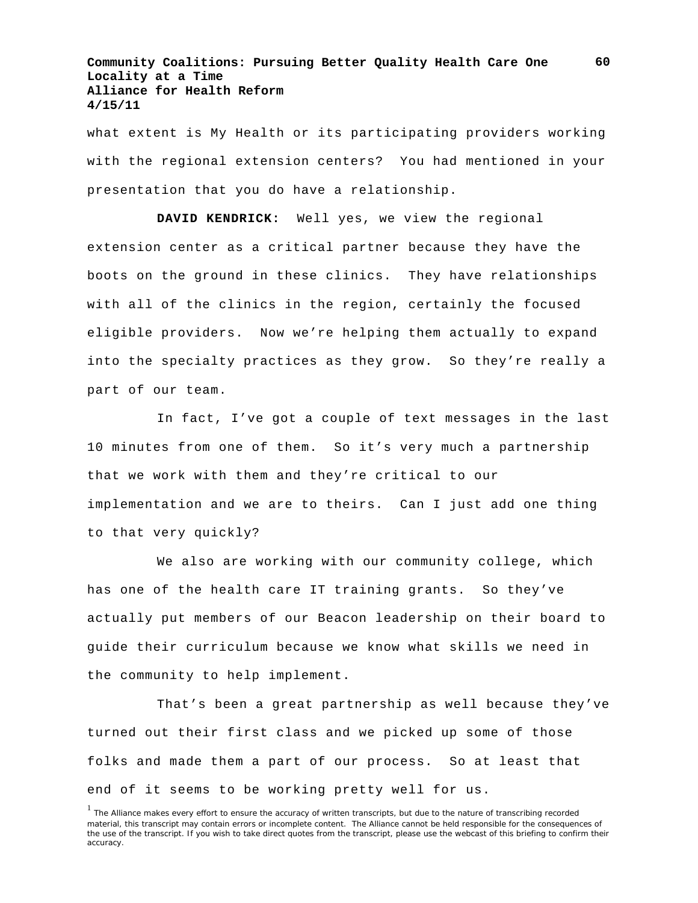what extent is My Health or its participating providers working with the regional extension centers? You had mentioned in your presentation that you do have a relationship.

**DAVID KENDRICK:** Well yes, we view the regional extension center as a critical partner because they have the boots on the ground in these clinics. They have relationships with all of the clinics in the region, certainly the focused eligible providers. Now we're helping them actually to expand into the specialty practices as they grow. So they're really a part of our team.

In fact, I've got a couple of text messages in the last 10 minutes from one of them. So it's very much a partnership that we work with them and they're critical to our implementation and we are to theirs. Can I just add one thing to that very quickly?

We also are working with our community college, which has one of the health care IT training grants. So they've actually put members of our Beacon leadership on their board to guide their curriculum because we know what skills we need in the community to help implement.

That's been a great partnership as well because they've turned out their first class and we picked up some of those folks and made them a part of our process. So at least that end of it seems to be working pretty well for us.

<sup>&</sup>lt;sup>1</sup> The Alliance makes every effort to ensure the accuracy of written transcripts, but due to the nature of transcribing recorded material, this transcript may contain errors or incomplete content. The Alliance cannot be held responsible for the consequences of the use of the transcript. If you wish to take direct quotes from the transcript, please use the webcast of this briefing to confirm their accuracy.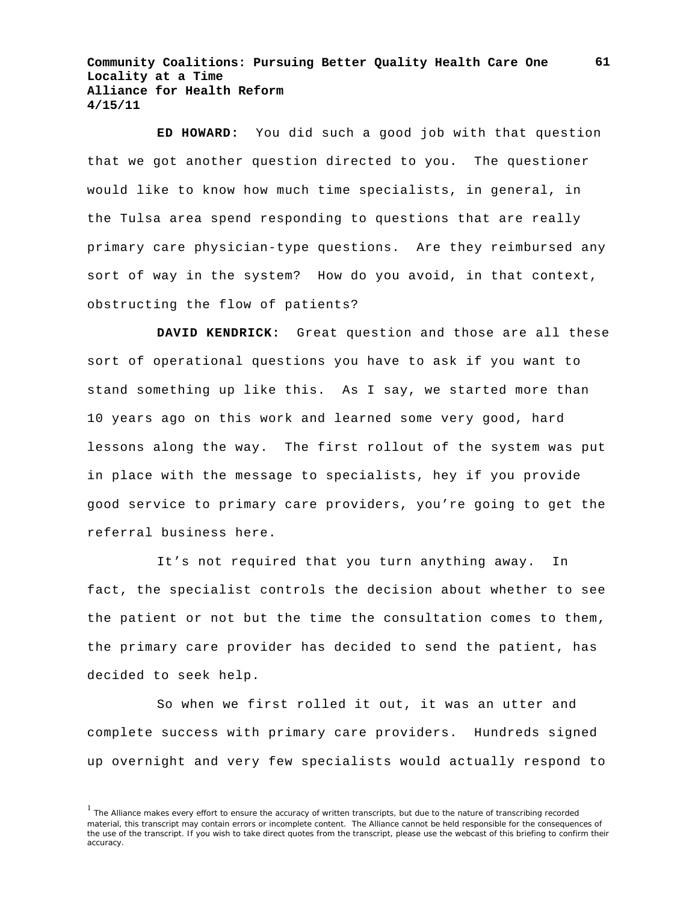**ED HOWARD:** You did such a good job with that question that we got another question directed to you. The questioner would like to know how much time specialists, in general, in the Tulsa area spend responding to questions that are really primary care physician-type questions. Are they reimbursed any sort of way in the system? How do you avoid, in that context, obstructing the flow of patients?

**DAVID KENDRICK:** Great question and those are all these sort of operational questions you have to ask if you want to stand something up like this. As I say, we started more than 10 years ago on this work and learned some very good, hard lessons along the way. The first rollout of the system was put in place with the message to specialists, hey if you provide good service to primary care providers, you're going to get the referral business here.

It's not required that you turn anything away. In fact, the specialist controls the decision about whether to see the patient or not but the time the consultation comes to them, the primary care provider has decided to send the patient, has decided to seek help.

So when we first rolled it out, it was an utter and complete success with primary care providers. Hundreds signed up overnight and very few specialists would actually respond to

<sup>&</sup>lt;sup>1</sup> The Alliance makes every effort to ensure the accuracy of written transcripts, but due to the nature of transcribing recorded material, this transcript may contain errors or incomplete content. The Alliance cannot be held responsible for the consequences of the use of the transcript. If you wish to take direct quotes from the transcript, please use the webcast of this briefing to confirm their accuracy.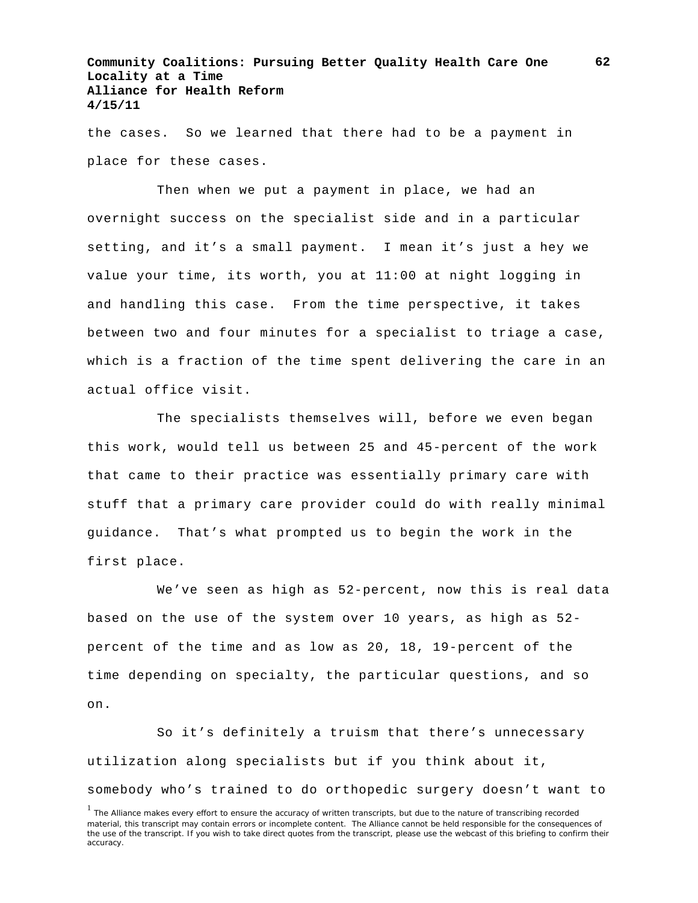the cases. So we learned that there had to be a payment in place for these cases.

Then when we put a payment in place, we had an overnight success on the specialist side and in a particular setting, and it's a small payment. I mean it's just a hey we value your time, its worth, you at 11:00 at night logging in and handling this case. From the time perspective, it takes between two and four minutes for a specialist to triage a case, which is a fraction of the time spent delivering the care in an actual office visit.

The specialists themselves will, before we even began this work, would tell us between 25 and 45-percent of the work that came to their practice was essentially primary care with stuff that a primary care provider could do with really minimal guidance. That's what prompted us to begin the work in the first place.

We've seen as high as 52-percent, now this is real data based on the use of the system over 10 years, as high as 52 percent of the time and as low as 20, 18, 19-percent of the time depending on specialty, the particular questions, and so on.

So it's definitely a truism that there's unnecessary utilization along specialists but if you think about it, somebody who's trained to do orthopedic surgery doesn't want to

<sup>&</sup>lt;sup>1</sup> The Alliance makes every effort to ensure the accuracy of written transcripts, but due to the nature of transcribing recorded material, this transcript may contain errors or incomplete content. The Alliance cannot be held responsible for the consequences of the use of the transcript. If you wish to take direct quotes from the transcript, please use the webcast of this briefing to confirm their accuracy.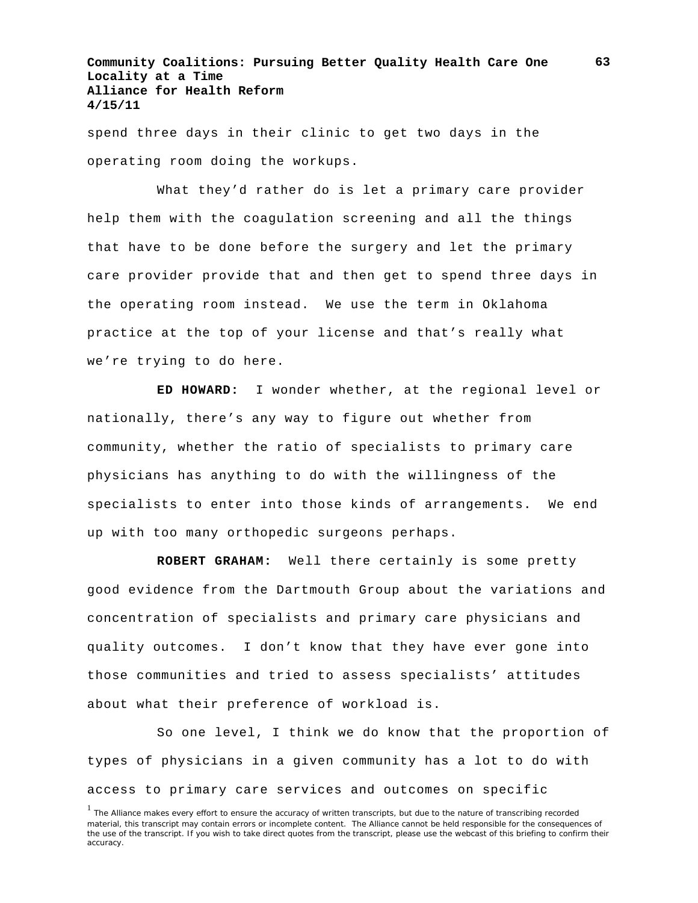spend three days in their clinic to get two days in the operating room doing the workups.

What they'd rather do is let a primary care provider help them with the coagulation screening and all the things that have to be done before the surgery and let the primary care provider provide that and then get to spend three days in the operating room instead. We use the term in Oklahoma practice at the top of your license and that's really what we're trying to do here.

**ED HOWARD:** I wonder whether, at the regional level or nationally, there's any way to figure out whether from community, whether the ratio of specialists to primary care physicians has anything to do with the willingness of the specialists to enter into those kinds of arrangements. We end up with too many orthopedic surgeons perhaps.

**ROBERT GRAHAM:** Well there certainly is some pretty good evidence from the Dartmouth Group about the variations and concentration of specialists and primary care physicians and quality outcomes. I don't know that they have ever gone into those communities and tried to assess specialists' attitudes about what their preference of workload is.

So one level, I think we do know that the proportion of types of physicians in a given community has a lot to do with access to primary care services and outcomes on specific

<sup>&</sup>lt;sup>1</sup> The Alliance makes every effort to ensure the accuracy of written transcripts, but due to the nature of transcribing recorded material, this transcript may contain errors or incomplete content. The Alliance cannot be held responsible for the consequences of the use of the transcript. If you wish to take direct quotes from the transcript, please use the webcast of this briefing to confirm their accuracy.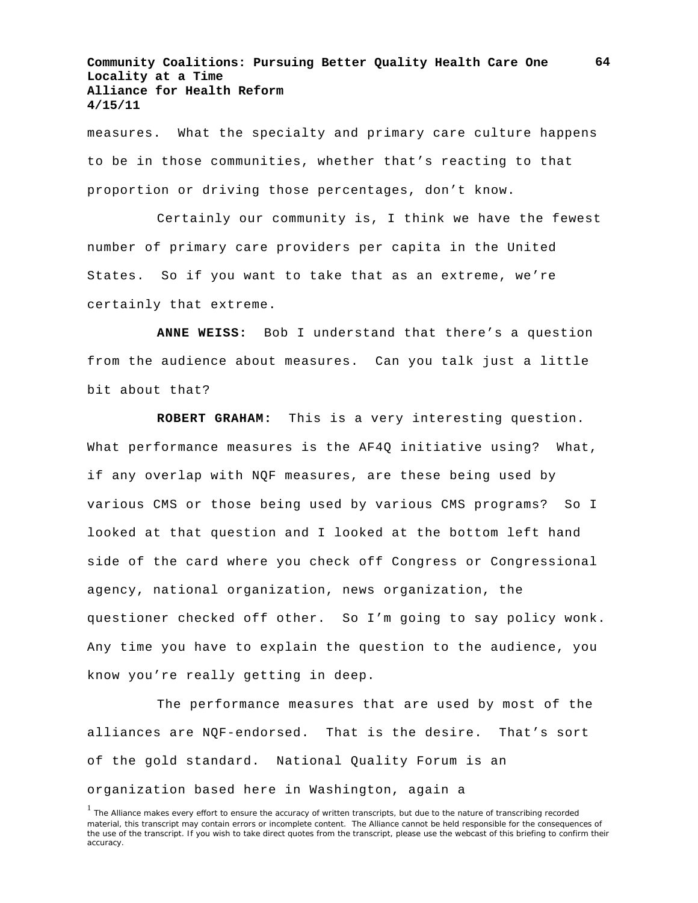measures. What the specialty and primary care culture happens to be in those communities, whether that's reacting to that proportion or driving those percentages, don't know.

Certainly our community is, I think we have the fewest number of primary care providers per capita in the United States. So if you want to take that as an extreme, we're certainly that extreme.

**ANNE WEISS:** Bob I understand that there's a question from the audience about measures. Can you talk just a little bit about that?

**ROBERT GRAHAM:** This is a very interesting question. What performance measures is the AF4Q initiative using? What, if any overlap with NQF measures, are these being used by various CMS or those being used by various CMS programs? So I looked at that question and I looked at the bottom left hand side of the card where you check off Congress or Congressional agency, national organization, news organization, the questioner checked off other. So I'm going to say policy wonk. Any time you have to explain the question to the audience, you know you're really getting in deep.

The performance measures that are used by most of the alliances are NQF-endorsed. That is the desire. That's sort of the gold standard. National Quality Forum is an organization based here in Washington, again a

<sup>&</sup>lt;sup>1</sup> The Alliance makes every effort to ensure the accuracy of written transcripts, but due to the nature of transcribing recorded material, this transcript may contain errors or incomplete content. The Alliance cannot be held responsible for the consequences of the use of the transcript. If you wish to take direct quotes from the transcript, please use the webcast of this briefing to confirm their accuracy.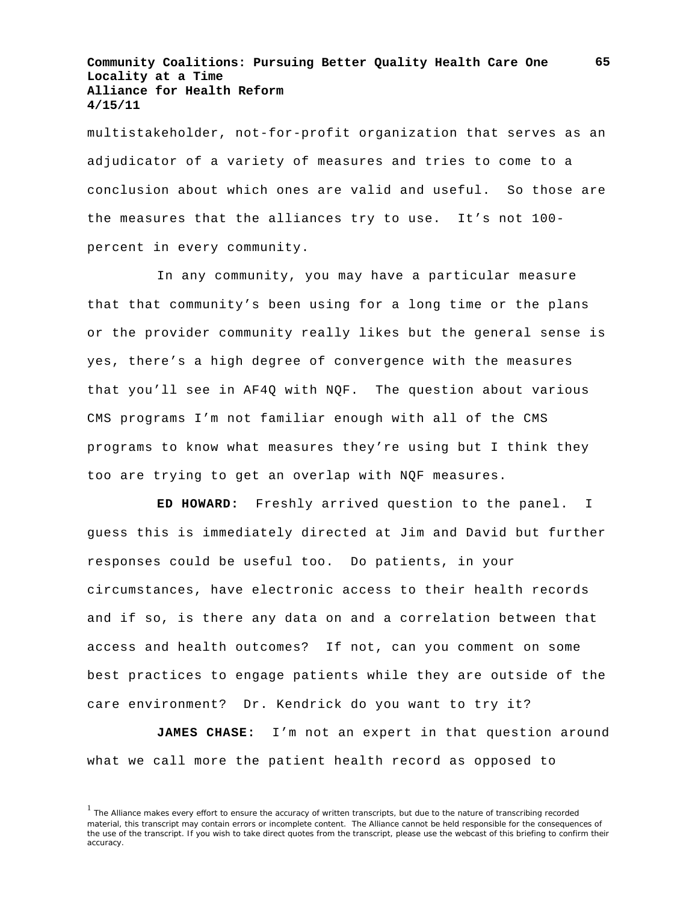multistakeholder, not-for-profit organization that serves as an adjudicator of a variety of measures and tries to come to a conclusion about which ones are valid and useful. So those are the measures that the alliances try to use. It's not 100 percent in every community.

In any community, you may have a particular measure that that community's been using for a long time or the plans or the provider community really likes but the general sense is yes, there's a high degree of convergence with the measures that you'll see in AF4Q with NQF. The question about various CMS programs I'm not familiar enough with all of the CMS programs to know what measures they're using but I think they too are trying to get an overlap with NQF measures.

**ED HOWARD:** Freshly arrived question to the panel. I guess this is immediately directed at Jim and David but further responses could be useful too. Do patients, in your circumstances, have electronic access to their health records and if so, is there any data on and a correlation between that access and health outcomes? If not, can you comment on some best practices to engage patients while they are outside of the care environment? Dr. Kendrick do you want to try it?

**JAMES CHASE:** I'm not an expert in that question around what we call more the patient health record as opposed to

<sup>&</sup>lt;sup>1</sup> The Alliance makes every effort to ensure the accuracy of written transcripts, but due to the nature of transcribing recorded material, this transcript may contain errors or incomplete content. The Alliance cannot be held responsible for the consequences of the use of the transcript. If you wish to take direct quotes from the transcript, please use the webcast of this briefing to confirm their accuracy.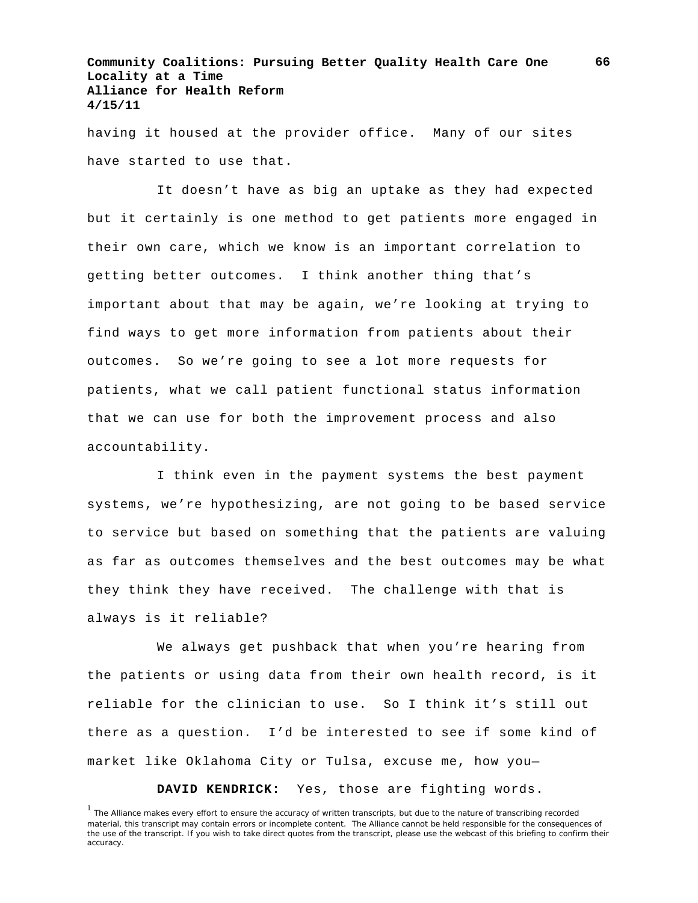having it housed at the provider office. Many of our sites have started to use that.

It doesn't have as big an uptake as they had expected but it certainly is one method to get patients more engaged in their own care, which we know is an important correlation to getting better outcomes. I think another thing that's important about that may be again, we're looking at trying to find ways to get more information from patients about their outcomes. So we're going to see a lot more requests for patients, what we call patient functional status information that we can use for both the improvement process and also accountability.

I think even in the payment systems the best payment systems, we're hypothesizing, are not going to be based service to service but based on something that the patients are valuing as far as outcomes themselves and the best outcomes may be what they think they have received. The challenge with that is always is it reliable?

We always get pushback that when you're hearing from the patients or using data from their own health record, is it reliable for the clinician to use. So I think it's still out there as a question. I'd be interested to see if some kind of market like Oklahoma City or Tulsa, excuse me, how you—

**DAVID KENDRICK:** Yes, those are fighting words.

<sup>&</sup>lt;sup>1</sup> The Alliance makes every effort to ensure the accuracy of written transcripts, but due to the nature of transcribing recorded material, this transcript may contain errors or incomplete content. The Alliance cannot be held responsible for the consequences of the use of the transcript. If you wish to take direct quotes from the transcript, please use the webcast of this briefing to confirm their accuracy.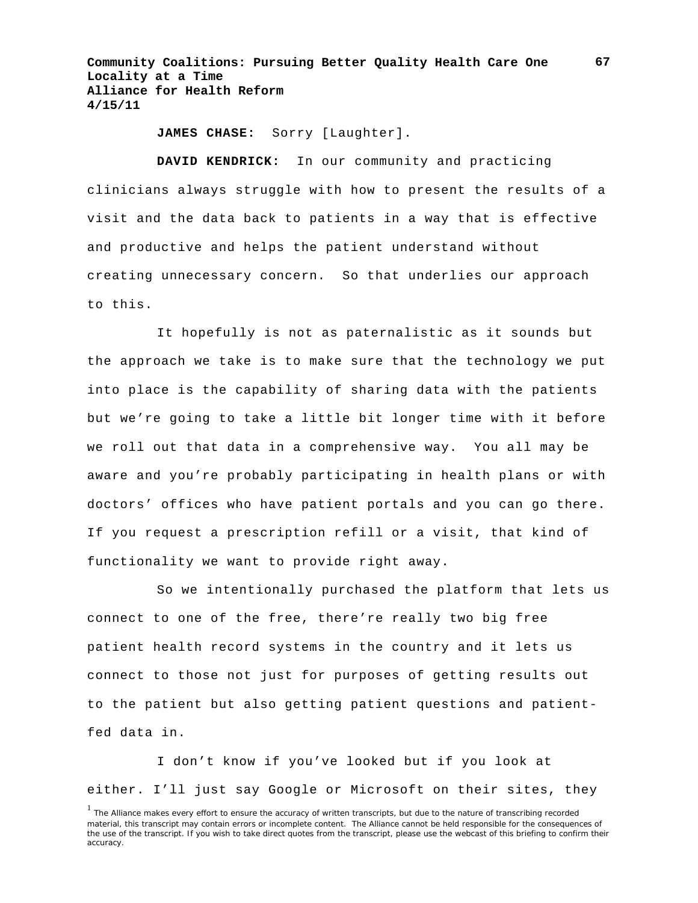**JAMES CHASE:** Sorry [Laughter].

**DAVID KENDRICK:** In our community and practicing clinicians always struggle with how to present the results of a visit and the data back to patients in a way that is effective and productive and helps the patient understand without creating unnecessary concern. So that underlies our approach to this.

It hopefully is not as paternalistic as it sounds but the approach we take is to make sure that the technology we put into place is the capability of sharing data with the patients but we're going to take a little bit longer time with it before we roll out that data in a comprehensive way. You all may be aware and you're probably participating in health plans or with doctors' offices who have patient portals and you can go there. If you request a prescription refill or a visit, that kind of functionality we want to provide right away.

So we intentionally purchased the platform that lets us connect to one of the free, there're really two big free patient health record systems in the country and it lets us connect to those not just for purposes of getting results out to the patient but also getting patient questions and patientfed data in.

I don't know if you've looked but if you look at either. I'll just say Google or Microsoft on their sites, they

<sup>&</sup>lt;sup>1</sup> The Alliance makes every effort to ensure the accuracy of written transcripts, but due to the nature of transcribing recorded material, this transcript may contain errors or incomplete content. The Alliance cannot be held responsible for the consequences of the use of the transcript. If you wish to take direct quotes from the transcript, please use the webcast of this briefing to confirm their accuracy.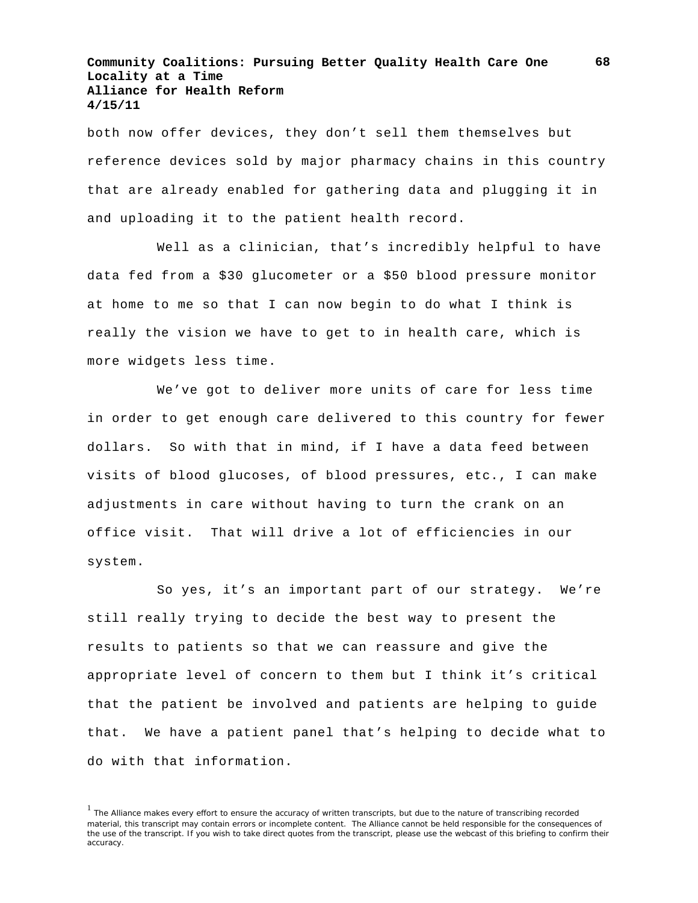both now offer devices, they don't sell them themselves but reference devices sold by major pharmacy chains in this country that are already enabled for gathering data and plugging it in and uploading it to the patient health record.

Well as a clinician, that's incredibly helpful to have data fed from a \$30 glucometer or a \$50 blood pressure monitor at home to me so that I can now begin to do what I think is really the vision we have to get to in health care, which is more widgets less time.

We've got to deliver more units of care for less time in order to get enough care delivered to this country for fewer dollars. So with that in mind, if I have a data feed between visits of blood glucoses, of blood pressures, etc., I can make adjustments in care without having to turn the crank on an office visit. That will drive a lot of efficiencies in our system.

So yes, it's an important part of our strategy. We're still really trying to decide the best way to present the results to patients so that we can reassure and give the appropriate level of concern to them but I think it's critical that the patient be involved and patients are helping to guide that. We have a patient panel that's helping to decide what to do with that information.

<sup>&</sup>lt;sup>1</sup> The Alliance makes every effort to ensure the accuracy of written transcripts, but due to the nature of transcribing recorded material, this transcript may contain errors or incomplete content. The Alliance cannot be held responsible for the consequences of the use of the transcript. If you wish to take direct quotes from the transcript, please use the webcast of this briefing to confirm their accuracy.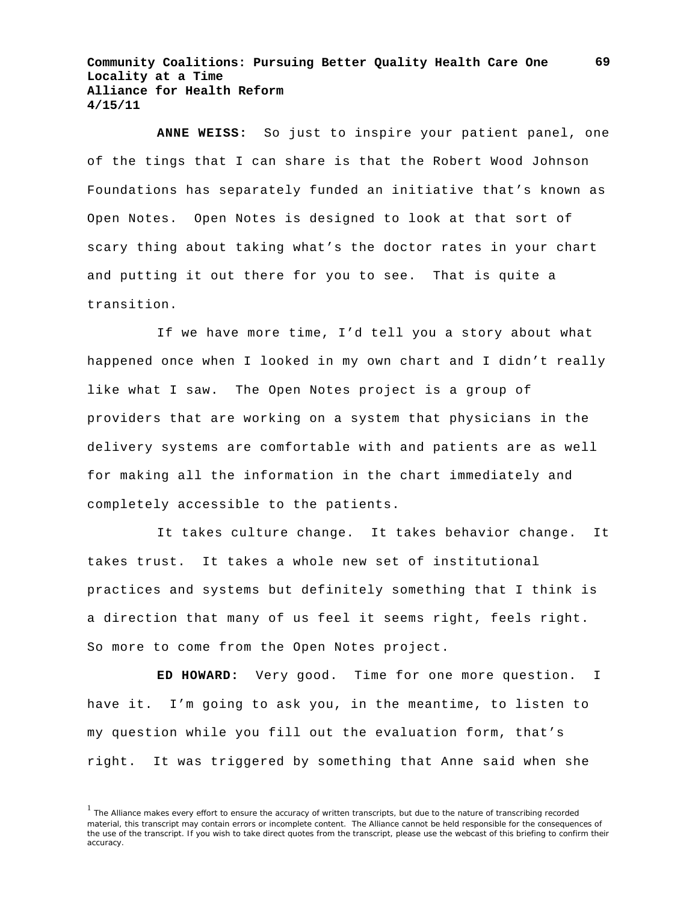**ANNE WEISS:** So just to inspire your patient panel, one of the tings that I can share is that the Robert Wood Johnson Foundations has separately funded an initiative that's known as Open Notes. Open Notes is designed to look at that sort of scary thing about taking what's the doctor rates in your chart and putting it out there for you to see. That is quite a transition.

If we have more time, I'd tell you a story about what happened once when I looked in my own chart and I didn't really like what I saw. The Open Notes project is a group of providers that are working on a system that physicians in the delivery systems are comfortable with and patients are as well for making all the information in the chart immediately and completely accessible to the patients.

It takes culture change. It takes behavior change. It takes trust. It takes a whole new set of institutional practices and systems but definitely something that I think is a direction that many of us feel it seems right, feels right. So more to come from the Open Notes project.

**ED HOWARD:** Very good. Time for one more question. I have it. I'm going to ask you, in the meantime, to listen to my question while you fill out the evaluation form, that's right. It was triggered by something that Anne said when she

<sup>&</sup>lt;sup>1</sup> The Alliance makes every effort to ensure the accuracy of written transcripts, but due to the nature of transcribing recorded material, this transcript may contain errors or incomplete content. The Alliance cannot be held responsible for the consequences of the use of the transcript. If you wish to take direct quotes from the transcript, please use the webcast of this briefing to confirm their accuracy.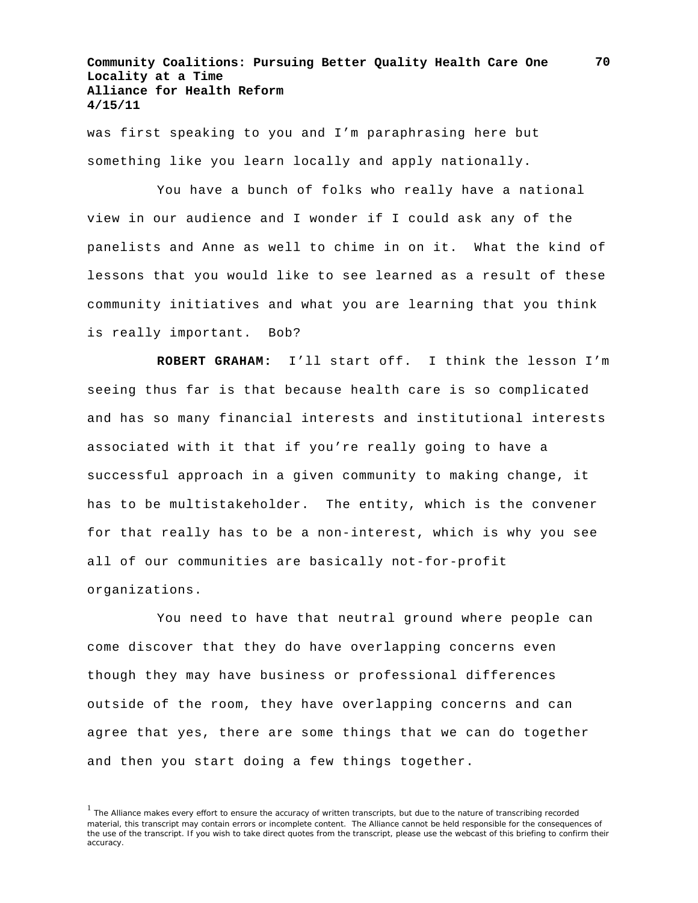was first speaking to you and I'm paraphrasing here but something like you learn locally and apply nationally.

You have a bunch of folks who really have a national view in our audience and I wonder if I could ask any of the panelists and Anne as well to chime in on it. What the kind of lessons that you would like to see learned as a result of these community initiatives and what you are learning that you think is really important. Bob?

**ROBERT GRAHAM:** I'll start off. I think the lesson I'm seeing thus far is that because health care is so complicated and has so many financial interests and institutional interests associated with it that if you're really going to have a successful approach in a given community to making change, it has to be multistakeholder. The entity, which is the convener for that really has to be a non-interest, which is why you see all of our communities are basically not-for-profit organizations.

You need to have that neutral ground where people can come discover that they do have overlapping concerns even though they may have business or professional differences outside of the room, they have overlapping concerns and can agree that yes, there are some things that we can do together and then you start doing a few things together.

<sup>&</sup>lt;sup>1</sup> The Alliance makes every effort to ensure the accuracy of written transcripts, but due to the nature of transcribing recorded material, this transcript may contain errors or incomplete content. The Alliance cannot be held responsible for the consequences of the use of the transcript. If you wish to take direct quotes from the transcript, please use the webcast of this briefing to confirm their accuracy.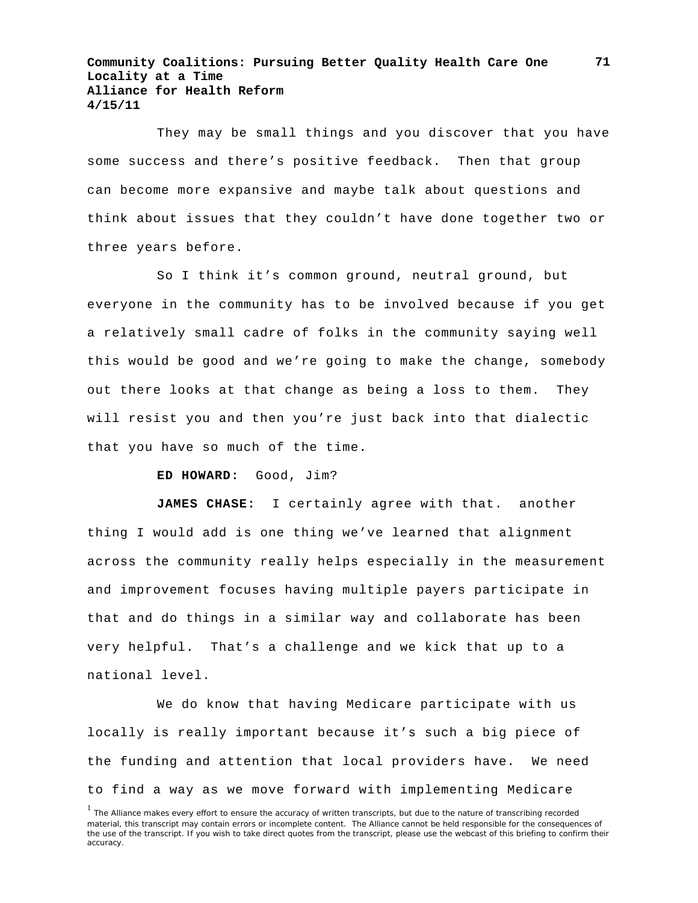They may be small things and you discover that you have some success and there's positive feedback. Then that group can become more expansive and maybe talk about questions and think about issues that they couldn't have done together two or three years before.

So I think it's common ground, neutral ground, but everyone in the community has to be involved because if you get a relatively small cadre of folks in the community saying well this would be good and we're going to make the change, somebody out there looks at that change as being a loss to them. They will resist you and then you're just back into that dialectic that you have so much of the time.

#### **ED HOWARD:** Good, Jim?

**JAMES CHASE:** I certainly agree with that. another thing I would add is one thing we've learned that alignment across the community really helps especially in the measurement and improvement focuses having multiple payers participate in that and do things in a similar way and collaborate has been very helpful. That's a challenge and we kick that up to a national level.

We do know that having Medicare participate with us locally is really important because it's such a big piece of the funding and attention that local providers have. We need to find a way as we move forward with implementing Medicare

<sup>&</sup>lt;sup>1</sup> The Alliance makes every effort to ensure the accuracy of written transcripts, but due to the nature of transcribing recorded material, this transcript may contain errors or incomplete content. The Alliance cannot be held responsible for the consequences of the use of the transcript. If you wish to take direct quotes from the transcript, please use the webcast of this briefing to confirm their accuracy.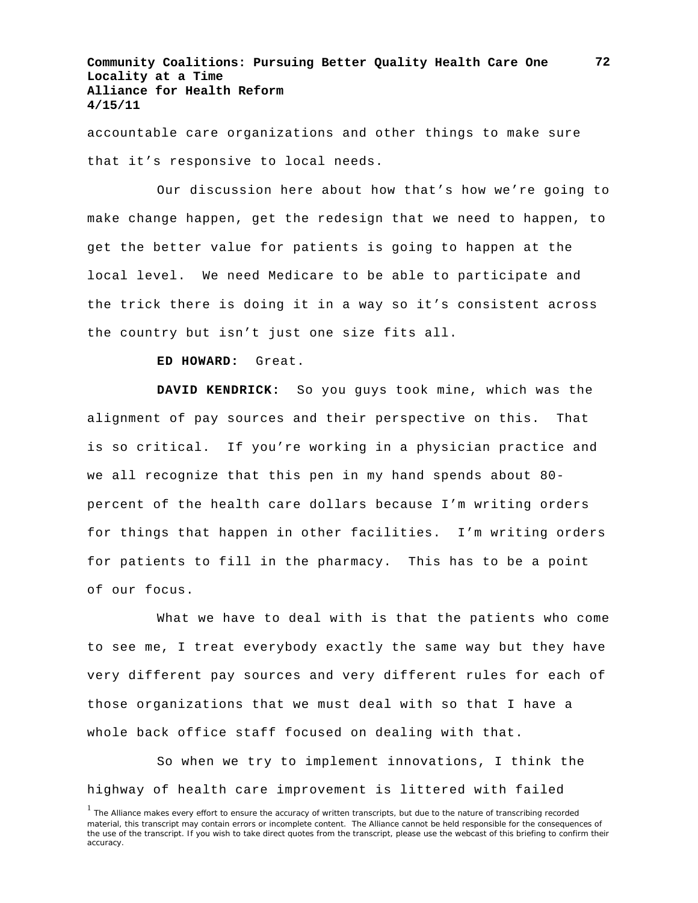accountable care organizations and other things to make sure that it's responsive to local needs.

Our discussion here about how that's how we're going to make change happen, get the redesign that we need to happen, to get the better value for patients is going to happen at the local level. We need Medicare to be able to participate and the trick there is doing it in a way so it's consistent across the country but isn't just one size fits all.

**ED HOWARD:** Great.

**DAVID KENDRICK:** So you guys took mine, which was the alignment of pay sources and their perspective on this. That is so critical. If you're working in a physician practice and we all recognize that this pen in my hand spends about 80 percent of the health care dollars because I'm writing orders for things that happen in other facilities. I'm writing orders for patients to fill in the pharmacy. This has to be a point of our focus.

What we have to deal with is that the patients who come to see me, I treat everybody exactly the same way but they have very different pay sources and very different rules for each of those organizations that we must deal with so that I have a whole back office staff focused on dealing with that.

So when we try to implement innovations, I think the highway of health care improvement is littered with failed

<sup>&</sup>lt;sup>1</sup> The Alliance makes every effort to ensure the accuracy of written transcripts, but due to the nature of transcribing recorded material, this transcript may contain errors or incomplete content. The Alliance cannot be held responsible for the consequences of the use of the transcript. If you wish to take direct quotes from the transcript, please use the webcast of this briefing to confirm their accuracy.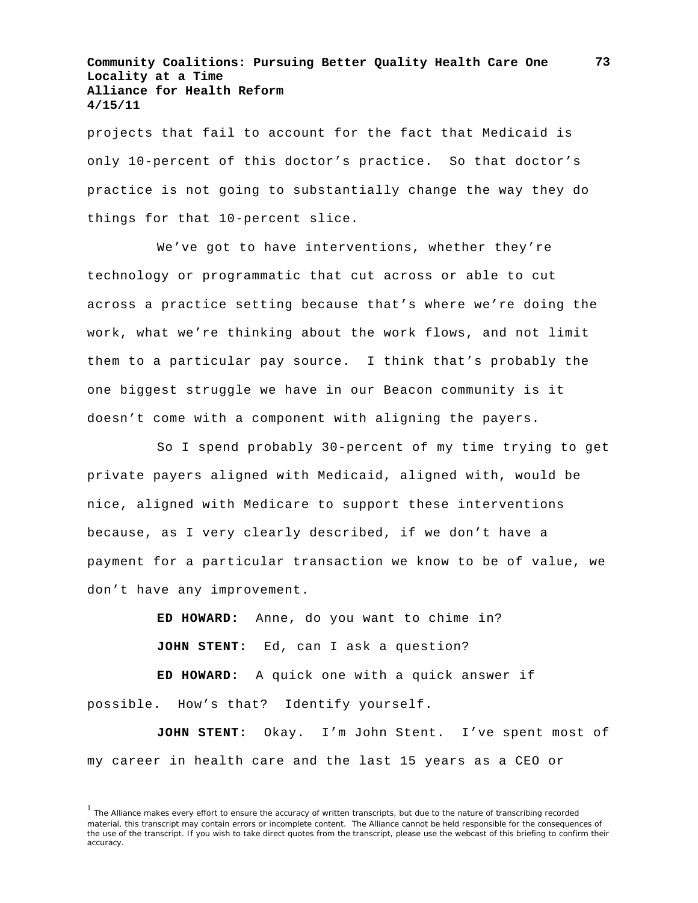projects that fail to account for the fact that Medicaid is only 10-percent of this doctor's practice. So that doctor's practice is not going to substantially change the way they do things for that 10-percent slice.

We've got to have interventions, whether they're technology or programmatic that cut across or able to cut across a practice setting because that's where we're doing the work, what we're thinking about the work flows, and not limit them to a particular pay source. I think that's probably the one biggest struggle we have in our Beacon community is it doesn't come with a component with aligning the payers.

So I spend probably 30-percent of my time trying to get private payers aligned with Medicaid, aligned with, would be nice, aligned with Medicare to support these interventions because, as I very clearly described, if we don't have a payment for a particular transaction we know to be of value, we don't have any improvement.

> **ED HOWARD:** Anne, do you want to chime in? **JOHN STENT:** Ed, can I ask a question?

**ED HOWARD:** A quick one with a quick answer if possible. How's that? Identify yourself.

**JOHN STENT:** Okay. I'm John Stent. I've spent most of my career in health care and the last 15 years as a CEO or

<sup>&</sup>lt;sup>1</sup> The Alliance makes every effort to ensure the accuracy of written transcripts, but due to the nature of transcribing recorded material, this transcript may contain errors or incomplete content. The Alliance cannot be held responsible for the consequences of the use of the transcript. If you wish to take direct quotes from the transcript, please use the webcast of this briefing to confirm their accuracy.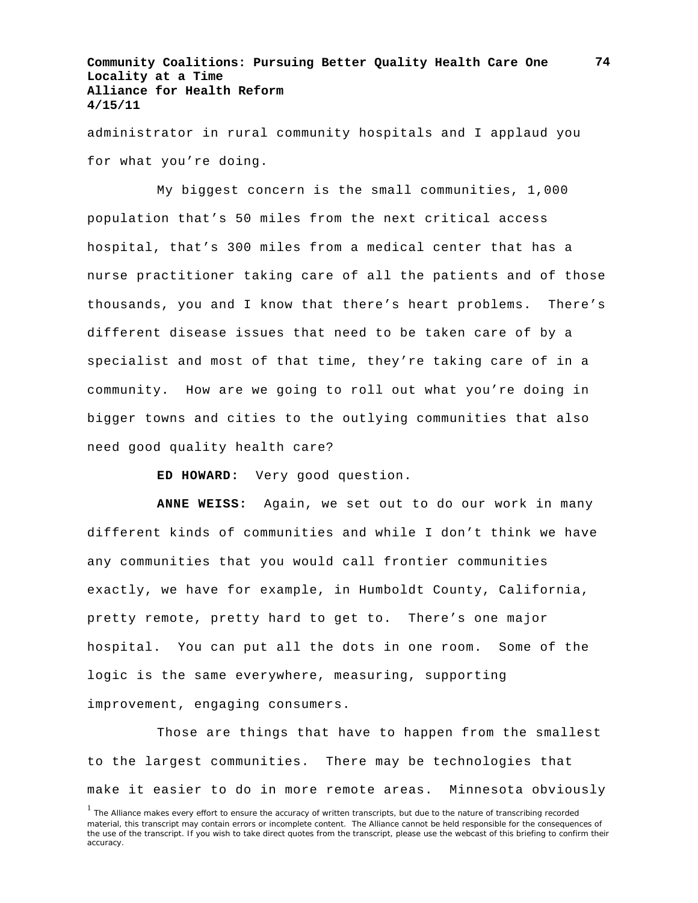administrator in rural community hospitals and I applaud you for what you're doing.

My biggest concern is the small communities, 1,000 population that's 50 miles from the next critical access hospital, that's 300 miles from a medical center that has a nurse practitioner taking care of all the patients and of those thousands, you and I know that there's heart problems. There's different disease issues that need to be taken care of by a specialist and most of that time, they're taking care of in a community. How are we going to roll out what you're doing in bigger towns and cities to the outlying communities that also need good quality health care?

**ED HOWARD:** Very good question.

**ANNE WEISS:** Again, we set out to do our work in many different kinds of communities and while I don't think we have any communities that you would call frontier communities exactly, we have for example, in Humboldt County, California, pretty remote, pretty hard to get to. There's one major hospital. You can put all the dots in one room. Some of the logic is the same everywhere, measuring, supporting improvement, engaging consumers.

Those are things that have to happen from the smallest to the largest communities. There may be technologies that make it easier to do in more remote areas. Minnesota obviously

<sup>&</sup>lt;sup>1</sup> The Alliance makes every effort to ensure the accuracy of written transcripts, but due to the nature of transcribing recorded material, this transcript may contain errors or incomplete content. The Alliance cannot be held responsible for the consequences of the use of the transcript. If you wish to take direct quotes from the transcript, please use the webcast of this briefing to confirm their accuracy.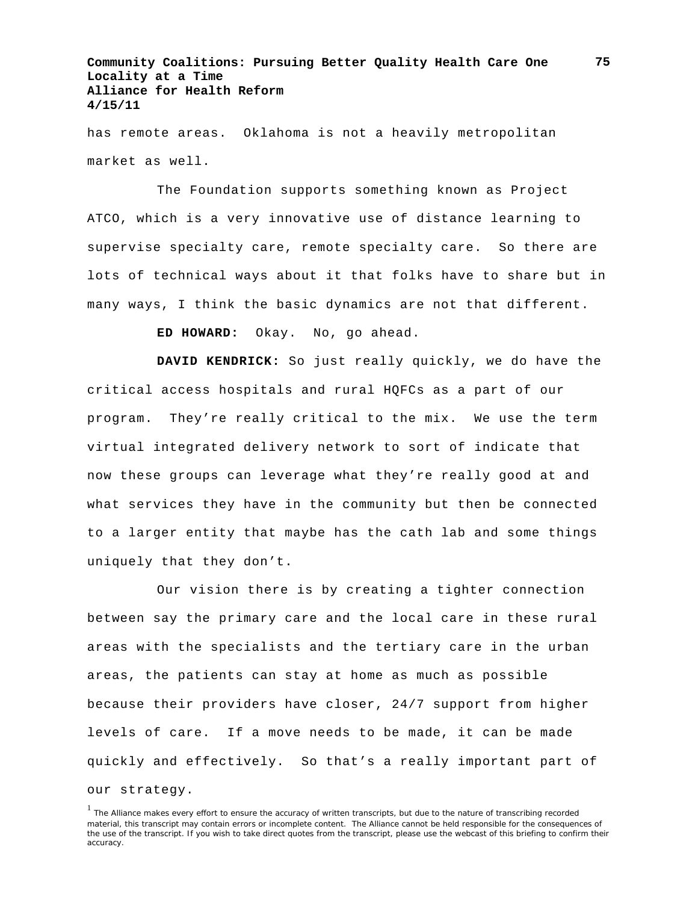has remote areas. Oklahoma is not a heavily metropolitan market as well.

The Foundation supports something known as Project ATCO, which is a very innovative use of distance learning to supervise specialty care, remote specialty care. So there are lots of technical ways about it that folks have to share but in many ways, I think the basic dynamics are not that different.

**ED HOWARD:** Okay. No, go ahead.

**DAVID KENDRICK:** So just really quickly, we do have the critical access hospitals and rural HQFCs as a part of our program. They're really critical to the mix. We use the term virtual integrated delivery network to sort of indicate that now these groups can leverage what they're really good at and what services they have in the community but then be connected to a larger entity that maybe has the cath lab and some things uniquely that they don't.

Our vision there is by creating a tighter connection between say the primary care and the local care in these rural areas with the specialists and the tertiary care in the urban areas, the patients can stay at home as much as possible because their providers have closer, 24/7 support from higher levels of care. If a move needs to be made, it can be made quickly and effectively. So that's a really important part of our strategy.

<sup>&</sup>lt;sup>1</sup> The Alliance makes every effort to ensure the accuracy of written transcripts, but due to the nature of transcribing recorded material, this transcript may contain errors or incomplete content. The Alliance cannot be held responsible for the consequences of the use of the transcript. If you wish to take direct quotes from the transcript, please use the webcast of this briefing to confirm their accuracy.